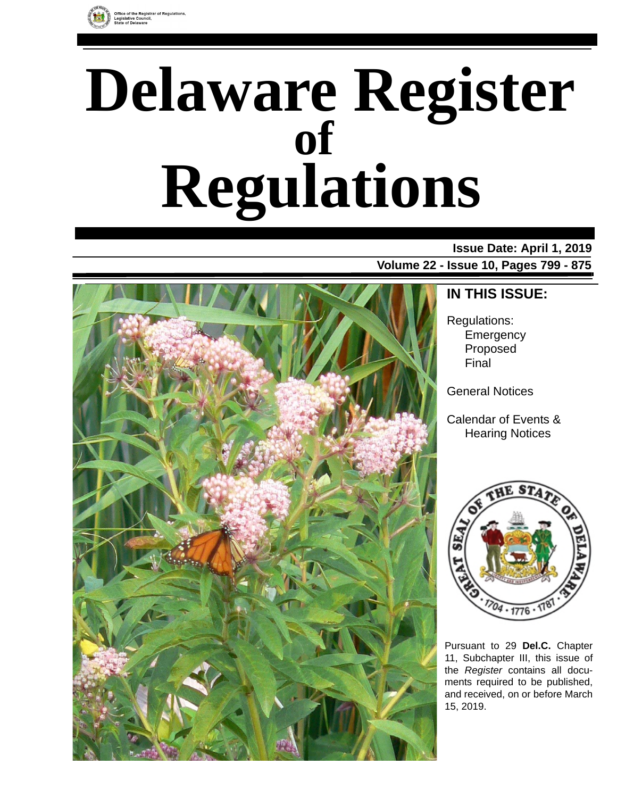

# **Delaware Register Regulations of**

#### **Issue Date: April 1, 2019**

**Volume 22 - Issue 10, Pages 799 - 875**



### **IN THIS ISSUE:**

Regulations: **Emergency** Proposed Final

General Notices

Calendar of Events & Hearing Notices



Pursuant to 29 **Del.C.** Chapter 11, Subchapter III, this issue of the *Register* contains all documents required to be published, and received, on or before March 15, 2019.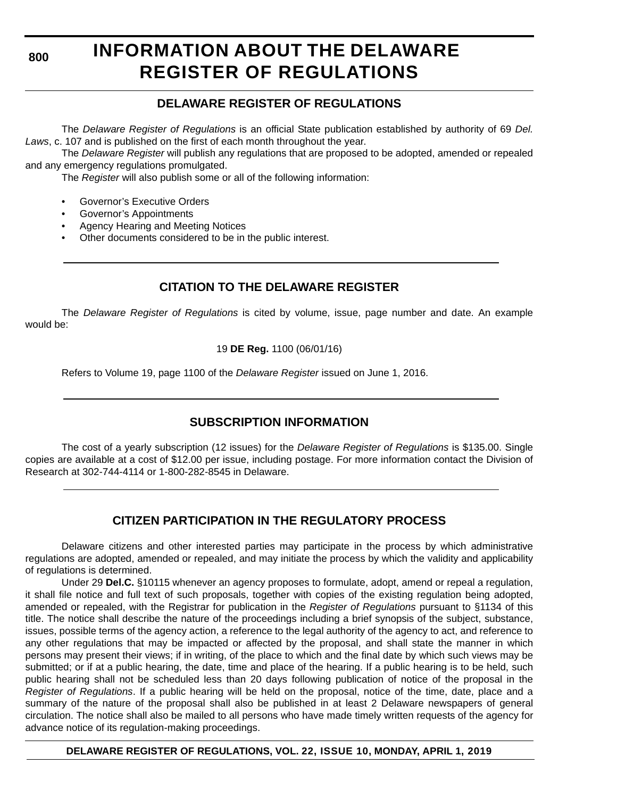**800**

### **INFORMATION ABOUT THE DELAWARE REGISTER OF REGULATIONS**

#### **DELAWARE REGISTER OF REGULATIONS**

The *Delaware Register of Regulations* is an official State publication established by authority of 69 *Del. Laws*, c. 107 and is published on the first of each month throughout the year.

The *Delaware Register* will publish any regulations that are proposed to be adopted, amended or repealed and any emergency regulations promulgated.

The *Register* will also publish some or all of the following information:

- Governor's Executive Orders
- Governor's Appointments
- Agency Hearing and Meeting Notices
- Other documents considered to be in the public interest.

#### **CITATION TO THE DELAWARE REGISTER**

The *Delaware Register of Regulations* is cited by volume, issue, page number and date. An example would be:

19 **DE Reg.** 1100 (06/01/16)

Refers to Volume 19, page 1100 of the *Delaware Register* issued on June 1, 2016.

#### **SUBSCRIPTION INFORMATION**

The cost of a yearly subscription (12 issues) for the *Delaware Register of Regulations* is \$135.00. Single copies are available at a cost of \$12.00 per issue, including postage. For more information contact the Division of Research at 302-744-4114 or 1-800-282-8545 in Delaware.

#### **CITIZEN PARTICIPATION IN THE REGULATORY PROCESS**

Delaware citizens and other interested parties may participate in the process by which administrative regulations are adopted, amended or repealed, and may initiate the process by which the validity and applicability of regulations is determined.

Under 29 **Del.C.** §10115 whenever an agency proposes to formulate, adopt, amend or repeal a regulation, it shall file notice and full text of such proposals, together with copies of the existing regulation being adopted, amended or repealed, with the Registrar for publication in the *Register of Regulations* pursuant to §1134 of this title. The notice shall describe the nature of the proceedings including a brief synopsis of the subject, substance, issues, possible terms of the agency action, a reference to the legal authority of the agency to act, and reference to any other regulations that may be impacted or affected by the proposal, and shall state the manner in which persons may present their views; if in writing, of the place to which and the final date by which such views may be submitted; or if at a public hearing, the date, time and place of the hearing. If a public hearing is to be held, such public hearing shall not be scheduled less than 20 days following publication of notice of the proposal in the *Register of Regulations*. If a public hearing will be held on the proposal, notice of the time, date, place and a summary of the nature of the proposal shall also be published in at least 2 Delaware newspapers of general circulation. The notice shall also be mailed to all persons who have made timely written requests of the agency for advance notice of its regulation-making proceedings.

**DELAWARE REGISTER OF REGULATIONS, VOL. 22, ISSUE 10, MONDAY, APRIL 1, 2019**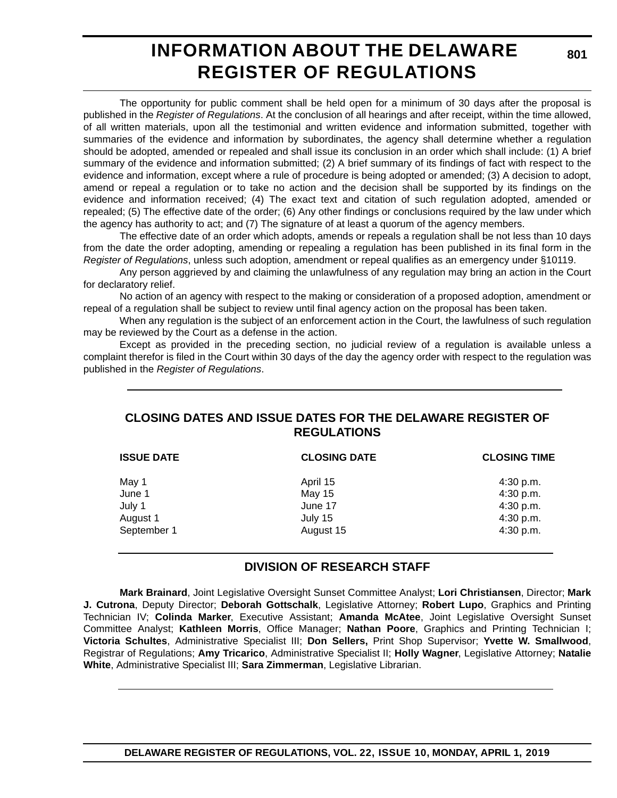### **INFORMATION ABOUT THE DELAWARE REGISTER OF REGULATIONS**

The opportunity for public comment shall be held open for a minimum of 30 days after the proposal is published in the *Register of Regulations*. At the conclusion of all hearings and after receipt, within the time allowed, of all written materials, upon all the testimonial and written evidence and information submitted, together with summaries of the evidence and information by subordinates, the agency shall determine whether a regulation should be adopted, amended or repealed and shall issue its conclusion in an order which shall include: (1) A brief summary of the evidence and information submitted; (2) A brief summary of its findings of fact with respect to the evidence and information, except where a rule of procedure is being adopted or amended; (3) A decision to adopt, amend or repeal a regulation or to take no action and the decision shall be supported by its findings on the evidence and information received; (4) The exact text and citation of such regulation adopted, amended or repealed; (5) The effective date of the order; (6) Any other findings or conclusions required by the law under which the agency has authority to act; and (7) The signature of at least a quorum of the agency members.

The effective date of an order which adopts, amends or repeals a regulation shall be not less than 10 days from the date the order adopting, amending or repealing a regulation has been published in its final form in the *Register of Regulations*, unless such adoption, amendment or repeal qualifies as an emergency under §10119.

Any person aggrieved by and claiming the unlawfulness of any regulation may bring an action in the Court for declaratory relief.

No action of an agency with respect to the making or consideration of a proposed adoption, amendment or repeal of a regulation shall be subject to review until final agency action on the proposal has been taken.

When any regulation is the subject of an enforcement action in the Court, the lawfulness of such regulation may be reviewed by the Court as a defense in the action.

Except as provided in the preceding section, no judicial review of a regulation is available unless a complaint therefor is filed in the Court within 30 days of the day the agency order with respect to the regulation was published in the *Register of Regulations*.

#### **CLOSING DATES AND ISSUE DATES FOR THE DELAWARE REGISTER OF REGULATIONS**

| <b>ISSUE DATE</b> | <b>CLOSING DATE</b> | <b>CLOSING TIME</b> |  |
|-------------------|---------------------|---------------------|--|
| May 1             | April 15            | $4:30$ p.m.         |  |
| June 1            | May 15              | 4:30 p.m.           |  |
| July 1            | June 17             | 4:30 p.m.           |  |
| August 1          | July 15             | 4:30 p.m.           |  |
| September 1       | August 15           | 4:30 p.m.           |  |

#### **DIVISION OF RESEARCH STAFF**

**Mark Brainard**, Joint Legislative Oversight Sunset Committee Analyst; **Lori Christiansen**, Director; **Mark J. Cutrona**, Deputy Director; **Deborah Gottschalk**, Legislative Attorney; **Robert Lupo**, Graphics and Printing Technician IV; **Colinda Marker**, Executive Assistant; **Amanda McAtee**, Joint Legislative Oversight Sunset Committee Analyst; **Kathleen Morris**, Office Manager; **Nathan Poore**, Graphics and Printing Technician I; **Victoria Schultes**, Administrative Specialist III; **Don Sellers,** Print Shop Supervisor; **Yvette W. Smallwood**, Registrar of Regulations; **Amy Tricarico**, Administrative Specialist II; **Holly Wagner**, Legislative Attorney; **Natalie White**, Administrative Specialist III; **Sara Zimmerman**, Legislative Librarian.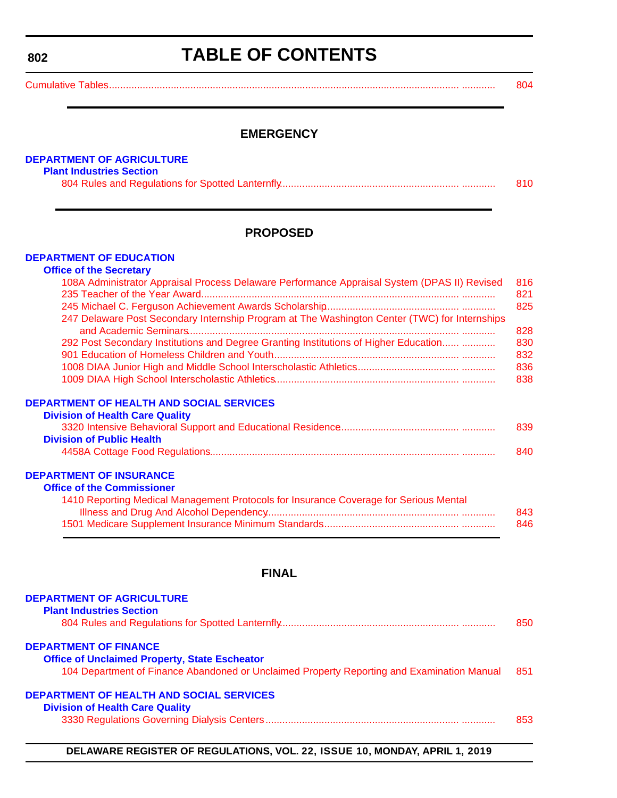#### <span id="page-3-0"></span>**802**

### **TABLE OF CONTENTS**

[Cumulative Tables............................................................................................................................. ............ 804](#page-5-0)

#### **EMERGENCY**

#### **[DEPARTMENT OF AGRICULTURE](https://agriculture.delaware.gov/plant-industries/)**

#### **Plant Industries Section**

|--|--|

#### **PROPOSED**

#### **[DEPARTMENT OF EDUCATION](https://www.doe.k12.de.us/)**

#### **Office of the Secretary**

| 108A Administrator Appraisal Process Delaware Performance Appraisal System (DPAS II) Revised  | 816        |
|-----------------------------------------------------------------------------------------------|------------|
|                                                                                               | 821        |
|                                                                                               | 825        |
| 247 Delaware Post Secondary Internship Program at The Washington Center (TWC) for Internships | 828        |
| 292 Post Secondary Institutions and Degree Granting Institutions of Higher Education          | 830        |
|                                                                                               | 832        |
|                                                                                               |            |
|                                                                                               | 836<br>838 |
| <b>DEPARTMENT OF HEALTH AND SOCIAL SERVICES</b><br><b>Division of Health Care Quality</b>     |            |
|                                                                                               | 839        |
| <b>Division of Public Health</b>                                                              |            |
|                                                                                               | 840        |
| <b>DEPARTMENT OF INSURANCE</b>                                                                |            |
| <b>Office of the Commissioner</b>                                                             |            |
| 1410 Reporting Medical Management Protocols for Insurance Coverage for Serious Mental         |            |
|                                                                                               | 843        |
|                                                                                               | 846        |

#### **FINAL**

| <b>DEPARTMENT OF AGRICULTURE</b><br><b>Plant Industries Section</b>                                                                                                                | 850 |
|------------------------------------------------------------------------------------------------------------------------------------------------------------------------------------|-----|
| <b>DEPARTMENT OF FINANCE</b><br><b>Office of Unclaimed Property, State Escheator</b><br>104 Department of Finance Abandoned or Unclaimed Property Reporting and Examination Manual | 851 |
| DEPARTMENT OF HEALTH AND SOCIAL SERVICES<br><b>Division of Health Care Quality</b>                                                                                                 | 853 |

#### **DELAWARE REGISTER OF REGULATIONS, VOL. 22, ISSUE 10, MONDAY, APRIL 1, 2019**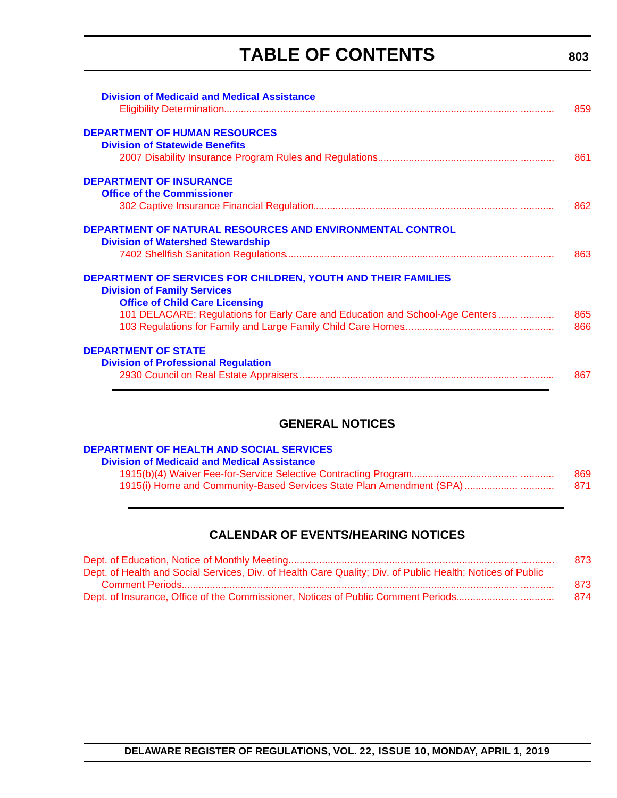### **TABLE OF CONTENTS**

| <b>Division of Medicaid and Medical Assistance</b>                                                                                                                                                                                   | 859        |
|--------------------------------------------------------------------------------------------------------------------------------------------------------------------------------------------------------------------------------------|------------|
| <b>DEPARTMENT OF HUMAN RESOURCES</b>                                                                                                                                                                                                 |            |
| <b>Division of Statewide Benefits</b>                                                                                                                                                                                                | 861        |
| <b>DEPARTMENT OF INSURANCE</b><br><b>Office of the Commissioner</b>                                                                                                                                                                  |            |
|                                                                                                                                                                                                                                      | 862        |
| <b>DEPARTMENT OF NATURAL RESOURCES AND ENVIRONMENTAL CONTROL</b><br><b>Division of Watershed Stewardship</b>                                                                                                                         | 863        |
| <b>DEPARTMENT OF SERVICES FOR CHILDREN, YOUTH AND THEIR FAMILIES</b><br><b>Division of Family Services</b><br><b>Office of Child Care Licensing</b><br>101 DELACARE: Regulations for Early Care and Education and School-Age Centers | 865<br>866 |
| <b>DEPARTMENT OF STATE</b><br><b>Division of Professional Regulation</b>                                                                                                                                                             | 867        |

#### **GENERAL NOTICES**

#### **[DEPARTMENT OF HEALTH AND SOCIAL SERVICES](https://www.dhss.delaware.gov/dhss/dmma/)**

| <b>Division of Medicaid and Medical Assistance</b>                   |      |
|----------------------------------------------------------------------|------|
|                                                                      | 869  |
| 1915(i) Home and Community-Based Services State Plan Amendment (SPA) | -871 |

#### **CALENDAR OF EVENTS/HEARING NOTICES**

|                                                                                                            | 873 |
|------------------------------------------------------------------------------------------------------------|-----|
| Dept. of Health and Social Services, Div. of Health Care Quality; Div. of Public Health; Notices of Public |     |
|                                                                                                            | 873 |
|                                                                                                            | 874 |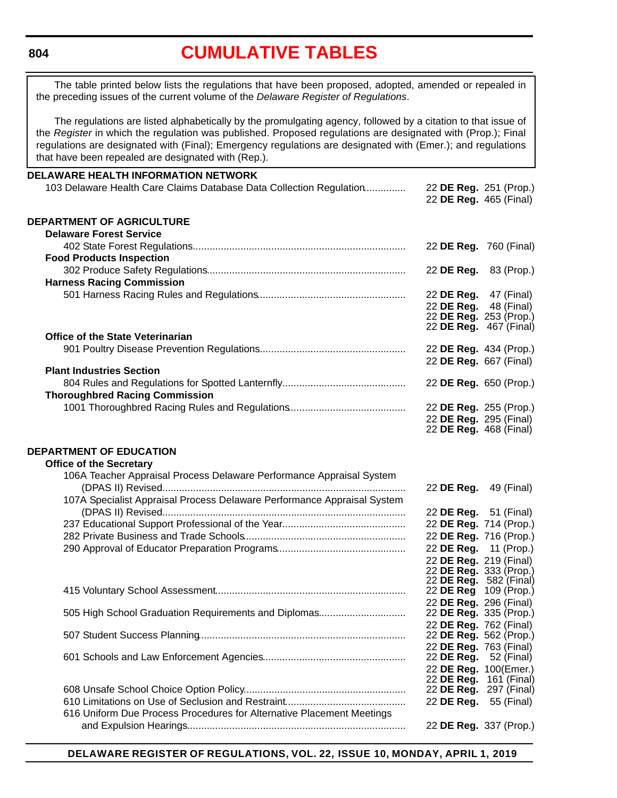#### <span id="page-5-0"></span>**804**

### **[CUMULATIVE TABLES](#page-3-0)**

The table printed below lists the regulations that have been proposed, adopted, amended or repealed in the preceding issues of the current volume of the *Delaware Register of Regulations*.

The regulations are listed alphabetically by the promulgating agency, followed by a citation to that issue of the *Register* in which the regulation was published. Proposed regulations are designated with (Prop.); Final regulations are designated with (Final); Emergency regulations are designated with (Emer.); and regulations that have been repealed are designated with (Rep.).

| <b>DELAWARE HEALTH INFORMATION NETWORK</b>                              |                                                  |             |
|-------------------------------------------------------------------------|--------------------------------------------------|-------------|
| 103 Delaware Health Care Claims Database Data Collection Regulation     | 22 DE Reg. 251 (Prop.)                           |             |
|                                                                         | 22 DE Reg. 465 (Final)                           |             |
|                                                                         |                                                  |             |
| DEPARTMENT OF AGRICULTURE                                               |                                                  |             |
| <b>Delaware Forest Service</b>                                          |                                                  |             |
|                                                                         | 22 DE Reg. 760 (Final)                           |             |
| <b>Food Products Inspection</b>                                         |                                                  |             |
|                                                                         | 22 DE Reg.                                       | 83 (Prop.)  |
| <b>Harness Racing Commission</b>                                        |                                                  |             |
|                                                                         | 22 DE Reg.                                       | 47 (Final)  |
|                                                                         | 22 DE Reg.                                       | 48 (Final)  |
|                                                                         | 22 DE Reg. 253 (Prop.)                           |             |
| <b>Office of the State Veterinarian</b>                                 | 22 DE Reg. 467 (Final)                           |             |
|                                                                         | 22 DE Reg. 434 (Prop.)                           |             |
|                                                                         | 22 DE Reg. 667 (Final)                           |             |
| <b>Plant Industries Section</b>                                         |                                                  |             |
|                                                                         | 22 DE Reg. 650 (Prop.)                           |             |
| <b>Thoroughbred Racing Commission</b>                                   |                                                  |             |
|                                                                         | 22 DE Reg. 255 (Prop.)                           |             |
|                                                                         | 22 DE Reg. 295 (Final)                           |             |
|                                                                         | 22 <b>DE Reg.</b> 468 (Final)                    |             |
|                                                                         |                                                  |             |
| <b>DEPARTMENT OF EDUCATION</b>                                          |                                                  |             |
| <b>Office of the Secretary</b>                                          |                                                  |             |
| 106A Teacher Appraisal Process Delaware Performance Appraisal System    |                                                  |             |
|                                                                         | 22 DE Reg.                                       | 49 (Final)  |
| 107A Specialist Appraisal Process Delaware Performance Appraisal System |                                                  |             |
|                                                                         | 22 DE Reg. 51 (Final)                            |             |
|                                                                         | 22 DE Reg. 714 (Prop.)                           |             |
|                                                                         | 22 DE Reg. 716 (Prop.)                           |             |
|                                                                         | 22 DE Reg.                                       | 11 (Prop.)  |
|                                                                         | 22 DE Reg. 219 (Final)                           |             |
|                                                                         | 22 DE Reg. 333 (Prop.)                           |             |
|                                                                         | 22 DE Reg. 582 (Final)<br>22 DE Reg 109 (Prop.)  |             |
|                                                                         |                                                  |             |
| 505 High School Graduation Requirements and Diplomas                    | 22 DE Reg. 296 (Final)<br>22 DE Reg. 335 (Prop.) |             |
|                                                                         | 22 DE Reg. 762 (Final)                           |             |
|                                                                         | 22 DE Reg. 562 (Prop.)                           |             |
|                                                                         | 22 DE Reg. 763 (Final)                           |             |
|                                                                         | 22 DE Reg.                                       | 52 (Final)  |
|                                                                         | 22 DE Reg. 100(Emer.)                            |             |
|                                                                         | 22 DE Reg.                                       | 161 (Final) |
|                                                                         | 22 DE Reg.                                       | 297 (Final) |
|                                                                         | 22 DE Reg.                                       | 55 (Final)  |
| 616 Uniform Due Process Procedures for Alternative Placement Meetings   |                                                  |             |
|                                                                         | 22 DE Reg. 337 (Prop.)                           |             |

**DELAWARE REGISTER OF REGULATIONS, VOL. 22, ISSUE 10, MONDAY, APRIL 1, 2019**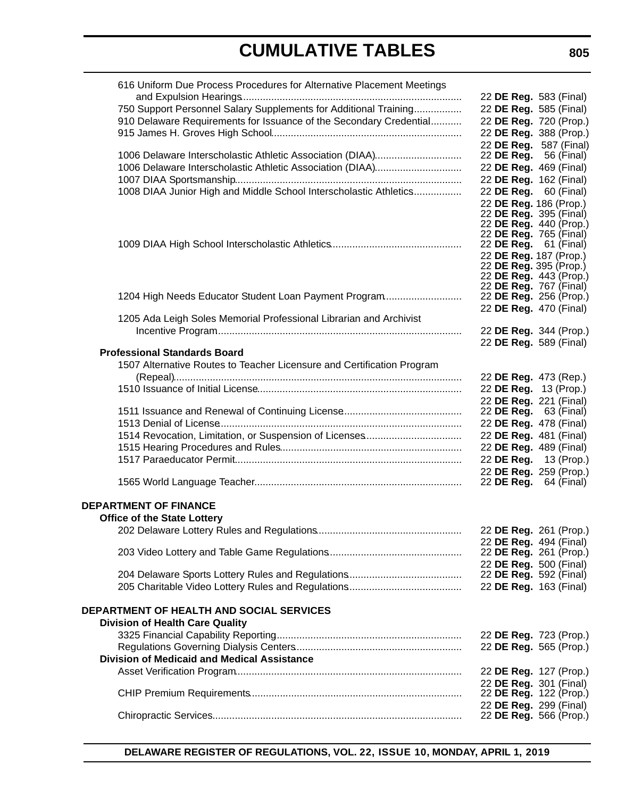| 616 Uniform Due Process Procedures for Alternative Placement Meetings  |                                                        |                              |
|------------------------------------------------------------------------|--------------------------------------------------------|------------------------------|
|                                                                        | 22 DE Reg. 583 (Final)                                 |                              |
| 750 Support Personnel Salary Supplements for Additional Training       | 22 DE Reg. 585 (Final)                                 |                              |
| 910 Delaware Requirements for Issuance of the Secondary Credential     |                                                        | 22 DE Reg. 720 (Prop.)       |
|                                                                        |                                                        | 22 DE Reg. 388 (Prop.)       |
|                                                                        |                                                        | 22 DE Reg. 587 (Final)       |
| 1006 Delaware Interscholastic Athletic Association (DIAA)              |                                                        | 22 <b>DE Reg.</b> 56 (Final) |
| 1006 Delaware Interscholastic Athletic Association (DIAA)              | 22 DE Reg. 469 (Final)                                 |                              |
|                                                                        |                                                        | 22 DE Reg. 162 (Final)       |
| 1008 DIAA Junior High and Middle School Interscholastic Athletics      | 22 DE Reg. 60 (Final)                                  |                              |
|                                                                        |                                                        | 22 DE Reg. 186 (Prop.)       |
|                                                                        |                                                        | 22 DE Reg. 395 (Final)       |
|                                                                        |                                                        | 22 DE Reg. 440 (Prop.)       |
|                                                                        | 22 DE Reg. 765 (Final)<br>22 <b>DE Reg.</b> 61 (Final) |                              |
|                                                                        | 22 DE Reg. 187 (Prop.)                                 |                              |
|                                                                        |                                                        | 22 DE Reg. 395 (Prop.)       |
|                                                                        |                                                        | 22 DE Reg. 443 (Prop.)       |
|                                                                        | 22 DE Reg. 767 (Final)                                 |                              |
| 1204 High Needs Educator Student Loan Payment Program                  | 22 DE Reg. 256 (Prop.)                                 |                              |
|                                                                        | 22 DE Reg. 470 (Final)                                 |                              |
| 1205 Ada Leigh Soles Memorial Professional Librarian and Archivist     |                                                        |                              |
|                                                                        | 22 DE Reg. 344 (Prop.)                                 |                              |
|                                                                        | 22 DE Reg. 589 (Final)                                 |                              |
| <b>Professional Standards Board</b>                                    |                                                        |                              |
| 1507 Alternative Routes to Teacher Licensure and Certification Program |                                                        |                              |
|                                                                        | 22 DE Reg. 473 (Rep.)                                  |                              |
|                                                                        | 22 DE Reg. 13 (Prop.)                                  |                              |
|                                                                        | 22 DE Reg. 221 (Final)                                 |                              |
|                                                                        | 22 <b>DE Reg.</b> 63 (Final)                           |                              |
|                                                                        | 22 DE Reg. 478 (Final)                                 |                              |
|                                                                        | 22 DE Reg. 481 (Final)                                 |                              |
|                                                                        | 22 DE Reg. 489 (Final)                                 |                              |
|                                                                        | 22 DE Reg. 13 (Prop.)                                  |                              |
|                                                                        |                                                        | 22 DE Reg. 259 (Prop.)       |
|                                                                        | 22 DE Reg. $64$ (Final)                                |                              |
|                                                                        |                                                        |                              |
| <b>DEPARTMENT OF FINANCE</b>                                           |                                                        |                              |
| <b>Office of the State Lottery</b>                                     |                                                        |                              |
|                                                                        |                                                        | 22 DE Reg. 261 (Prop.)       |
|                                                                        | 22 DE Reg. 494 (Final)                                 |                              |
|                                                                        | 22 DE Reg. 261 (Prop.)                                 |                              |
|                                                                        | 22 DE Reg. 500 (Final)                                 |                              |
|                                                                        | 22 DE Reg. 592 (Final)                                 |                              |
|                                                                        | 22 DE Reg. 163 (Final)                                 |                              |
|                                                                        |                                                        |                              |
| <b>DEPARTMENT OF HEALTH AND SOCIAL SERVICES</b>                        |                                                        |                              |
| <b>Division of Health Care Quality</b>                                 |                                                        |                              |
|                                                                        | 22 DE Reg. 723 (Prop.)                                 |                              |
|                                                                        |                                                        | 22 DE Reg. 565 (Prop.)       |
| <b>Division of Medicaid and Medical Assistance</b>                     |                                                        |                              |
|                                                                        | 22 DE Reg. 127 (Prop.)                                 |                              |
|                                                                        | 22 DE Reg. 301 (Final)                                 |                              |
|                                                                        |                                                        | 22 DE Reg. 122 (Prop.)       |
|                                                                        | 22 DE Reg. 299 (Final)                                 |                              |
|                                                                        |                                                        | 22 DE Reg. 566 (Prop.)       |

**DELAWARE REGISTER OF REGULATIONS, VOL. 22, ISSUE 10, MONDAY, APRIL 1, 2019**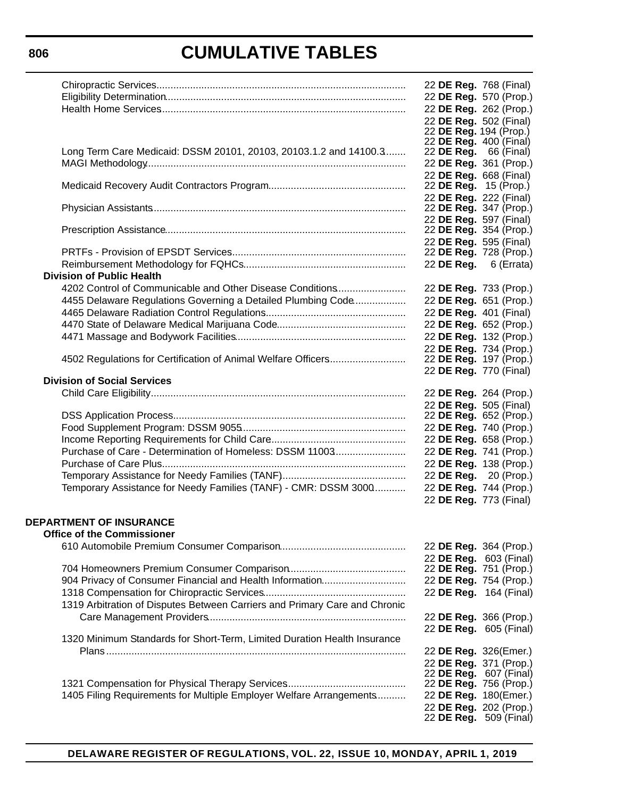|                                                                            | 22 DE Reg. 768 (Final)        |  |
|----------------------------------------------------------------------------|-------------------------------|--|
|                                                                            | 22 DE Reg. 570 (Prop.)        |  |
|                                                                            | 22 DE Reg. 262 (Prop.)        |  |
|                                                                            | 22 DE Reg. 502 (Final)        |  |
|                                                                            | 22 DE Reg. 194 (Prop.)        |  |
|                                                                            | 22 DE Reg. 400 (Final)        |  |
| Long Term Care Medicaid: DSSM 20101, 20103, 20103.1.2 and 14100.3          | 22 <b>DE Reg.</b> 66 (Final)  |  |
|                                                                            | 22 DE Reg. 361 (Prop.)        |  |
|                                                                            | 22 DE Reg. 668 (Final)        |  |
|                                                                            | 22 <b>DE Reg.</b> 15 (Prop.)  |  |
|                                                                            | 22 DE Reg. 222 (Final)        |  |
|                                                                            | 22 DE Reg. 347 (Prop.)        |  |
|                                                                            | 22 DE Reg. 597 (Final)        |  |
|                                                                            | 22 DE Reg. 354 (Prop.)        |  |
|                                                                            | 22 DE Reg. 595 (Final)        |  |
|                                                                            | 22 DE Reg. 728 (Prop.)        |  |
|                                                                            | 22 DE Reg. 6 (Errata)         |  |
| <b>Division of Public Health</b>                                           |                               |  |
| 4202 Control of Communicable and Other Disease Conditions                  | 22 DE Reg. 733 (Prop.)        |  |
|                                                                            |                               |  |
| 4455 Delaware Regulations Governing a Detailed Plumbing Code               | 22 DE Reg. 651 (Prop.)        |  |
|                                                                            | 22 DE Reg. 401 (Final)        |  |
|                                                                            | 22 DE Reg. 652 (Prop.)        |  |
|                                                                            | 22 DE Reg. 132 (Prop.)        |  |
|                                                                            | 22 DE Reg. 734 (Prop.)        |  |
| 4502 Regulations for Certification of Animal Welfare Officers              | 22 <b>DE Reg.</b> 197 (Prop.) |  |
|                                                                            | 22 DE Reg. 770 (Final)        |  |
| <b>Division of Social Services</b>                                         |                               |  |
|                                                                            | 22 DE Reg. 264 (Prop.)        |  |
|                                                                            | 22 DE Reg. 505 (Final)        |  |
|                                                                            | 22 DE Reg. 652 (Prop.)        |  |
|                                                                            | 22 DE Reg. 740 (Prop.)        |  |
|                                                                            | 22 DE Reg. 658 (Prop.)        |  |
| Purchase of Care - Determination of Homeless: DSSM 11003                   | 22 DE Reg. 741 (Prop.)        |  |
|                                                                            | 22 DE Reg. 138 (Prop.)        |  |
|                                                                            | 22 DE Reg. 20 (Prop.)         |  |
| Temporary Assistance for Needy Families (TANF) - CMR: DSSM 3000            | 22 DE Reg. 744 (Prop.)        |  |
|                                                                            | 22 DE Reg. 773 (Final)        |  |
|                                                                            |                               |  |
| <b>DEPARTMENT OF INSURANCE</b>                                             |                               |  |
| <b>Office of the Commissioner</b>                                          |                               |  |
|                                                                            | 22 DE Reg. 364 (Prop.)        |  |
|                                                                            |                               |  |
|                                                                            | 22 DE Reg. 603 (Final)        |  |
|                                                                            | 22 DE Reg. 751 (Prop.)        |  |
| 904 Privacy of Consumer Financial and Health Information                   | 22 DE Reg. 754 (Prop.)        |  |
|                                                                            | 22 DE Reg. 164 (Final)        |  |
| 1319 Arbitration of Disputes Between Carriers and Primary Care and Chronic |                               |  |
|                                                                            | 22 DE Reg. 366 (Prop.)        |  |
|                                                                            | 22 DE Reg. 605 (Final)        |  |
| 1320 Minimum Standards for Short-Term, Limited Duration Health Insurance   |                               |  |
|                                                                            | 22 DE Reg. 326(Emer.)         |  |
|                                                                            | 22 DE Reg. 371 (Prop.)        |  |
|                                                                            | 22 <b>DE Reg.</b> 607 (Final) |  |
|                                                                            | 22 DE Reg. 756 (Prop.)        |  |
| 1405 Filing Requirements for Multiple Employer Welfare Arrangements        | 22 DE Reg. 180(Emer.)         |  |
|                                                                            | 22 DE Reg. 202 (Prop.)        |  |
|                                                                            | 22 DE Reg. 509 (Final)        |  |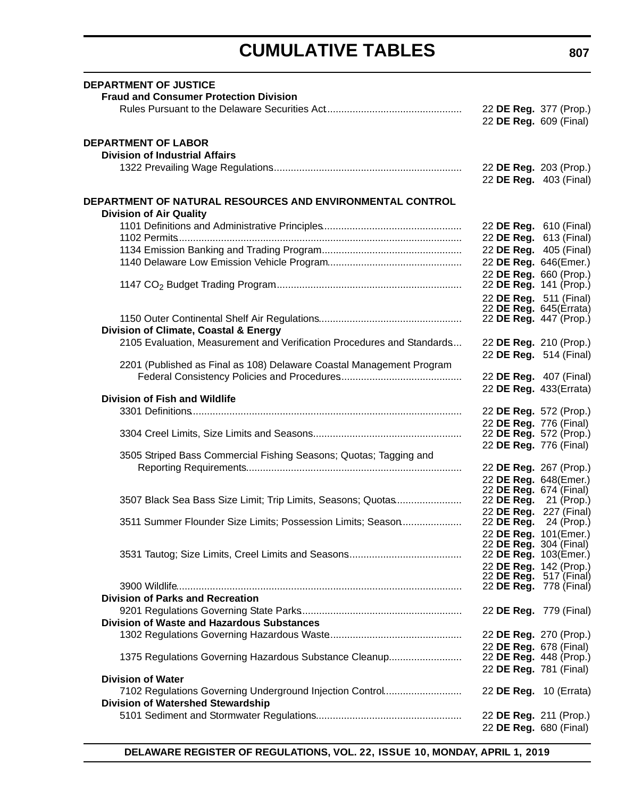| <b>DEPARTMENT OF JUSTICE</b>                                           |                                                        |  |
|------------------------------------------------------------------------|--------------------------------------------------------|--|
| <b>Fraud and Consumer Protection Division</b>                          |                                                        |  |
|                                                                        | 22 DE Reg. 377 (Prop.)                                 |  |
|                                                                        | 22 DE Reg. 609 (Final)                                 |  |
|                                                                        |                                                        |  |
| <b>DEPARTMENT OF LABOR</b>                                             |                                                        |  |
| <b>Division of Industrial Affairs</b>                                  |                                                        |  |
|                                                                        | 22 DE Reg. 203 (Prop.)                                 |  |
|                                                                        | 22 DE Reg. 403 (Final)                                 |  |
| DEPARTMENT OF NATURAL RESOURCES AND ENVIRONMENTAL CONTROL              |                                                        |  |
| <b>Division of Air Quality</b>                                         |                                                        |  |
|                                                                        |                                                        |  |
|                                                                        | 22 DE Reg. 610 (Final)<br>22 DE Reg. 613 (Final)       |  |
|                                                                        | 22 DE Reg. 405 (Final)                                 |  |
|                                                                        |                                                        |  |
|                                                                        | 22 DE Reg. 646(Emer.)                                  |  |
|                                                                        | 22 DE Reg. 660 (Prop.)<br>22 DE Reg. 141 (Prop.)       |  |
|                                                                        |                                                        |  |
|                                                                        | 22 DE Reg. 511 (Final)<br>22 DE Reg. 645(Errata)       |  |
|                                                                        | 22 DE Reg. 447 (Prop.)                                 |  |
| Division of Climate, Coastal & Energy                                  |                                                        |  |
| 2105 Evaluation, Measurement and Verification Procedures and Standards | 22 DE Reg. 210 (Prop.)                                 |  |
|                                                                        | 22 DE Reg. 514 (Final)                                 |  |
| 2201 (Published as Final as 108) Delaware Coastal Management Program   |                                                        |  |
|                                                                        | 22 DE Reg. 407 (Final)                                 |  |
|                                                                        | 22 DE Reg. 433(Errata)                                 |  |
| <b>Division of Fish and Wildlife</b>                                   |                                                        |  |
|                                                                        | 22 DE Reg. 572 (Prop.)                                 |  |
|                                                                        | 22 DE Reg. 776 (Final)                                 |  |
|                                                                        | 22 DE Reg. 572 (Prop.)                                 |  |
|                                                                        | 22 DE Reg. 776 (Final)                                 |  |
| 3505 Striped Bass Commercial Fishing Seasons; Quotas; Tagging and      |                                                        |  |
|                                                                        | 22 DE Reg. 267 (Prop.)                                 |  |
|                                                                        | 22 DE Reg. 648(Emer.)                                  |  |
|                                                                        | 22 <b>DE Reg.</b> 674 (Final)                          |  |
| 3507 Black Sea Bass Size Limit; Trip Limits, Seasons; Quotas           | 22 <b>DE Reg.</b> 21 (Prop.)                           |  |
|                                                                        | 22 DE Reg. 227 (Final)                                 |  |
| 3511 Summer Flounder Size Limits; Possession Limits; Season            | 22 <b>DE Reg.</b> 24 (Prop.)                           |  |
|                                                                        | 22 DE Reg. 101(Emer.)<br>22 <b>DE Reg.</b> 304 (Final) |  |
|                                                                        | 22 DE Reg. 103(Emer.)                                  |  |
|                                                                        | 22 DE Reg. 142 (Prop.)                                 |  |
|                                                                        | 22 DE Reg. 517 (Final)                                 |  |
|                                                                        | 22 DE Reg. 778 (Final)                                 |  |
| <b>Division of Parks and Recreation</b>                                |                                                        |  |
|                                                                        | 22 DE Reg. 779 (Final)                                 |  |
| <b>Division of Waste and Hazardous Substances</b>                      |                                                        |  |
|                                                                        | 22 DE Reg. 270 (Prop.)                                 |  |
|                                                                        | 22 DE Reg. 678 (Final)                                 |  |
| 1375 Regulations Governing Hazardous Substance Cleanup                 | 22 DE Reg. 448 (Prop.)                                 |  |
|                                                                        | 22 DE Reg. 781 (Final)                                 |  |
| <b>Division of Water</b>                                               |                                                        |  |
| 7102 Regulations Governing Underground Injection Control               | 22 DE Reg. 10 (Errata)                                 |  |
| <b>Division of Watershed Stewardship</b>                               |                                                        |  |
|                                                                        | 22 DE Reg. 211 (Prop.)                                 |  |
|                                                                        | 22 DE Reg. 680 (Final)                                 |  |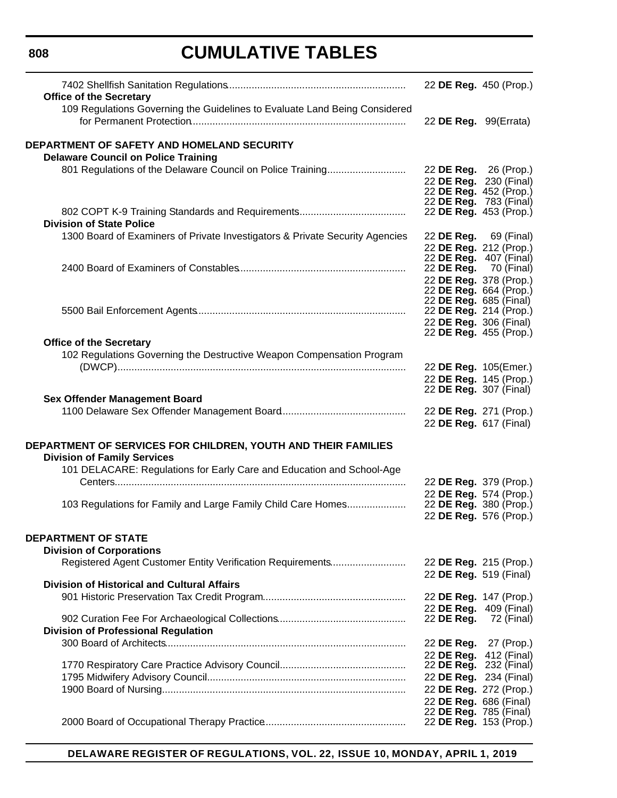| <b>Office of the Secretary</b><br>109 Regulations Governing the Guidelines to Evaluate Land Being Considered | 22 DE Reg. 450 (Prop.)                                                                                     |            |
|--------------------------------------------------------------------------------------------------------------|------------------------------------------------------------------------------------------------------------|------------|
|                                                                                                              | 22 DE Reg. 99(Errata)                                                                                      |            |
| DEPARTMENT OF SAFETY AND HOMELAND SECURITY<br><b>Delaware Council on Police Training</b>                     |                                                                                                            |            |
| 801 Regulations of the Delaware Council on Police Training                                                   | 22 DE Reg. 26 (Prop.)<br>22 DE Reg. 230 (Final)<br>22 DE Reg. 452 (Prop.)<br>22 <b>DE Reg.</b> 783 (Final) |            |
| <b>Division of State Police</b>                                                                              | 22 DE Reg. 453 (Prop.)                                                                                     |            |
| 1300 Board of Examiners of Private Investigators & Private Security Agencies                                 | 22 DE Reg. 69 (Final)<br>22 DE Reg. 212 (Prop.)<br>22 <b>DE Reg.</b> 407 (Final)                           |            |
|                                                                                                              | 22 <b>DE Reg.</b> 70 (Final)<br>22 DE Reg. 378 (Prop.)<br>22 DE Reg. 664 (Prop.)<br>22 DE Reg. 685 (Final) |            |
|                                                                                                              | 22 DE Reg. 214 (Prop.)<br>22 DE Reg. 306 (Final)<br>22 DE Reg. 455 (Prop.)                                 |            |
| <b>Office of the Secretary</b>                                                                               |                                                                                                            |            |
| 102 Regulations Governing the Destructive Weapon Compensation Program                                        |                                                                                                            |            |
|                                                                                                              | 22 DE Reg. 105(Emer.)                                                                                      |            |
|                                                                                                              | 22 DE Reg. 145 (Prop.)<br>22 <b>DE Reg.</b> 307 (Final)                                                    |            |
| <b>Sex Offender Management Board</b>                                                                         |                                                                                                            |            |
|                                                                                                              | 22 DE Reg. 271 (Prop.)<br>22 DE Reg. 617 (Final)                                                           |            |
| DEPARTMENT OF SERVICES FOR CHILDREN, YOUTH AND THEIR FAMILIES<br><b>Division of Family Services</b>          |                                                                                                            |            |
| 101 DELACARE: Regulations for Early Care and Education and School-Age                                        | 22 DE Reg. 379 (Prop.)                                                                                     |            |
| 103 Regulations for Family and Large Family Child Care Homes                                                 | 22 DE Reg. 574 (Prop.)<br>22 <b>DE Reg.</b> 380 (Prop.)<br>22 DE Reg. 576 (Prop.)                          |            |
| <b>DEPARTMENT OF STATE</b><br><b>Division of Corporations</b>                                                |                                                                                                            |            |
| Registered Agent Customer Entity Verification Requirements                                                   | 22 DE Reg. 215 (Prop.)<br>22 DE Reg. 519 (Final)                                                           |            |
| <b>Division of Historical and Cultural Affairs</b>                                                           |                                                                                                            |            |
|                                                                                                              | 22 DE Reg. 147 (Prop.)                                                                                     |            |
| <b>Division of Professional Regulation</b>                                                                   | 22 DE Reg. 409 (Final)<br>22 DE Reg.                                                                       | 72 (Final) |
|                                                                                                              | 22 DE Reg. 27 (Prop.)                                                                                      |            |
|                                                                                                              | 22 DE Reg. 412 (Final)                                                                                     |            |
|                                                                                                              | 22 <b>DE Reg.</b> 232 (Final)                                                                              |            |
|                                                                                                              | 22 DE Reg. 234 (Final)                                                                                     |            |
|                                                                                                              | 22 DE Reg. 272 (Prop.)                                                                                     |            |
|                                                                                                              | 22 DE Reg. 686 (Final)                                                                                     |            |
|                                                                                                              | 22 DE Reg. 785 (Final)<br>22 DE Reg. 153 (Prop.)                                                           |            |

**DELAWARE REGISTER OF REGULATIONS, VOL. 22, ISSUE 10, MONDAY, APRIL 1, 2019**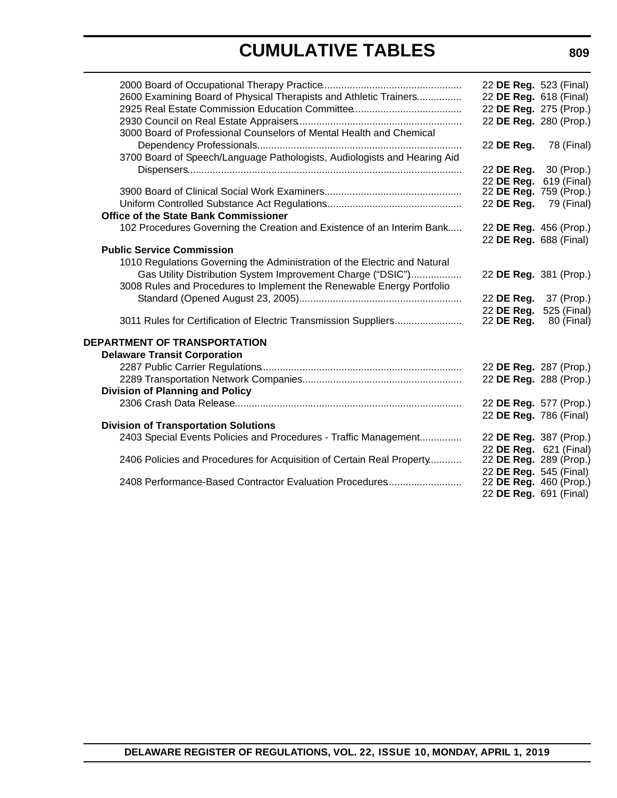|                                                                           | 22 DE Reg. 523 (Final) |             |
|---------------------------------------------------------------------------|------------------------|-------------|
| 2600 Examining Board of Physical Therapists and Athletic Trainers         | 22 DE Reg. 618 (Final) |             |
|                                                                           | 22 DE Reg. 275 (Prop.) |             |
|                                                                           | 22 DE Reg. 280 (Prop.) |             |
| 3000 Board of Professional Counselors of Mental Health and Chemical       |                        |             |
|                                                                           | 22 DE Reg.             | 78 (Final)  |
| 3700 Board of Speech/Language Pathologists, Audiologists and Hearing Aid  |                        |             |
|                                                                           | 22 DE Reg. 30 (Prop.)  |             |
|                                                                           | 22 DE Reg.             | 619 (Final) |
|                                                                           | 22 DE Reg. 759 (Prop.) |             |
|                                                                           | 22 DE Reg.             | 79 (Final)  |
| <b>Office of the State Bank Commissioner</b>                              |                        |             |
| 102 Procedures Governing the Creation and Existence of an Interim Bank    | 22 DE Reg. 456 (Prop.) |             |
|                                                                           | 22 DE Reg. 688 (Final) |             |
| <b>Public Service Commission</b>                                          |                        |             |
| 1010 Regulations Governing the Administration of the Electric and Natural |                        |             |
| Gas Utility Distribution System Improvement Charge ("DSIC")               | 22 DE Reg. 381 (Prop.) |             |
| 3008 Rules and Procedures to Implement the Renewable Energy Portfolio     |                        |             |
|                                                                           | 22 DE Reg. 37 (Prop.)  |             |
|                                                                           | 22 DE Reg.             | 525 (Final) |
| 3011 Rules for Certification of Electric Transmission Suppliers           | 22 DE Reg.             | 80 (Final)  |
|                                                                           |                        |             |
| <b>DEPARTMENT OF TRANSPORTATION</b>                                       |                        |             |
| <b>Delaware Transit Corporation</b>                                       |                        |             |
|                                                                           | 22 DE Reg. 287 (Prop.) |             |
|                                                                           | 22 DE Reg. 288 (Prop.) |             |
| <b>Division of Planning and Policy</b>                                    |                        |             |
|                                                                           | 22 DE Reg. 577 (Prop.) |             |
| <b>Division of Transportation Solutions</b>                               | 22 DE Reg. 786 (Final) |             |
| 2403 Special Events Policies and Procedures - Traffic Management          | 22 DE Reg. 387 (Prop.) |             |
|                                                                           | 22 DE Reg. 621 (Final) |             |
| 2406 Policies and Procedures for Acquisition of Certain Real Property     | 22 DE Reg. 289 (Prop.) |             |
|                                                                           | 22 DE Reg. 545 (Final) |             |
| 2408 Performance-Based Contractor Evaluation Procedures                   | 22 DE Reg. 460 (Prop.) |             |
|                                                                           | 22 DE Reg. 691 (Final) |             |
|                                                                           |                        |             |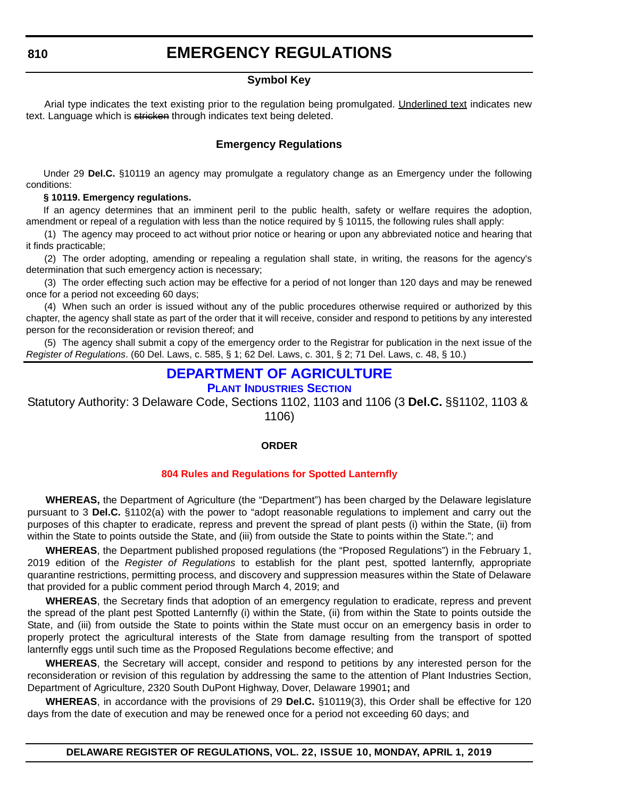#### **Symbol Key**

<span id="page-11-0"></span>Arial type indicates the text existing prior to the regulation being promulgated. Underlined text indicates new text. Language which is stricken through indicates text being deleted.

#### **Emergency Regulations**

Under 29 **Del.C.** §10119 an agency may promulgate a regulatory change as an Emergency under the following conditions:

#### **§ 10119. Emergency regulations.**

If an agency determines that an imminent peril to the public health, safety or welfare requires the adoption, amendment or repeal of a regulation with less than the notice required by § 10115, the following rules shall apply:

(1) The agency may proceed to act without prior notice or hearing or upon any abbreviated notice and hearing that it finds practicable;

(2) The order adopting, amending or repealing a regulation shall state, in writing, the reasons for the agency's determination that such emergency action is necessary;

(3) The order effecting such action may be effective for a period of not longer than 120 days and may be renewed once for a period not exceeding 60 days;

(4) When such an order is issued without any of the public procedures otherwise required or authorized by this chapter, the agency shall state as part of the order that it will receive, consider and respond to petitions by any interested person for the reconsideration or revision thereof; and

(5) The agency shall submit a copy of the emergency order to the Registrar for publication in the next issue of the *Register of Regulations*. (60 Del. Laws, c. 585, § 1; 62 Del. Laws, c. 301, § 2; 71 Del. Laws, c. 48, § 10.)

#### **[DEPARTMENT OF AGRICULTURE](https://agriculture.delaware.gov/plant-industries/)**

**PLANT INDUSTRIES SECTION**

Statutory Authority: 3 Delaware Code, Sections 1102, 1103 and 1106 (3 **Del.C.** §§1102, 1103 & 1106)

#### **ORDER**

#### **[804 Rules and Regulations for Spotted Lanternfly](#page-3-0)**

**WHEREAS,** the Department of Agriculture (the "Department") has been charged by the Delaware legislature pursuant to 3 **Del.C.** §1102(a) with the power to "adopt reasonable regulations to implement and carry out the purposes of this chapter to eradicate, repress and prevent the spread of plant pests (i) within the State, (ii) from within the State to points outside the State, and (iii) from outside the State to points within the State."; and

**WHEREAS**, the Department published proposed regulations (the "Proposed Regulations") in the February 1, 2019 edition of the *Register of Regulations* to establish for the plant pest, spotted lanternfly, appropriate quarantine restrictions, permitting process, and discovery and suppression measures within the State of Delaware that provided for a public comment period through March 4, 2019; and

**WHEREAS**, the Secretary finds that adoption of an emergency regulation to eradicate, repress and prevent the spread of the plant pest Spotted Lanternfly (i) within the State, (ii) from within the State to points outside the State, and (iii) from outside the State to points within the State must occur on an emergency basis in order to properly protect the agricultural interests of the State from damage resulting from the transport of spotted lanternfly eggs until such time as the Proposed Regulations become effective; and

**WHEREAS**, the Secretary will accept, consider and respond to petitions by any interested person for the reconsideration or revision of this regulation by addressing the same to the attention of Plant Industries Section, Department of Agriculture, 2320 South DuPont Highway, Dover, Delaware 19901**;** and

**WHEREAS**, in accordance with the provisions of 29 **Del.C.** §10119(3), this Order shall be effective for 120 days from the date of execution and may be renewed once for a period not exceeding 60 days; and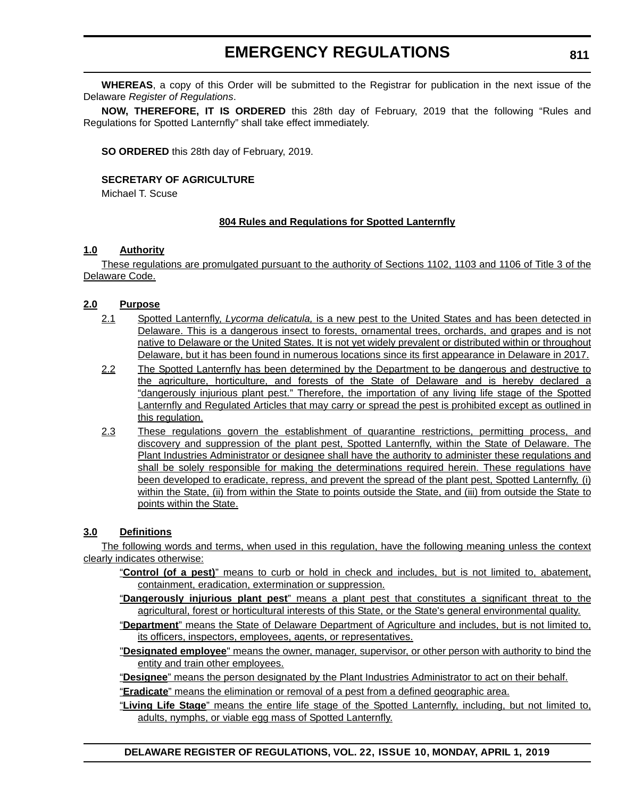**WHEREAS**, a copy of this Order will be submitted to the Registrar for publication in the next issue of the Delaware *Register of Regulations*.

**NOW, THEREFORE, IT IS ORDERED** this 28th day of February, 2019 that the following "Rules and Regulations for Spotted Lanternfly" shall take effect immediately.

**SO ORDERED** this 28th day of February, 2019.

#### **SECRETARY OF AGRICULTURE**

Michael T. Scuse

#### **804 Rules and Regulations for Spotted Lanternfly**

#### **1.0 Authority**

These regulations are promulgated pursuant to the authority of Sections 1102, 1103 and 1106 of Title 3 of the Delaware Code.

#### **2.0 Purpose**

- 2.1 Spotted Lanternfly, *Lycorma delicatula,* is a new pest to the United States and has been detected in Delaware. This is a dangerous insect to forests, ornamental trees, orchards, and grapes and is not native to Delaware or the United States. It is not yet widely prevalent or distributed within or throughout Delaware, but it has been found in numerous locations since its first appearance in Delaware in 2017.
- 2.2 The Spotted Lanternfly has been determined by the Department to be dangerous and destructive to the agriculture, horticulture, and forests of the State of Delaware and is hereby declared a "dangerously injurious plant pest." Therefore, the importation of any living life stage of the Spotted Lanternfly and Regulated Articles that may carry or spread the pest is prohibited except as outlined in this regulation.
- 2.3 These regulations govern the establishment of quarantine restrictions, permitting process, and discovery and suppression of the plant pest, Spotted Lanternfly, within the State of Delaware. The Plant Industries Administrator or designee shall have the authority to administer these regulations and shall be solely responsible for making the determinations required herein. These regulations have been developed to eradicate, repress, and prevent the spread of the plant pest, Spotted Lanternfly*,* (i) within the State, (ii) from within the State to points outside the State, and (iii) from outside the State to points within the State.

#### **3.0 Definitions**

The following words and terms, when used in this regulation, have the following meaning unless the context clearly indicates otherwise:

- "**Control (of a pest)**" means to curb or hold in check and includes, but is not limited to, abatement, containment, eradication, extermination or suppression.
- "**Dangerously injurious plant pest**" means a plant pest that constitutes a significant threat to the agricultural, forest or horticultural interests of this State, or the State's general environmental quality.
- "**Department**" means the State of Delaware Department of Agriculture and includes, but is not limited to, its officers, inspectors, employees, agents, or representatives.
- "**Designated employee**" means the owner, manager, supervisor, or other person with authority to bind the entity and train other employees.

"**Designee**" means the person designated by the Plant Industries Administrator to act on their behalf.

"**Eradicate**" means the elimination or removal of a pest from a defined geographic area.

"**Living Life Stage**" means the entire life stage of the Spotted Lanternfly, including, but not limited to, adults, nymphs, or viable egg mass of Spotted Lanternfly.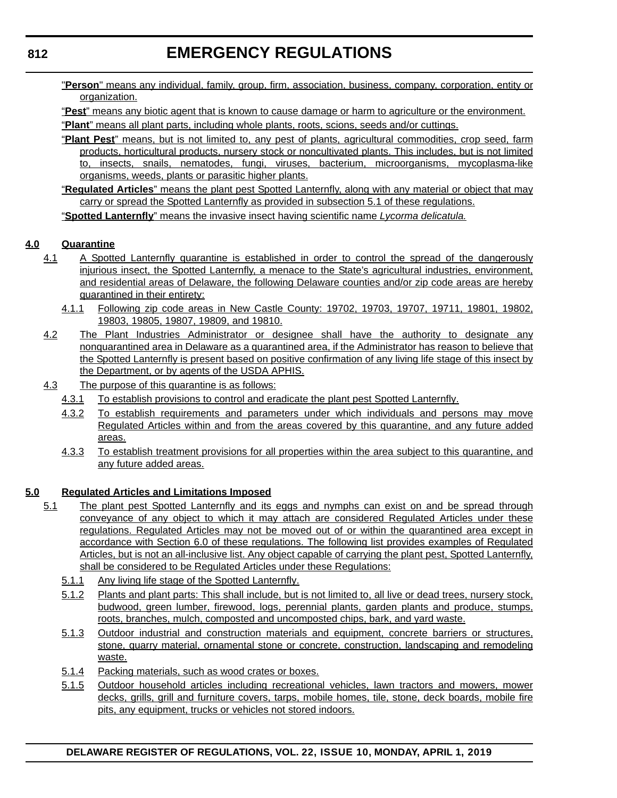"**Person**" means any individual, family, group, firm, association, business, company, corporation, entity or organization.

"**Pest**" means any biotic agent that is known to cause damage or harm to agriculture or the environment. "**Plant**" means all plant parts, including whole plants, roots, scions, seeds and/or cuttings.

- "**Plant Pest**" means, but is not limited to, any pest of plants, agricultural commodities, crop seed, farm products, horticultural products, nursery stock or noncultivated plants. This includes, but is not limited to, insects, snails, nematodes, fungi, viruses, bacterium, microorganisms, mycoplasma-like organisms, weeds, plants or parasitic higher plants.
- "**Regulated Articles**" means the plant pest Spotted Lanternfly, along with any material or object that may carry or spread the Spotted Lanternfly as provided in subsection 5.1 of these regulations.

"**Spotted Lanternfly**" means the invasive insect having scientific name *Lycorma delicatula.*

#### **4.0 Quarantine**

- 4.1 A Spotted Lanternfly quarantine is established in order to control the spread of the dangerously injurious insect, the Spotted Lanternfly, a menace to the State's agricultural industries, environment, and residential areas of Delaware, the following Delaware counties and/or zip code areas are hereby quarantined in their entirety:
	- 4.1.1 Following zip code areas in New Castle County: 19702, 19703, 19707, 19711, 19801, 19802, 19803, 19805, 19807, 19809, and 19810.
- 4.2 The Plant Industries Administrator or designee shall have the authority to designate any nonquarantined area in Delaware as a quarantined area, if the Administrator has reason to believe that the Spotted Lanternfly is present based on positive confirmation of any living life stage of this insect by the Department, or by agents of the USDA APHIS.
- 4.3 The purpose of this quarantine is as follows:
	- 4.3.1 To establish provisions to control and eradicate the plant pest Spotted Lanternfly.
	- 4.3.2 To establish requirements and parameters under which individuals and persons may move Regulated Articles within and from the areas covered by this quarantine, and any future added areas.
	- 4.3.3 To establish treatment provisions for all properties within the area subject to this quarantine, and any future added areas.

#### **5.0 Regulated Articles and Limitations Imposed**

- 5.1 The plant pest Spotted Lanternfly and its eggs and nymphs can exist on and be spread through conveyance of any object to which it may attach are considered Regulated Articles under these regulations. Regulated Articles may not be moved out of or within the quarantined area except in accordance with Section 6.0 of these regulations. The following list provides examples of Regulated Articles, but is not an all-inclusive list. Any object capable of carrying the plant pest, Spotted Lanternfly, shall be considered to be Regulated Articles under these Regulations:
	- 5.1.1 Any living life stage of the Spotted Lanternfly.
	- 5.1.2 Plants and plant parts: This shall include, but is not limited to, all live or dead trees, nursery stock, budwood, green lumber, firewood, logs, perennial plants, garden plants and produce, stumps, roots, branches, mulch, composted and uncomposted chips, bark, and yard waste.
	- 5.1.3 Outdoor industrial and construction materials and equipment, concrete barriers or structures, stone, quarry material, ornamental stone or concrete, construction, landscaping and remodeling waste.
	- 5.1.4 Packing materials, such as wood crates or boxes.
	- 5.1.5 Outdoor household articles including recreational vehicles, lawn tractors and mowers, mower decks, grills, grill and furniture covers, tarps, mobile homes, tile, stone, deck boards, mobile fire pits, any equipment, trucks or vehicles not stored indoors.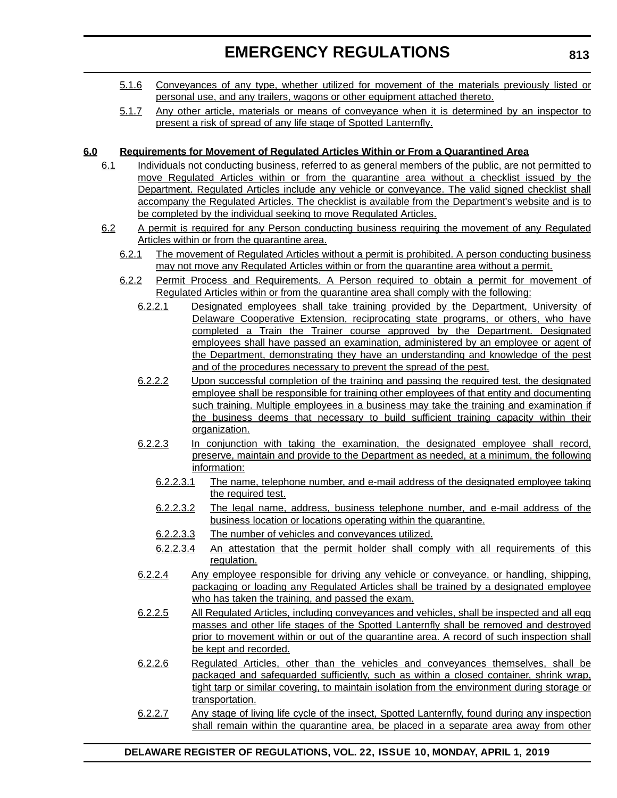- 5.1.6 Conveyances of any type, whether utilized for movement of the materials previously listed or personal use, and any trailers, wagons or other equipment attached thereto.
- 5.1.7 Any other article, materials or means of conveyance when it is determined by an inspector to present a risk of spread of any life stage of Spotted Lanternfly.

#### **6.0 Requirements for Movement of Regulated Articles Within or From a Quarantined Area**

- 6.1 Individuals not conducting business, referred to as general members of the public, are not permitted to move Regulated Articles within or from the quarantine area without a checklist issued by the Department. Regulated Articles include any vehicle or conveyance. The valid signed checklist shall accompany the Regulated Articles. The checklist is available from the Department's website and is to be completed by the individual seeking to move Regulated Articles.
- 6.2 A permit is required for any Person conducting business requiring the movement of any Regulated Articles within or from the quarantine area.
	- 6.2.1 The movement of Regulated Articles without a permit is prohibited. A person conducting business may not move any Regulated Articles within or from the quarantine area without a permit.
	- 6.2.2 Permit Process and Requirements. A Person required to obtain a permit for movement of Regulated Articles within or from the quarantine area shall comply with the following:
		- 6.2.2.1 Designated employees shall take training provided by the Department, University of Delaware Cooperative Extension, reciprocating state programs, or others, who have completed a Train the Trainer course approved by the Department. Designated employees shall have passed an examination, administered by an employee or agent of the Department, demonstrating they have an understanding and knowledge of the pest and of the procedures necessary to prevent the spread of the pest.
		- 6.2.2.2 Upon successful completion of the training and passing the required test, the designated employee shall be responsible for training other employees of that entity and documenting such training. Multiple employees in a business may take the training and examination if the business deems that necessary to build sufficient training capacity within their organization.
		- 6.2.2.3 In conjunction with taking the examination, the designated employee shall record, preserve, maintain and provide to the Department as needed, at a minimum, the following information:
			- 6.2.2.3.1 The name, telephone number, and e-mail address of the designated employee taking the required test.
			- 6.2.2.3.2 The legal name, address, business telephone number, and e-mail address of the business location or locations operating within the quarantine.
			- 6.2.2.3.3 The number of vehicles and conveyances utilized.
			- 6.2.2.3.4 An attestation that the permit holder shall comply with all requirements of this regulation.
		- 6.2.2.4 Any employee responsible for driving any vehicle or conveyance, or handling, shipping, packaging or loading any Regulated Articles shall be trained by a designated employee who has taken the training, and passed the exam.
		- 6.2.2.5 All Regulated Articles, including conveyances and vehicles, shall be inspected and all egg masses and other life stages of the Spotted Lanternfly shall be removed and destroyed prior to movement within or out of the quarantine area. A record of such inspection shall be kept and recorded.
		- 6.2.2.6 Regulated Articles, other than the vehicles and conveyances themselves, shall be packaged and safeguarded sufficiently, such as within a closed container, shrink wrap, tight tarp or similar covering, to maintain isolation from the environment during storage or transportation.
		- 6.2.2.7 Any stage of living life cycle of the insect, Spotted Lanternfly, found during any inspection shall remain within the quarantine area, be placed in a separate area away from other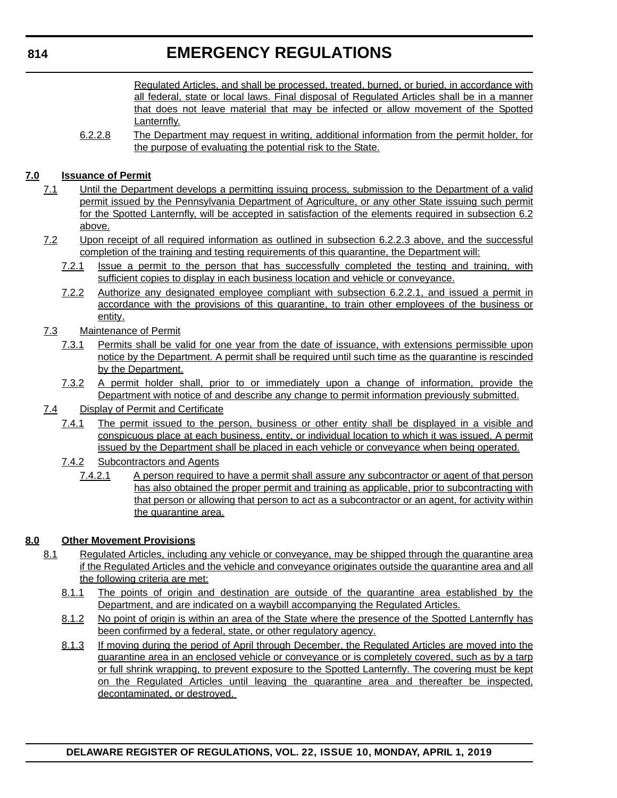Regulated Articles, and shall be processed, treated, burned, or buried, in accordance with all federal, state or local laws. Final disposal of Regulated Articles shall be in a manner that does not leave material that may be infected or allow movement of the Spotted Lanternfly.

6.2.2.8 The Department may request in writing, additional information from the permit holder, for the purpose of evaluating the potential risk to the State.

#### **7.0 Issuance of Permit**

- 7.1 Until the Department develops a permitting issuing process, submission to the Department of a valid permit issued by the Pennsylvania Department of Agriculture, or any other State issuing such permit for the Spotted Lanternfly, will be accepted in satisfaction of the elements required in subsection 6.2 above.
- 7.2 Upon receipt of all required information as outlined in subsection 6.2.2.3 above, and the successful completion of the training and testing requirements of this quarantine, the Department will:
	- 7.2.1 Issue a permit to the person that has successfully completed the testing and training, with sufficient copies to display in each business location and vehicle or conveyance.
	- 7.2.2 Authorize any designated employee compliant with subsection 6.2.2.1, and issued a permit in accordance with the provisions of this quarantine, to train other employees of the business or entity.
- 7.3 Maintenance of Permit
	- 7.3.1 Permits shall be valid for one year from the date of issuance, with extensions permissible upon notice by the Department. A permit shall be required until such time as the quarantine is rescinded by the Department.
	- 7.3.2 A permit holder shall, prior to or immediately upon a change of information, provide the Department with notice of and describe any change to permit information previously submitted.
- 7.4 Display of Permit and Certificate
	- 7.4.1 The permit issued to the person, business or other entity shall be displayed in a visible and conspicuous place at each business, entity, or individual location to which it was issued. A permit issued by the Department shall be placed in each vehicle or conveyance when being operated.
	- 7.4.2 Subcontractors and Agents
		- 7.4.2.1 A person required to have a permit shall assure any subcontractor or agent of that person has also obtained the proper permit and training as applicable, prior to subcontracting with that person or allowing that person to act as a subcontractor or an agent, for activity within the quarantine area.

#### **8.0 Other Movement Provisions**

- 8.1 Regulated Articles, including any vehicle or conveyance, may be shipped through the quarantine area if the Regulated Articles and the vehicle and conveyance originates outside the quarantine area and all the following criteria are met:
	- 8.1.1 The points of origin and destination are outside of the quarantine area established by the Department, and are indicated on a waybill accompanying the Regulated Articles.
	- 8.1.2 No point of origin is within an area of the State where the presence of the Spotted Lanternfly has been confirmed by a federal, state, or other regulatory agency.
	- 8.1.3 If moving during the period of April through December, the Regulated Articles are moved into the quarantine area in an enclosed vehicle or conveyance or is completely covered, such as by a tarp or full shrink wrapping, to prevent exposure to the Spotted Lanternfly. The covering must be kept on the Regulated Articles until leaving the quarantine area and thereafter be inspected, decontaminated, or destroyed.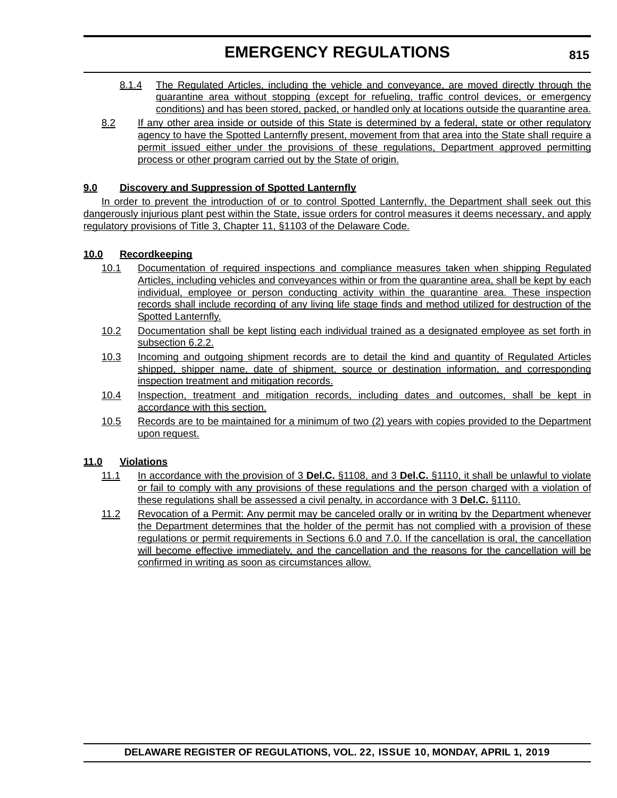- 8.1.4 The Regulated Articles, including the vehicle and conveyance, are moved directly through the quarantine area without stopping (except for refueling, traffic control devices, or emergency conditions) and has been stored, packed, or handled only at locations outside the quarantine area.
- 8.2 If any other area inside or outside of this State is determined by a federal, state or other regulatory agency to have the Spotted Lanternfly present, movement from that area into the State shall require a permit issued either under the provisions of these regulations, Department approved permitting process or other program carried out by the State of origin.

#### **9.0 Discovery and Suppression of Spotted Lanternfly**

In order to prevent the introduction of or to control Spotted Lanternfly, the Department shall seek out this dangerously injurious plant pest within the State, issue orders for control measures it deems necessary, and apply regulatory provisions of Title 3, Chapter 11, §1103 of the Delaware Code.

#### **10.0 Recordkeeping**

- 10.1 Documentation of required inspections and compliance measures taken when shipping Regulated Articles, including vehicles and conveyances within or from the quarantine area, shall be kept by each individual, employee or person conducting activity within the quarantine area. These inspection records shall include recording of any living life stage finds and method utilized for destruction of the Spotted Lanternfly.
- 10.2 Documentation shall be kept listing each individual trained as a designated employee as set forth in subsection 6.2.2.
- 10.3 Incoming and outgoing shipment records are to detail the kind and quantity of Regulated Articles shipped, shipper name, date of shipment, source or destination information, and corresponding inspection treatment and mitigation records.
- 10.4 Inspection, treatment and mitigation records, including dates and outcomes, shall be kept in accordance with this section.
- 10.5 Records are to be maintained for a minimum of two (2) years with copies provided to the Department upon request.

#### **11.0 Violations**

- 11.1 In accordance with the provision of 3 **Del.C.** §1108, and 3 **Del.C.** §1110, it shall be unlawful to violate or fail to comply with any provisions of these regulations and the person charged with a violation of these regulations shall be assessed a civil penalty, in accordance with 3 **Del.C.** §1110.
- 11.2 Revocation of a Permit: Any permit may be canceled orally or in writing by the Department whenever the Department determines that the holder of the permit has not complied with a provision of these regulations or permit requirements in Sections 6.0 and 7.0. If the cancellation is oral, the cancellation will become effective immediately, and the cancellation and the reasons for the cancellation will be confirmed in writing as soon as circumstances allow.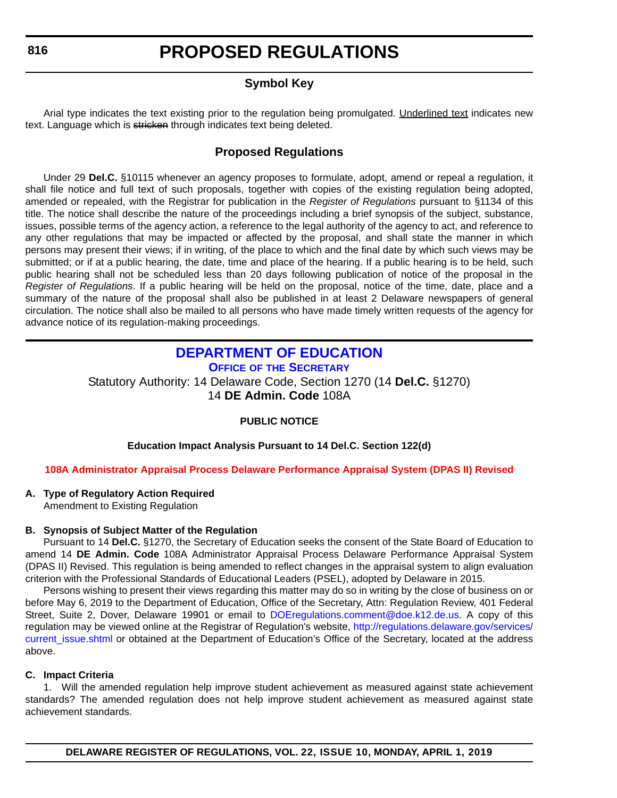#### **Symbol Key**

<span id="page-17-0"></span>Arial type indicates the text existing prior to the regulation being promulgated. Underlined text indicates new text. Language which is stricken through indicates text being deleted.

#### **Proposed Regulations**

Under 29 **Del.C.** §10115 whenever an agency proposes to formulate, adopt, amend or repeal a regulation, it shall file notice and full text of such proposals, together with copies of the existing regulation being adopted, amended or repealed, with the Registrar for publication in the *Register of Regulations* pursuant to §1134 of this title. The notice shall describe the nature of the proceedings including a brief synopsis of the subject, substance, issues, possible terms of the agency action, a reference to the legal authority of the agency to act, and reference to any other regulations that may be impacted or affected by the proposal, and shall state the manner in which persons may present their views; if in writing, of the place to which and the final date by which such views may be submitted; or if at a public hearing, the date, time and place of the hearing. If a public hearing is to be held, such public hearing shall not be scheduled less than 20 days following publication of notice of the proposal in the *Register of Regulations*. If a public hearing will be held on the proposal, notice of the time, date, place and a summary of the nature of the proposal shall also be published in at least 2 Delaware newspapers of general circulation. The notice shall also be mailed to all persons who have made timely written requests of the agency for advance notice of its regulation-making proceedings.

### **[DEPARTMENT OF EDUCATION](https://www.doe.k12.de.us/)**

**OFFICE OF THE SECRETARY**

Statutory Authority: 14 Delaware Code, Section 1270 (14 **Del.C.** §1270) 14 **DE Admin. Code** 108A

#### **PUBLIC NOTICE**

#### **Education Impact Analysis Pursuant to 14 Del.C. Section 122(d)**

#### **[108A Administrator Appraisal Process Delaware Performance Appraisal System \(DPAS II\) Revised](#page-3-0)**

#### **A. Type of Regulatory Action Required**

Amendment to Existing Regulation

#### **B. Synopsis of Subject Matter of the Regulation**

Pursuant to 14 **Del.C.** §1270, the Secretary of Education seeks the consent of the State Board of Education to amend 14 **DE Admin. Code** 108A Administrator Appraisal Process Delaware Performance Appraisal System (DPAS II) Revised. This regulation is being amended to reflect changes in the appraisal system to align evaluation criterion with the Professional Standards of Educational Leaders (PSEL), adopted by Delaware in 2015.

Persons wishing to present their views regarding this matter may do so in writing by the close of business on or before May 6, 2019 to the Department of Education, Office of the Secretary, Attn: Regulation Review, 401 Federal Street, Suite 2, Dover, Delaware 19901 or email to [DOEregulations.comment@doe.k12.de.us.](mailto:DOEregulations.comment@doe.k12.de.us) A copy of this regulation may be viewed online at the Registrar of Regulation's website, [http://regulations.delaware.gov/services/](http://regulations.delaware.gov/services/current_issue.shtml) current issue.shtml or obtained at the Department of Education's Office of the Secretary, located at the address above.

#### **C. Impact Criteria**

1. Will the amended regulation help improve student achievement as measured against state achievement standards? The amended regulation does not help improve student achievement as measured against state achievement standards.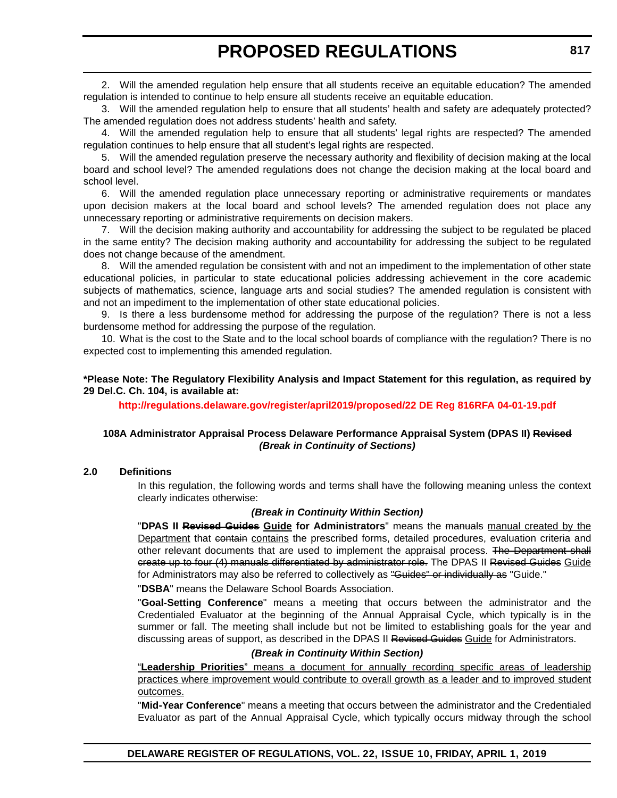2. Will the amended regulation help ensure that all students receive an equitable education? The amended regulation is intended to continue to help ensure all students receive an equitable education.

3. Will the amended regulation help to ensure that all students' health and safety are adequately protected? The amended regulation does not address students' health and safety.

4. Will the amended regulation help to ensure that all students' legal rights are respected? The amended regulation continues to help ensure that all student's legal rights are respected.

5. Will the amended regulation preserve the necessary authority and flexibility of decision making at the local board and school level? The amended regulations does not change the decision making at the local board and school level.

6. Will the amended regulation place unnecessary reporting or administrative requirements or mandates upon decision makers at the local board and school levels? The amended regulation does not place any unnecessary reporting or administrative requirements on decision makers.

7. Will the decision making authority and accountability for addressing the subject to be regulated be placed in the same entity? The decision making authority and accountability for addressing the subject to be regulated does not change because of the amendment.

8. Will the amended regulation be consistent with and not an impediment to the implementation of other state educational policies, in particular to state educational policies addressing achievement in the core academic subjects of mathematics, science, language arts and social studies? The amended regulation is consistent with and not an impediment to the implementation of other state educational policies.

9. Is there a less burdensome method for addressing the purpose of the regulation? There is not a less burdensome method for addressing the purpose of the regulation.

10. What is the cost to the State and to the local school boards of compliance with the regulation? There is no expected cost to implementing this amended regulation.

#### **\*Please Note: The Regulatory Flexibility Analysis and Impact Statement for this regulation, as required by 29 Del.C. Ch. 104, is available at:**

**<http://regulations.delaware.gov/register/april2019/proposed/22 DE Reg 816RFA 04-01-19.pdf>**

#### **108A Administrator Appraisal Process Delaware Performance Appraisal System (DPAS II) Revised** *(Break in Continuity of Sections)*

#### **2.0 Definitions**

In this regulation, the following words and terms shall have the following meaning unless the context clearly indicates otherwise:

#### *(Break in Continuity Within Section)*

"**DPAS II Revised Guides Guide for Administrators**" means the manuals manual created by the Department that containe contains the prescribed forms, detailed procedures, evaluation criteria and other relevant documents that are used to implement the appraisal process. The Department shall create up to four (4) manuals differentiated by administrator role. The DPAS II Revised Guides Guide for Administrators may also be referred to collectively as "Guides" or individually as "Guide."

"**DSBA**" means the Delaware School Boards Association.

"**Goal-Setting Conference**" means a meeting that occurs between the administrator and the Credentialed Evaluator at the beginning of the Annual Appraisal Cycle, which typically is in the summer or fall. The meeting shall include but not be limited to establishing goals for the year and discussing areas of support, as described in the DPAS II Revised Guides Guide for Administrators.

#### *(Break in Continuity Within Section)*

"**Leadership Priorities**" means a document for annually recording specific areas of leadership practices where improvement would contribute to overall growth as a leader and to improved student outcomes.

"**Mid-Year Conference**" means a meeting that occurs between the administrator and the Credentialed Evaluator as part of the Annual Appraisal Cycle, which typically occurs midway through the school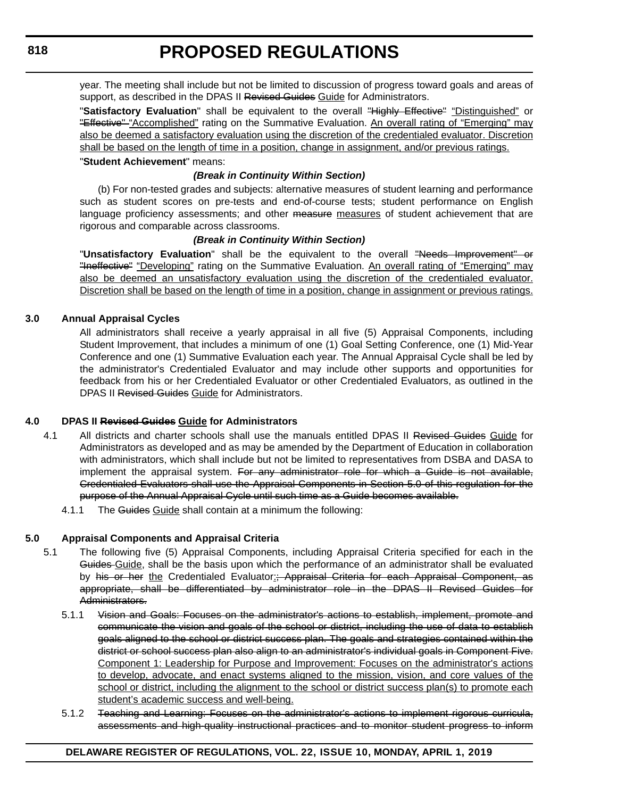year. The meeting shall include but not be limited to discussion of progress toward goals and areas of support, as described in the DPAS II Revised Guides Guide for Administrators.

"Satisfactory Evaluation" shall be equivalent to the overall "Highly Effective" "Distinguished" or "Effective" "Accomplished" rating on the Summative Evaluation. An overall rating of "Emerging" may also be deemed a satisfactory evaluation using the discretion of the credentialed evaluator. Discretion shall be based on the length of time in a position, change in assignment, and/or previous ratings.

#### "**Student Achievement**" means:

#### *(Break in Continuity Within Section)*

(b) For non-tested grades and subjects: alternative measures of student learning and performance such as student scores on pre-tests and end-of-course tests; student performance on English language proficiency assessments; and other measure measures of student achievement that are rigorous and comparable across classrooms.

#### *(Break in Continuity Within Section)*

"Unsatisfactory Evaluation" shall be the equivalent to the overall "Needs Improvement" or "Ineffective" "Developing" rating on the Summative Evaluation. An overall rating of "Emerging" may also be deemed an unsatisfactory evaluation using the discretion of the credentialed evaluator. Discretion shall be based on the length of time in a position, change in assignment or previous ratings.

#### **3.0 Annual Appraisal Cycles**

All administrators shall receive a yearly appraisal in all five (5) Appraisal Components, including Student Improvement, that includes a minimum of one (1) Goal Setting Conference, one (1) Mid-Year Conference and one (1) Summative Evaluation each year. The Annual Appraisal Cycle shall be led by the administrator's Credentialed Evaluator and may include other supports and opportunities for feedback from his or her Credentialed Evaluator or other Credentialed Evaluators, as outlined in the DPAS II Revised Guides Guide for Administrators.

#### **4.0 DPAS II Revised Guides Guide for Administrators**

- 4.1 All districts and charter schools shall use the manuals entitled DPAS II Revised Guides Guide for Administrators as developed and as may be amended by the Department of Education in collaboration with administrators, which shall include but not be limited to representatives from DSBA and DASA to implement the appraisal system. For any administrator role for which a Guide is not available, Credentialed Evaluators shall use the Appraisal Components in Section 5.0 of this regulation for the purpose of the Annual Appraisal Cycle until such time as a Guide becomes available.
	- 4.1.1 The Guides Guide shall contain at a minimum the following:

#### **5.0 Appraisal Components and Appraisal Criteria**

- 5.1 The following five (5) Appraisal Components, including Appraisal Criteria specified for each in the Guides Guide, shall be the basis upon which the performance of an administrator shall be evaluated by his or her the Credentialed Evaluator: Appraisal Criteria for each Appraisal Component, as appropriate, shall be differentiated by administrator role in the DPAS II Revised Guides for Administrators.
	- 5.1.1 Vision and Goals: Focuses on the administrator's actions to establish, implement, promote and communicate the vision and goals of the school or district, including the use of data to establish goals aligned to the school or district success plan. The goals and strategies contained within the district or school success plan also align to an administrator's individual goals in Component Five. Component 1: Leadership for Purpose and Improvement: Focuses on the administrator's actions to develop, advocate, and enact systems aligned to the mission, vision, and core values of the school or district, including the alignment to the school or district success plan(s) to promote each student's academic success and well-being.
	- 5.1.2 Teaching and Learning: Focuses on the administrator's actions to implement rigorous curricula, assessments and high-quality instructional practices and to monitor student progress to inform

#### **DELAWARE REGISTER OF REGULATIONS, VOL. 22, ISSUE 10, MONDAY, APRIL 1, 2019**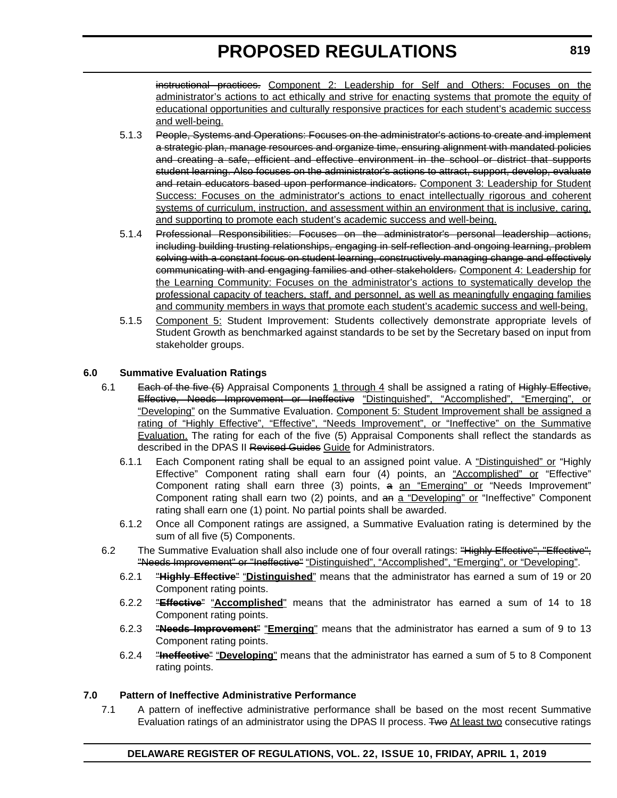instructional practices. Component 2: Leadership for Self and Others: Focuses on the administrator's actions to act ethically and strive for enacting systems that promote the equity of educational opportunities and culturally responsive practices for each student's academic success and well-being.

- 5.1.3 People, Systems and Operations: Focuses on the administrator's actions to create and implement a strategic plan, manage resources and organize time, ensuring alignment with mandated policies and creating a safe, efficient and effective environment in the school or district that supports student learning. Also focuses on the administrator's actions to attract, support, develop, evaluate and retain educators based upon performance indicators. Component 3: Leadership for Student Success: Focuses on the administrator's actions to enact intellectually rigorous and coherent systems of curriculum, instruction, and assessment within an environment that is inclusive, caring, and supporting to promote each student's academic success and well-being.
- 5.1.4 Professional Responsibilities: Focuses on the administrator's personal leadership actions, including building trusting relationships, engaging in self-reflection and ongoing learning, problem solving with a constant focus on student learning, constructively managing change and effectively communicating with and engaging families and other stakeholders. Component 4: Leadership for the Learning Community: Focuses on the administrator's actions to systematically develop the professional capacity of teachers, staff, and personnel, as well as meaningfully engaging families and community members in ways that promote each student's academic success and well-being.
- 5.1.5 Component 5: Student Improvement: Students collectively demonstrate appropriate levels of Student Growth as benchmarked against standards to be set by the Secretary based on input from stakeholder groups.

#### **6.0 Summative Evaluation Ratings**

- 6.1 Each of the five (5) Appraisal Components 1 through 4 shall be assigned a rating of Highly Effective, Effective, Needs Improvement or Ineffective "Distinguished", "Accomplished", "Emerging", or "Developing" on the Summative Evaluation. Component 5: Student Improvement shall be assigned a rating of "Highly Effective", "Effective", "Needs Improvement", or "Ineffective" on the Summative Evaluation. The rating for each of the five (5) Appraisal Components shall reflect the standards as described in the DPAS II Revised Guides Guide for Administrators.
	- 6.1.1 Each Component rating shall be equal to an assigned point value. A "Distinguished" or "Highly Effective" Component rating shall earn four (4) points, an "Accomplished" or "Effective" Component rating shall earn three (3) points, a an "Emerging" or "Needs Improvement" Component rating shall earn two (2) points, and an a "Developing" or "Ineffective" Component rating shall earn one (1) point. No partial points shall be awarded.
	- 6.1.2 Once all Component ratings are assigned, a Summative Evaluation rating is determined by the sum of all five (5) Components.
	- 6.2 The Summative Evaluation shall also include one of four overall ratings: "Highly Effective", "Effective", "Needs Improvement" or "Ineffective" "Distinguished", "Accomplished", "Emerging", or "Developing".
		- 6.2.1 "**Highly Effective**" "**Distinguished**" means that the administrator has earned a sum of 19 or 20 Component rating points.
		- 6.2.2 "**Effective**" "**Accomplished**" means that the administrator has earned a sum of 14 to 18 Component rating points.
		- 6.2.3 "**Needs Improvement**" "**Emerging**" means that the administrator has earned a sum of 9 to 13 Component rating points.
		- 6.2.4 "**Ineffective**" "**Developing**" means that the administrator has earned a sum of 5 to 8 Component rating points.

#### **7.0 Pattern of Ineffective Administrative Performance**

7.1 A pattern of ineffective administrative performance shall be based on the most recent Summative Evaluation ratings of an administrator using the DPAS II process. Two At least two consecutive ratings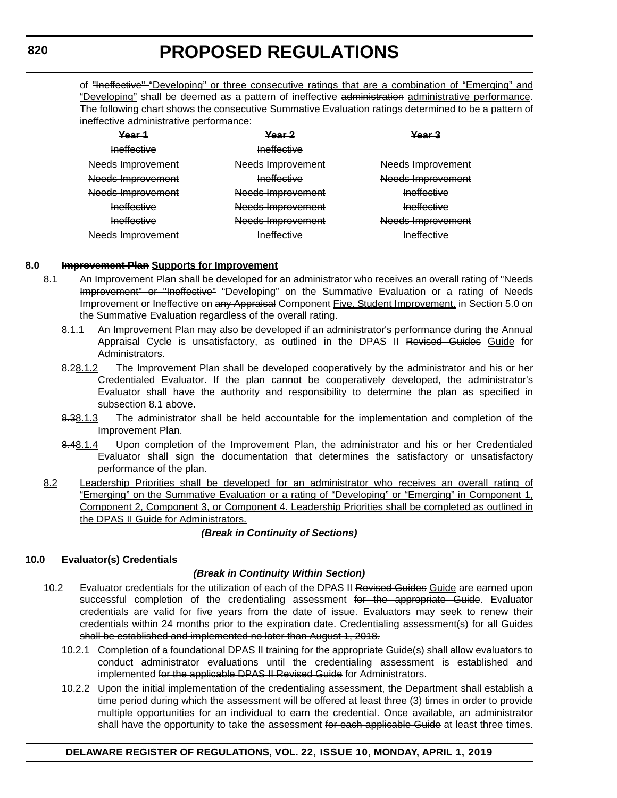of "*Ineffective*" "Developing" or three consecutive ratings that are a combination of "Emerging" and "Developing" shall be deemed as a pattern of ineffective administration administrative performance. The following chart shows the consecutive Summative Evaluation ratings determined to be a pattern of ineffective administrative performance:

| Year 1                       | Year 2                             | Year 3             |
|------------------------------|------------------------------------|--------------------|
| Ineffective                  | Ineffective                        |                    |
| Needs Improvement            | Needs Improvement                  | Needs Improvement  |
| <del>Needs Improvement</del> | Ineffective                        | Needs Improvement  |
| <del>Needs Improvement</del> | Needs Improvement                  | <b>Ineffective</b> |
| Ineffective                  | Needs Improvement                  | Ineffective        |
| <b>Ineffective</b>           | Needs Improvement                  | Needs Improvement  |
| <del>Needs Improvement</del> | Inaffactiva<br><del>moncouve</del> | <b>Ineffective</b> |

#### **8.0 Improvement Plan Supports for Improvement**

- 8.1 An Improvement Plan shall be developed for an administrator who receives an overall rating of "Needs" Improvement" or "Ineffective" "Developing" on the Summative Evaluation or a rating of Needs Improvement or Ineffective on any Appraisal Component Five, Student Improvement, in Section 5.0 on the Summative Evaluation regardless of the overall rating.
	- 8.1.1 An Improvement Plan may also be developed if an administrator's performance during the Annual Appraisal Cycle is unsatisfactory, as outlined in the DPAS II Revised Guides Guide for Administrators.
	- 8.28.1.2 The Improvement Plan shall be developed cooperatively by the administrator and his or her Credentialed Evaluator. If the plan cannot be cooperatively developed, the administrator's Evaluator shall have the authority and responsibility to determine the plan as specified in subsection 8.1 above.
	- 8.38.1.3 The administrator shall be held accountable for the implementation and completion of the Improvement Plan.
	- 8.48.1.4 Upon completion of the Improvement Plan, the administrator and his or her Credentialed Evaluator shall sign the documentation that determines the satisfactory or unsatisfactory performance of the plan.
- 8.2 Leadership Priorities shall be developed for an administrator who receives an overall rating of "Emerging" on the Summative Evaluation or a rating of "Developing" or "Emerging" in Component 1, Component 2, Component 3, or Component 4. Leadership Priorities shall be completed as outlined in the DPAS II Guide for Administrators.

#### *(Break in Continuity of Sections)*

#### **10.0 Evaluator(s) Credentials**

#### *(Break in Continuity Within Section)*

- 10.2 Evaluator credentials for the utilization of each of the DPAS II Revised Guides Guide are earned upon successful completion of the credentialing assessment for the appropriate Guide. Evaluator credentials are valid for five years from the date of issue. Evaluators may seek to renew their credentials within 24 months prior to the expiration date. Credentialing assessment(s) for all Guides shall be established and implemented no later than August 1, 2018.
	- 10.2.1 Completion of a foundational DPAS II training for the appropriate Guide(s) shall allow evaluators to conduct administrator evaluations until the credentialing assessment is established and implemented for the applicable DPAS II Revised Guide for Administrators.
	- 10.2.2 Upon the initial implementation of the credentialing assessment, the Department shall establish a time period during which the assessment will be offered at least three (3) times in order to provide multiple opportunities for an individual to earn the credential. Once available, an administrator shall have the opportunity to take the assessment for each applicable Guide at least three times.

#### **DELAWARE REGISTER OF REGULATIONS, VOL. 22, ISSUE 10, MONDAY, APRIL 1, 2019**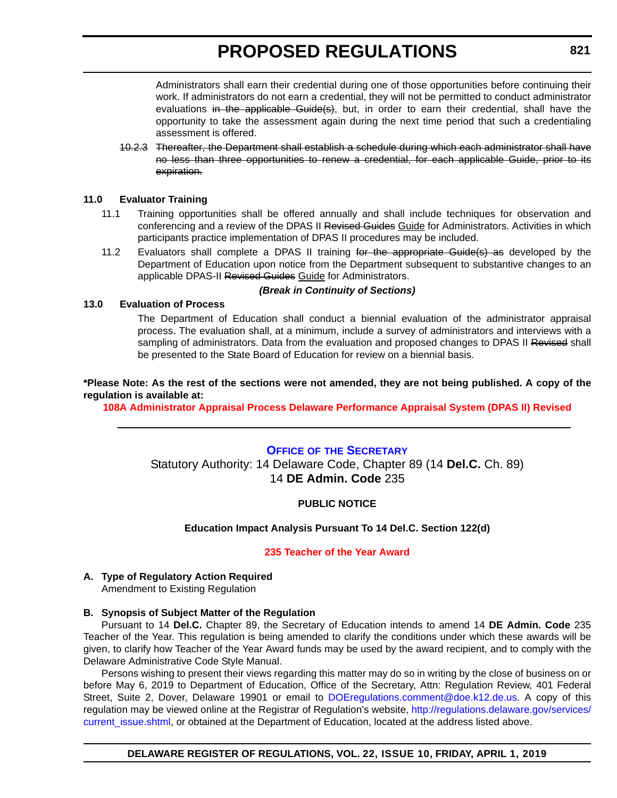<span id="page-22-0"></span>Administrators shall earn their credential during one of those opportunities before continuing their work. If administrators do not earn a credential, they will not be permitted to conduct administrator evaluations in the applicable Guide(s), but, in order to earn their credential, shall have the opportunity to take the assessment again during the next time period that such a credentialing assessment is offered.

10.2.3 Thereafter, the Department shall establish a schedule during which each administrator shall have no less than three opportunities to renew a credential, for each applicable Guide, prior to its expiration.

#### **11.0 Evaluator Training**

- 11.1 Training opportunities shall be offered annually and shall include techniques for observation and conferencing and a review of the DPAS II Revised Guides Guide for Administrators. Activities in which participants practice implementation of DPAS II procedures may be included.
- 11.2 Evaluators shall complete a DPAS II training for the appropriate Guide(s) as developed by the Department of Education upon notice from the Department subsequent to substantive changes to an applicable DPAS-II Revised Guides Guide for Administrators.

#### *(Break in Continuity of Sections)*

#### **13.0 Evaluation of Process**

The Department of Education shall conduct a biennial evaluation of the administrator appraisal process. The evaluation shall, at a minimum, include a survey of administrators and interviews with a sampling of administrators. Data from the evaluation and proposed changes to DPAS II Revised shall be presented to the State Board of Education for review on a biennial basis.

**\*Please Note: As the rest of the sections were not amended, they are not being published. A copy of the regulation is available at:**

**[108A Administrator Appraisal Process Delaware Performance Appraisal System \(DPAS II\) Revised](http://regulations.delaware.gov/register/april2019/proposed/22 DE Reg 816 04-01-19.htm)**

#### **OFFICE OF [THE SECRETARY](https://www.doe.k12.de.us/)**

Statutory Authority: 14 Delaware Code, Chapter 89 (14 **Del.C.** Ch. 89) 14 **DE Admin. Code** 235

#### **PUBLIC NOTICE**

#### **Education Impact Analysis Pursuant To 14 Del.C. Section 122(d)**

#### **[235 Teacher of the Year Award](#page-3-0)**

### **A. Type of Regulatory Action Required**

Amendment to Existing Regulation

#### **B. Synopsis of Subject Matter of the Regulation**

Pursuant to 14 **Del.C.** Chapter 89, the Secretary of Education intends to amend 14 **DE Admin. Code** 235 Teacher of the Year. This regulation is being amended to clarify the conditions under which these awards will be given, to clarify how Teacher of the Year Award funds may be used by the award recipient, and to comply with the Delaware Administrative Code Style Manual.

Persons wishing to present their views regarding this matter may do so in writing by the close of business on or before May 6, 2019 to Department of Education, Office of the Secretary, Attn: Regulation Review, 401 Federal Street, Suite 2, Dover, Delaware 19901 or email to [DOEregulations.comment@doe.k12.de.us](mailto:DOEregulations.comment@doe.k12.de.us). A copy of this regulation may be viewed online at the Registrar of Regulation's website, [http://regulations.delaware.gov/services/](http://regulations.delaware.gov/services/current_issue.shtml) current\_issue.shtml, or obtained at the Department of Education, located at the address listed above.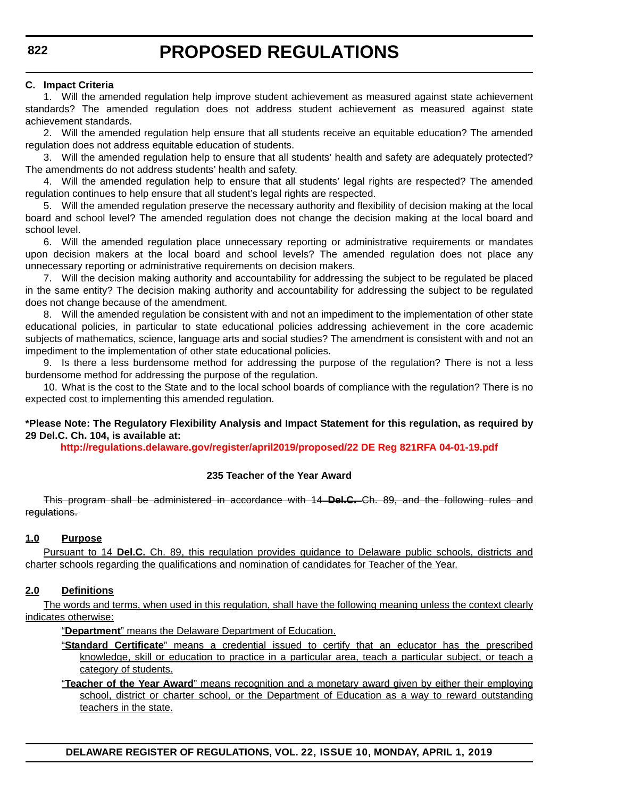#### **C. Impact Criteria**

1. Will the amended regulation help improve student achievement as measured against state achievement standards? The amended regulation does not address student achievement as measured against state achievement standards.

2. Will the amended regulation help ensure that all students receive an equitable education? The amended regulation does not address equitable education of students.

3. Will the amended regulation help to ensure that all students' health and safety are adequately protected? The amendments do not address students' health and safety.

4. Will the amended regulation help to ensure that all students' legal rights are respected? The amended regulation continues to help ensure that all student's legal rights are respected.

5. Will the amended regulation preserve the necessary authority and flexibility of decision making at the local board and school level? The amended regulation does not change the decision making at the local board and school level.

6. Will the amended regulation place unnecessary reporting or administrative requirements or mandates upon decision makers at the local board and school levels? The amended regulation does not place any unnecessary reporting or administrative requirements on decision makers.

7. Will the decision making authority and accountability for addressing the subject to be regulated be placed in the same entity? The decision making authority and accountability for addressing the subject to be regulated does not change because of the amendment.

8. Will the amended regulation be consistent with and not an impediment to the implementation of other state educational policies, in particular to state educational policies addressing achievement in the core academic subjects of mathematics, science, language arts and social studies? The amendment is consistent with and not an impediment to the implementation of other state educational policies.

9. Is there a less burdensome method for addressing the purpose of the regulation? There is not a less burdensome method for addressing the purpose of the regulation.

10. What is the cost to the State and to the local school boards of compliance with the regulation? There is no expected cost to implementing this amended regulation.

#### **\*Please Note: The Regulatory Flexibility Analysis and Impact Statement for this regulation, as required by 29 Del.C. Ch. 104, is available at:**

**<http://regulations.delaware.gov/register/april2019/proposed/22 DE Reg 821RFA 04-01-19.pdf>**

#### **235 Teacher of the Year Award**

This program shall be administered in accordance with 14 **Del.C.** Ch. 89, and the following rules and regulations.

#### **1.0 Purpose**

Pursuant to 14 **Del.C.** Ch. 89, this regulation provides guidance to Delaware public schools, districts and charter schools regarding the qualifications and nomination of candidates for Teacher of the Year.

#### **2.0 Definitions**

The words and terms, when used in this regulation, shall have the following meaning unless the context clearly indicates otherwise:

"**Department**" means the Delaware Department of Education.

- "**Standard Certificate**" means a credential issued to certify that an educator has the prescribed knowledge, skill or education to practice in a particular area, teach a particular subject, or teach a category of students.
- "**Teacher of the Year Award**" means recognition and a monetary award given by either their employing school, district or charter school, or the Department of Education as a way to reward outstanding teachers in the state.

**DELAWARE REGISTER OF REGULATIONS, VOL. 22, ISSUE 10, MONDAY, APRIL 1, 2019**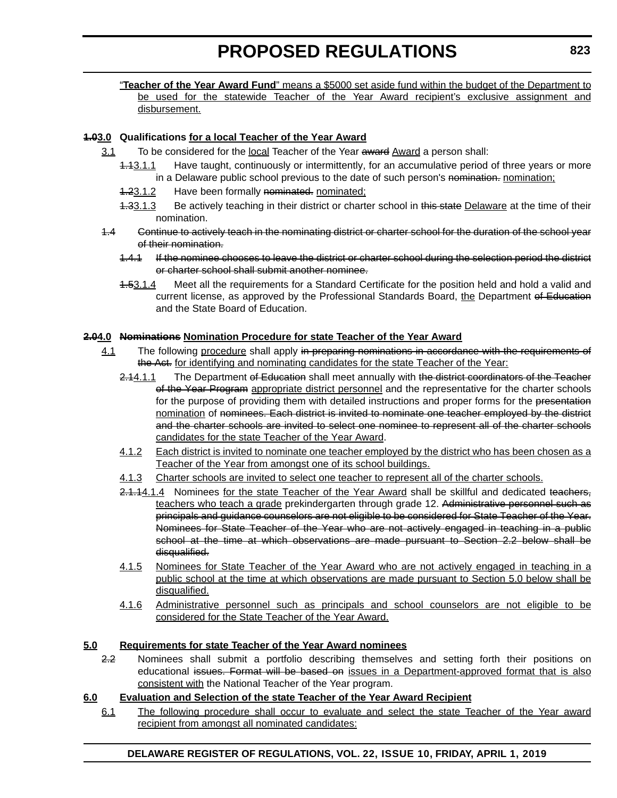"**Teacher of the Year Award Fund**" means a \$5000 set aside fund within the budget of the Department to be used for the statewide Teacher of the Year Award recipient's exclusive assignment and disbursement.

#### **1.03.0 Qualifications for a local Teacher of the Year Award**

- 3.1 To be considered for the local Teacher of the Year award Award a person shall:
	- 1.13.1.1 Have taught, continuously or intermittently, for an accumulative period of three years or more in a Delaware public school previous to the date of such person's nomination. nomination:
	- 1.23.1.2 Have been formally nominated. nominated;
	- 1.33.1.3 Be actively teaching in their district or charter school in this state Delaware at the time of their nomination.
- 1.4 Continue to actively teach in the nominating district or charter school for the duration of the school year of their nomination.
	- 1.4.1 If the nominee chooses to leave the district or charter school during the selection period the district or charter school shall submit another nominee.
	- 1.53.1.4 Meet all the requirements for a Standard Certificate for the position held and hold a valid and current license, as approved by the Professional Standards Board, the Department of Education and the State Board of Education.

#### **2.04.0 Nominations Nomination Procedure for state Teacher of the Year Award**

- 4.1 The following procedure shall apply in preparing nominations in accordance with the requirements of the Act. for identifying and nominating candidates for the state Teacher of the Year:
	- 2.14.1.1 The Department of Education shall meet annually with the district coordinators of the Teacher of the Year Program appropriate district personnel and the representative for the charter schools for the purpose of providing them with detailed instructions and proper forms for the presentation nomination of nominees. Each district is invited to nominate one teacher employed by the district and the charter schools are invited to select one nominee to represent all of the charter schools candidates for the state Teacher of the Year Award.
	- 4.1.2 Each district is invited to nominate one teacher employed by the district who has been chosen as a Teacher of the Year from amongst one of its school buildings.
	- 4.1.3 Charter schools are invited to select one teacher to represent all of the charter schools.
	- 2.1.14.1.4 Nominees for the state Teacher of the Year Award shall be skillful and dedicated teachers, teachers who teach a grade prekindergarten through grade 12. Administrative personnel such as principals and guidance counselors are not eligible to be considered for State Teacher of the Year. Nominees for State Teacher of the Year who are not actively engaged in teaching in a public school at the time at which observations are made pursuant to Section 2.2 below shall be disqualified.
	- 4.1.5 Nominees for State Teacher of the Year Award who are not actively engaged in teaching in a public school at the time at which observations are made pursuant to Section 5.0 below shall be disqualified.
	- 4.1.6 Administrative personnel such as principals and school counselors are not eligible to be considered for the State Teacher of the Year Award.

#### **5.0 Requirements for state Teacher of the Year Award nominees**

2.2 Nominees shall submit a portfolio describing themselves and setting forth their positions on educational issues. Format will be based on issues in a Department-approved format that is also consistent with the National Teacher of the Year program.

#### **6.0 Evaluation and Selection of the state Teacher of the Year Award Recipient**

6.1 The following procedure shall occur to evaluate and select the state Teacher of the Year award recipient from amongst all nominated candidates:

#### **DELAWARE REGISTER OF REGULATIONS, VOL. 22, ISSUE 10, FRIDAY, APRIL 1, 2019**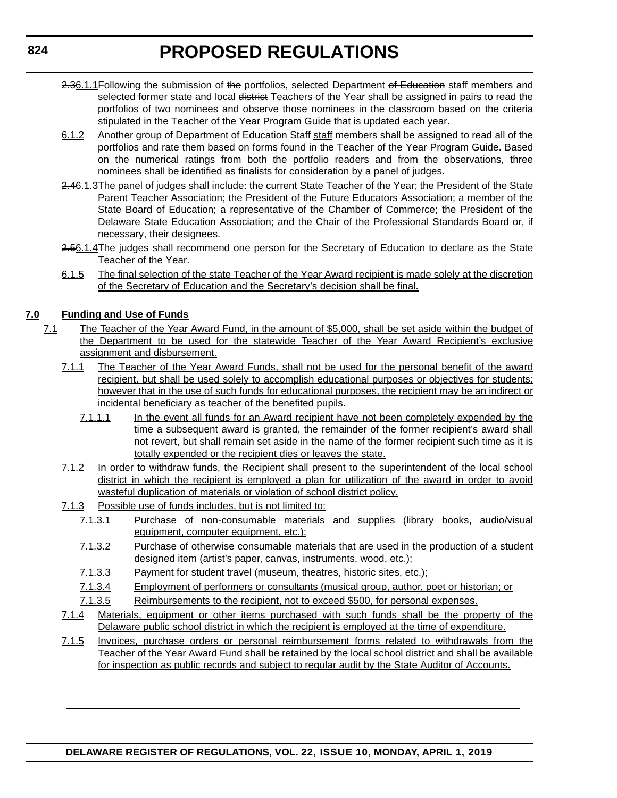- 2.36.1.1 Following the submission of the portfolios, selected Department of Education staff members and selected former state and local district Teachers of the Year shall be assigned in pairs to read the portfolios of two nominees and observe those nominees in the classroom based on the criteria stipulated in the Teacher of the Year Program Guide that is updated each year.
- 6.1.2 Another group of Department of Education Staff staff members shall be assigned to read all of the portfolios and rate them based on forms found in the Teacher of the Year Program Guide. Based on the numerical ratings from both the portfolio readers and from the observations, three nominees shall be identified as finalists for consideration by a panel of judges.
- 2.46.1.3The panel of judges shall include: the current State Teacher of the Year; the President of the State Parent Teacher Association; the President of the Future Educators Association; a member of the State Board of Education; a representative of the Chamber of Commerce; the President of the Delaware State Education Association; and the Chair of the Professional Standards Board or, if necessary, their designees.
- 2.56.1.4The judges shall recommend one person for the Secretary of Education to declare as the State Teacher of the Year.
- 6.1.5 The final selection of the state Teacher of the Year Award recipient is made solely at the discretion of the Secretary of Education and the Secretary's decision shall be final.

#### **7.0 Funding and Use of Funds**

- 7.1 The Teacher of the Year Award Fund, in the amount of \$5,000, shall be set aside within the budget of the Department to be used for the statewide Teacher of the Year Award Recipient's exclusive assignment and disbursement.
	- 7.1.1 The Teacher of the Year Award Funds, shall not be used for the personal benefit of the award recipient, but shall be used solely to accomplish educational purposes or objectives for students; however that in the use of such funds for educational purposes, the recipient may be an indirect or incidental beneficiary as teacher of the benefited pupils.
		- 7.1.1.1 In the event all funds for an Award recipient have not been completely expended by the time a subsequent award is granted, the remainder of the former recipient's award shall not revert, but shall remain set aside in the name of the former recipient such time as it is totally expended or the recipient dies or leaves the state.
	- 7.1.2 In order to withdraw funds, the Recipient shall present to the superintendent of the local school district in which the recipient is employed a plan for utilization of the award in order to avoid wasteful duplication of materials or violation of school district policy.
	- 7.1.3 Possible use of funds includes, but is not limited to:
		- 7.1.3.1 Purchase of non-consumable materials and supplies (library books, audio/visual equipment, computer equipment, etc.);
		- 7.1.3.2 Purchase of otherwise consumable materials that are used in the production of a student designed item (artist's paper, canvas, instruments, wood, etc.);
		- 7.1.3.3 Payment for student travel (museum, theatres, historic sites, etc.);
		- 7.1.3.4 Employment of performers or consultants (musical group, author, poet or historian; or
		- 7.1.3.5 Reimbursements to the recipient, not to exceed \$500, for personal expenses.
	- 7.1.4 Materials, equipment or other items purchased with such funds shall be the property of the Delaware public school district in which the recipient is employed at the time of expenditure.
	- 7.1.5 Invoices, purchase orders or personal reimbursement forms related to withdrawals from the Teacher of the Year Award Fund shall be retained by the local school district and shall be available for inspection as public records and subject to regular audit by the State Auditor of Accounts.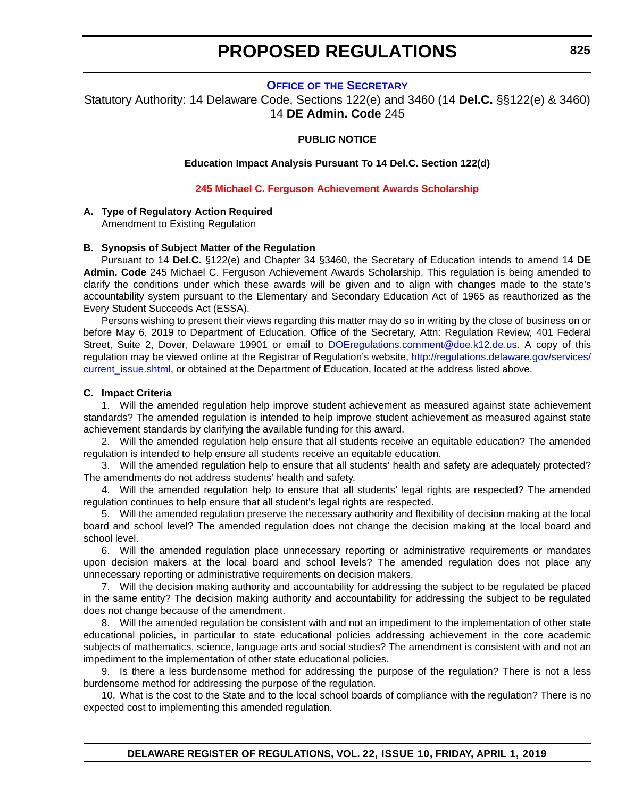#### **OFFICE OF [THE SECRETARY](https://www.doe.k12.de.us/)**

<span id="page-26-0"></span>Statutory Authority: 14 Delaware Code, Sections 122(e) and 3460 (14 **Del.C.** §§122(e) & 3460) 14 **DE Admin. Code** 245

#### **PUBLIC NOTICE**

**Education Impact Analysis Pursuant To 14 Del.C. Section 122(d)**

**245 Michael C. Ferguson [Achievement Awards Scholarship](#page-3-0)**

#### **A. Type of Regulatory Action Required**

Amendment to Existing Regulation

#### **B. Synopsis of Subject Matter of the Regulation**

Pursuant to 14 **Del.C.** §122(e) and Chapter 34 §3460, the Secretary of Education intends to amend 14 **DE Admin. Code** 245 Michael C. Ferguson Achievement Awards Scholarship. This regulation is being amended to clarify the conditions under which these awards will be given and to align with changes made to the state's accountability system pursuant to the Elementary and Secondary Education Act of 1965 as reauthorized as the Every Student Succeeds Act (ESSA).

Persons wishing to present their views regarding this matter may do so in writing by the close of business on or before May 6, 2019 to Department of Education, Office of the Secretary, Attn: Regulation Review, 401 Federal Street, Suite 2, Dover, Delaware 19901 or email to [DOEregulations.comment@doe.k12.de.us](mailto:DOEregulations.comment@doe.k12.de.us). A copy of this regulation may be viewed online at the Registrar of Regulation's website, [http://regulations.delaware.gov/services/](http://regulations.delaware.gov/services/current_issue.shtml) current issue.shtml, or obtained at the Department of Education, located at the address listed above.

#### **C. Impact Criteria**

1. Will the amended regulation help improve student achievement as measured against state achievement standards? The amended regulation is intended to help improve student achievement as measured against state achievement standards by clarifying the available funding for this award.

2. Will the amended regulation help ensure that all students receive an equitable education? The amended regulation is intended to help ensure all students receive an equitable education.

3. Will the amended regulation help to ensure that all students' health and safety are adequately protected? The amendments do not address students' health and safety.

4. Will the amended regulation help to ensure that all students' legal rights are respected? The amended regulation continues to help ensure that all student's legal rights are respected.

5. Will the amended regulation preserve the necessary authority and flexibility of decision making at the local board and school level? The amended regulation does not change the decision making at the local board and school level.

6. Will the amended regulation place unnecessary reporting or administrative requirements or mandates upon decision makers at the local board and school levels? The amended regulation does not place any unnecessary reporting or administrative requirements on decision makers.

7. Will the decision making authority and accountability for addressing the subject to be regulated be placed in the same entity? The decision making authority and accountability for addressing the subject to be regulated does not change because of the amendment.

8. Will the amended regulation be consistent with and not an impediment to the implementation of other state educational policies, in particular to state educational policies addressing achievement in the core academic subjects of mathematics, science, language arts and social studies? The amendment is consistent with and not an impediment to the implementation of other state educational policies.

9. Is there a less burdensome method for addressing the purpose of the regulation? There is not a less burdensome method for addressing the purpose of the regulation.

10. What is the cost to the State and to the local school boards of compliance with the regulation? There is no expected cost to implementing this amended regulation.

**DELAWARE REGISTER OF REGULATIONS, VOL. 22, ISSUE 10, FRIDAY, APRIL 1, 2019**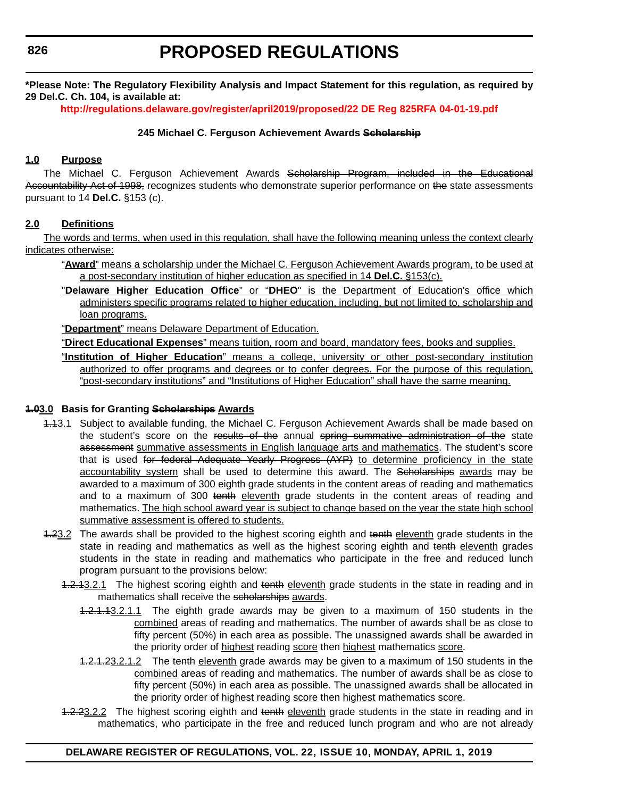**\*Please Note: The Regulatory Flexibility Analysis and Impact Statement for this regulation, as required by 29 Del.C. Ch. 104, is available at:**

**<http://regulations.delaware.gov/register/april2019/proposed/22 DE Reg 825RFA 04-01-19.pdf>**

#### **245 Michael C. Ferguson Achievement Awards Scholarship**

#### **1.0 Purpose**

The Michael C. Ferguson Achievement Awards Scholarship Program, included in the Educational Accountability Act of 1998, recognizes students who demonstrate superior performance on the state assessments pursuant to 14 **Del.C.** §153 (c).

#### **2.0 Definitions**

The words and terms, when used in this regulation, shall have the following meaning unless the context clearly indicates otherwise:

- "**Award**" means a scholarship under the Michael C. Ferguson Achievement Awards program, to be used at a post-secondary institution of higher education as specified in 14 **Del.C.** §153(c).
- "**Delaware Higher Education Office**" or "**DHEO**" is the Department of Education's office which administers specific programs related to higher education, including, but not limited to, scholarship and loan programs.

"**Department**" means Delaware Department of Education.

"**Direct Educational Expenses**" means tuition, room and board, mandatory fees, books and supplies.

"**Institution of Higher Education**" means a college, university or other post-secondary institution authorized to offer programs and degrees or to confer degrees. For the purpose of this regulation, "post-secondary institutions" and "Institutions of Higher Education" shall have the same meaning.

#### **1.03.0 Basis for Granting Scholarships Awards**

- 4.43.1 Subject to available funding, the Michael C. Ferguson Achievement Awards shall be made based on the student's score on the results of the annual spring summative administration of the state assessment summative assessments in English language arts and mathematics. The student's score that is used for federal Adequate Yearly Progress (AYP) to determine proficiency in the state accountability system shall be used to determine this award. The Scholarships awards may be awarded to a maximum of 300 eighth grade students in the content areas of reading and mathematics and to a maximum of 300 tenth eleventh grade students in the content areas of reading and mathematics. The high school award year is subject to change based on the year the state high school summative assessment is offered to students.
- 4.23.2 The awards shall be provided to the highest scoring eighth and tenth eleventh grade students in the state in reading and mathematics as well as the highest scoring eighth and tenth eleventh grades students in the state in reading and mathematics who participate in the free and reduced lunch program pursuant to the provisions below:
	- 1.2.13.2.1 The highest scoring eighth and tenth eleventh grade students in the state in reading and in mathematics shall receive the scholarships awards.
		- 1.2.1.13.2.1.1 The eighth grade awards may be given to a maximum of 150 students in the combined areas of reading and mathematics. The number of awards shall be as close to fifty percent (50%) in each area as possible. The unassigned awards shall be awarded in the priority order of highest reading score then highest mathematics score.
		- 1.2.1.23.2.1.2 The tenth eleventh grade awards may be given to a maximum of 150 students in the combined areas of reading and mathematics. The number of awards shall be as close to fifty percent (50%) in each area as possible. The unassigned awards shall be allocated in the priority order of highest reading score then highest mathematics score.
	- 1.2.23.2.2 The highest scoring eighth and tenth eleventh grade students in the state in reading and in mathematics, who participate in the free and reduced lunch program and who are not already

#### **DELAWARE REGISTER OF REGULATIONS, VOL. 22, ISSUE 10, MONDAY, APRIL 1, 2019**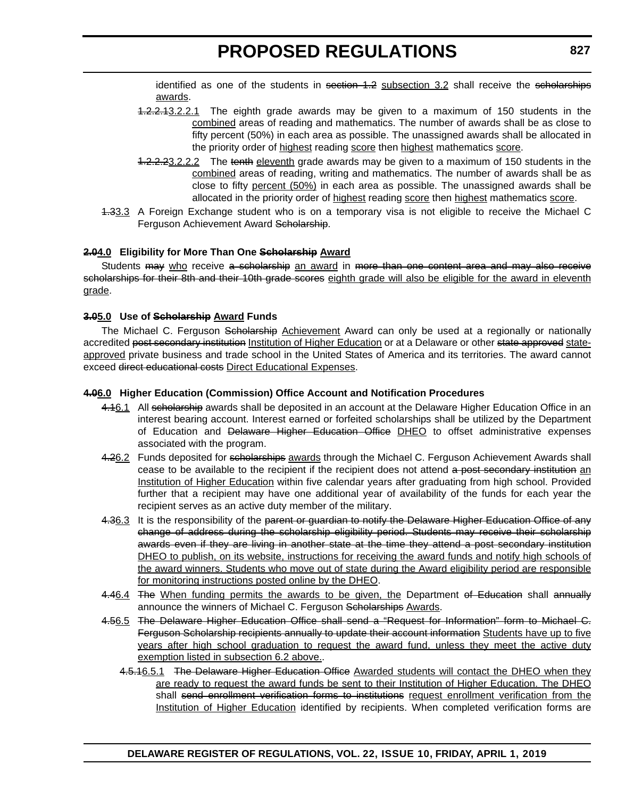identified as one of the students in section 1.2 subsection 3.2 shall receive the scholarships awards.

- 1.2.2.13.2.2.1 The eighth grade awards may be given to a maximum of 150 students in the combined areas of reading and mathematics. The number of awards shall be as close to fifty percent (50%) in each area as possible. The unassigned awards shall be allocated in the priority order of highest reading score then highest mathematics score.
- 1.2.2.23.2.2.2 The tenth eleventh grade awards may be given to a maximum of 150 students in the combined areas of reading, writing and mathematics. The number of awards shall be as close to fifty percent (50%) in each area as possible. The unassigned awards shall be allocated in the priority order of highest reading score then highest mathematics score.
- 1.33.3 A Foreign Exchange student who is on a temporary visa is not eligible to receive the Michael C Ferguson Achievement Award Scholarship.

#### **2.04.0 Eligibility for More Than One Scholarship Award**

Students may who receive a scholarship an award in more than one content area and may also receive scholarships for their 8th and their 10th grade scores eighth grade will also be eligible for the award in eleventh grade.

#### **3.05.0 Use of Scholarship Award Funds**

The Michael C. Ferguson <del>Scholarship</del> Achievement Award can only be used at a regionally or nationally accredited post secondary institution Institution of Higher Education or at a Delaware or other state approved stateapproved private business and trade school in the United States of America and its territories. The award cannot exceed direct educational costs Direct Educational Expenses.

#### **4.06.0 Higher Education (Commission) Office Account and Notification Procedures**

- 4.16.1 All scholarship awards shall be deposited in an account at the Delaware Higher Education Office in an interest bearing account. Interest earned or forfeited scholarships shall be utilized by the Department of Education and Delaware Higher Education Office DHEO to offset administrative expenses associated with the program.
- 4.26.2 Funds deposited for scholarships awards through the Michael C. Ferguson Achievement Awards shall cease to be available to the recipient if the recipient does not attend a post secondary institution an Institution of Higher Education within five calendar years after graduating from high school. Provided further that a recipient may have one additional year of availability of the funds for each year the recipient serves as an active duty member of the military.
- 4.36.3 It is the responsibility of the parent or guardian to notify the Delaware Higher Education Office of any change of address during the scholarship eligibility period. Students may receive their scholarship awards even if they are living in another state at the time they attend a post secondary institution DHEO to publish, on its website, instructions for receiving the award funds and notify high schools of the award winners. Students who move out of state during the Award eligibility period are responsible for monitoring instructions posted online by the DHEO.
- 4.46.4 The When funding permits the awards to be given, the Department of Education shall annually announce the winners of Michael C. Ferguson Scholarships Awards.
- 4.56.5 The Delaware Higher Education Office shall send a "Request for Information" form to Michael C. Ferguson Scholarship recipients annually to update their account information Students have up to five years after high school graduation to request the award fund, unless they meet the active duty exemption listed in subsection 6.2 above..
	- 4.5.16.5.1 The Delaware Higher Education Office Awarded students will contact the DHEO when they are ready to request the award funds be sent to their Institution of Higher Education. The DHEO shall send enrollment verification forms to institutions request enrollment verification from the Institution of Higher Education identified by recipients. When completed verification forms are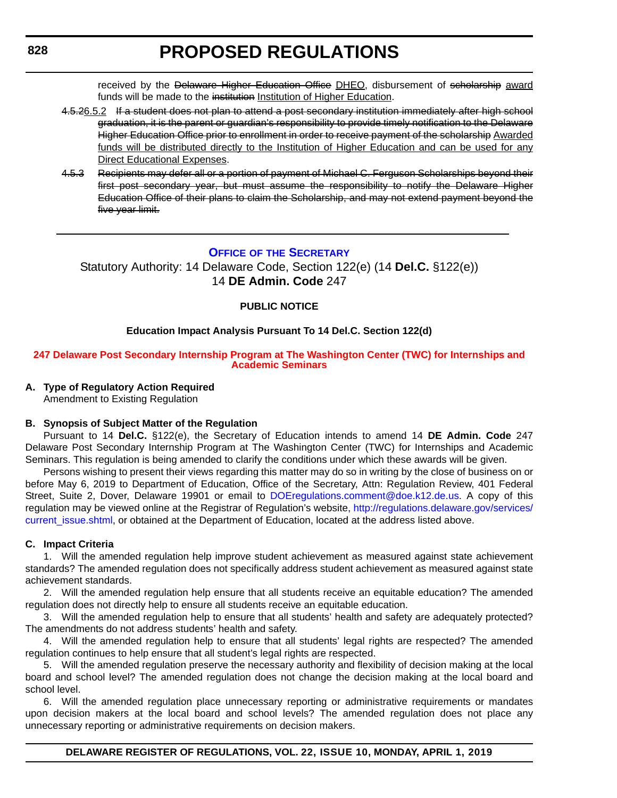received by the <del>Delaware Higher Education Office</del> DHEO, disbursement of scholarship award funds will be made to the institution Institution of Higher Education.

- <span id="page-29-0"></span>4.5.26.5.2 If a student does not plan to attend a post secondary institution immediately after high school graduation, it is the parent or guardian's responsibility to provide timely notification to the Delaware Higher Education Office prior to enrollment in order to receive payment of the scholarship Awarded funds will be distributed directly to the Institution of Higher Education and can be used for any Direct Educational Expenses.
- 4.5.3 Recipients may defer all or a portion of payment of Michael C. Ferguson Scholarships beyond their first post secondary year, but must assume the responsibility to notify the Delaware Higher Education Office of their plans to claim the Scholarship, and may not extend payment beyond the five year limit.

#### **OFFICE OF [THE SECRETARY](https://www.doe.k12.de.us/)**

Statutory Authority: 14 Delaware Code, Section 122(e) (14 **Del.C.** §122(e)) 14 **DE Admin. Code** 247

#### **PUBLIC NOTICE**

#### **Education Impact Analysis Pursuant To 14 Del.C. Section 122(d)**

#### **[247 Delaware Post Secondary Internship Program at The Washington Center \(TWC\) for Internships and](#page-3-0)  Academic Seminars**

#### **A. Type of Regulatory Action Required**

Amendment to Existing Regulation

#### **B. Synopsis of Subject Matter of the Regulation**

Pursuant to 14 **Del.C.** §122(e), the Secretary of Education intends to amend 14 **DE Admin. Code** 247 Delaware Post Secondary Internship Program at The Washington Center (TWC) for Internships and Academic Seminars. This regulation is being amended to clarify the conditions under which these awards will be given.

Persons wishing to present their views regarding this matter may do so in writing by the close of business on or before May 6, 2019 to Department of Education, Office of the Secretary, Attn: Regulation Review, 401 Federal Street, Suite 2, Dover, Delaware 19901 or email to [DOEregulations.comment@doe.k12.de.us.](mailto:DOEregulations.comment@doe.k12.de.us) A copy of this regulation may be viewed online at the Registrar of Regulation's website, [http://regulations.delaware.gov/services/](http://regulations.delaware.gov/services/current_issue.shtml) [current\\_issue.shtml,](http://regulations.delaware.gov/services/current_issue.shtml) or obtained at the Department of Education, located at the address listed above.

#### **C. Impact Criteria**

1. Will the amended regulation help improve student achievement as measured against state achievement standards? The amended regulation does not specifically address student achievement as measured against state achievement standards.

2. Will the amended regulation help ensure that all students receive an equitable education? The amended regulation does not directly help to ensure all students receive an equitable education.

3. Will the amended regulation help to ensure that all students' health and safety are adequately protected? The amendments do not address students' health and safety.

4. Will the amended regulation help to ensure that all students' legal rights are respected? The amended regulation continues to help ensure that all student's legal rights are respected.

5. Will the amended regulation preserve the necessary authority and flexibility of decision making at the local board and school level? The amended regulation does not change the decision making at the local board and school level.

6. Will the amended regulation place unnecessary reporting or administrative requirements or mandates upon decision makers at the local board and school levels? The amended regulation does not place any unnecessary reporting or administrative requirements on decision makers.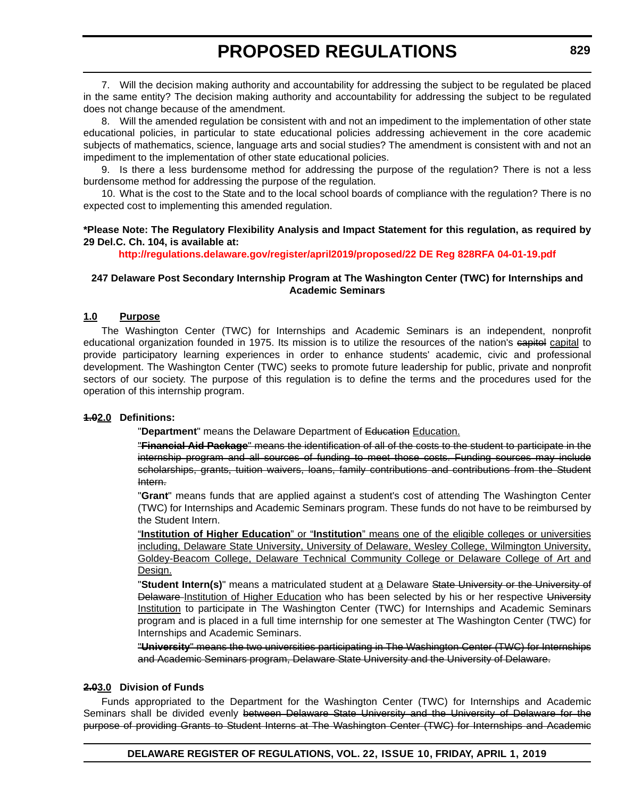7. Will the decision making authority and accountability for addressing the subject to be regulated be placed in the same entity? The decision making authority and accountability for addressing the subject to be regulated does not change because of the amendment.

8. Will the amended regulation be consistent with and not an impediment to the implementation of other state educational policies, in particular to state educational policies addressing achievement in the core academic subjects of mathematics, science, language arts and social studies? The amendment is consistent with and not an impediment to the implementation of other state educational policies.

9. Is there a less burdensome method for addressing the purpose of the regulation? There is not a less burdensome method for addressing the purpose of the regulation.

10. What is the cost to the State and to the local school boards of compliance with the regulation? There is no expected cost to implementing this amended regulation.

#### **\*Please Note: The Regulatory Flexibility Analysis and Impact Statement for this regulation, as required by 29 Del.C. Ch. 104, is available at:**

**<http://regulations.delaware.gov/register/april2019/proposed/22 DE Reg 828RFA 04-01-19.pdf>**

#### **247 Delaware Post Secondary Internship Program at The Washington Center (TWC) for Internships and Academic Seminars**

#### **1.0 Purpose**

The Washington Center (TWC) for Internships and Academic Seminars is an independent, nonprofit educational organization founded in 1975. Its mission is to utilize the resources of the nation's eapitel capital to provide participatory learning experiences in order to enhance students' academic, civic and professional development. The Washington Center (TWC) seeks to promote future leadership for public, private and nonprofit sectors of our society. The purpose of this regulation is to define the terms and the procedures used for the operation of this internship program.

#### **1.02.0 Definitions:**

"Department" means the Delaware Department of Education Education.

"**Financial Aid Package**" means the identification of all of the costs to the student to participate in the internship program and all sources of funding to meet those costs. Funding sources may include scholarships, grants, tuition waivers, loans, family contributions and contributions from the Student Intern.

"**Grant**" means funds that are applied against a student's cost of attending The Washington Center (TWC) for Internships and Academic Seminars program. These funds do not have to be reimbursed by the Student Intern.

"**Institution of Higher Education**" or "**Institution**" means one of the eligible colleges or universities including, Delaware State University, University of Delaware, Wesley College, Wilmington University, Goldey-Beacom College, Delaware Technical Community College or Delaware College of Art and Design.

"**Student Intern(s)**" means a matriculated student at a Delaware State University or the University of Delaware Institution of Higher Education who has been selected by his or her respective University Institution to participate in The Washington Center (TWC) for Internships and Academic Seminars program and is placed in a full time internship for one semester at The Washington Center (TWC) for Internships and Academic Seminars.

"**University**" means the two universities participating in The Washington Center (TWC) for Internships and Academic Seminars program, Delaware State University and the University of Delaware.

#### **2.03.0 Division of Funds**

Funds appropriated to the Department for the Washington Center (TWC) for Internships and Academic Seminars shall be divided evenly between Delaware State University and the University of Delaware for the purpose of providing Grants to Student Interns at The Washington Center (TWC) for Internships and Academic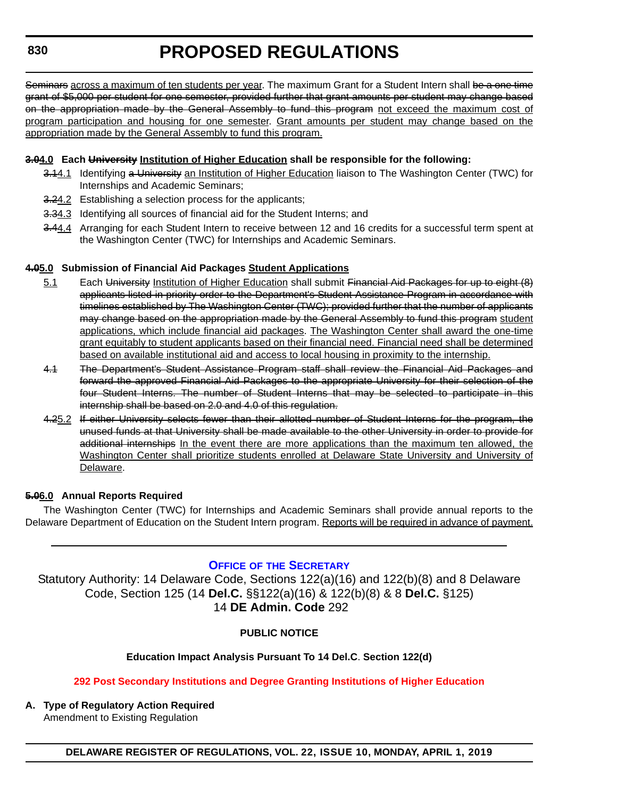<span id="page-31-0"></span>Seminars across a maximum of ten students per year. The maximum Grant for a Student Intern shall be a one time grant of \$5,000 per student for one semester, provided further that grant amounts per student may change based on the appropriation made by the General Assembly to fund this program not exceed the maximum cost of program participation and housing for one semester. Grant amounts per student may change based on the appropriation made by the General Assembly to fund this program.

#### **3.04.0 Each University Institution of Higher Education shall be responsible for the following:**

- 3.14.1 Identifying a University an Institution of Higher Education liaison to The Washington Center (TWC) for Internships and Academic Seminars;
- 3.24.2 Establishing a selection process for the applicants;
- 3.34.3 Identifying all sources of financial aid for the Student Interns; and
- 3.44.4 Arranging for each Student Intern to receive between 12 and 16 credits for a successful term spent at the Washington Center (TWC) for Internships and Academic Seminars.

#### **4.05.0 Submission of Financial Aid Packages Student Applications**

- 5.1 Each University Institution of Higher Education shall submit Financial Aid Packages for up to eight (8) applicants listed in priority order to the Department's Student Assistance Program in accordance with timelines established by The Washington Center (TWC); provided further that the number of applicants may change based on the appropriation made by the General Assembly to fund this program student applications, which include financial aid packages. The Washington Center shall award the one-time grant equitably to student applicants based on their financial need. Financial need shall be determined based on available institutional aid and access to local housing in proximity to the internship.
- 4.1 The Department's Student Assistance Program staff shall review the Financial Aid Packages and forward the approved Financial Aid Packages to the appropriate University for their selection of the four Student Interns. The number of Student Interns that may be selected to participate in this internship shall be based on 2.0 and 4.0 of this regulation.
- 4.25.2 If either University selects fewer than their allotted number of Student Interns for the program, the unused funds at that University shall be made available to the other University in order to provide for additional internships In the event there are more applications than the maximum ten allowed, the Washington Center shall prioritize students enrolled at Delaware State University and University of Delaware.

#### **5.06.0 Annual Reports Required**

The Washington Center (TWC) for Internships and Academic Seminars shall provide annual reports to the Delaware Department of Education on the Student Intern program. Reports will be required in advance of payment.

#### **OFFICE OF [THE SECRETARY](https://www.doe.k12.de.us/)**

Statutory Authority: 14 Delaware Code, Sections 122(a)(16) and 122(b)(8) and 8 Delaware Code, Section 125 (14 **Del.C.** §§122(a)(16) & 122(b)(8) & 8 **Del.C.** §125) 14 **DE Admin. Code** 292

#### **PUBLIC NOTICE**

#### **Education Impact Analysis Pursuant To 14 Del.C**. **Section 122(d)**

#### **[292 Post Secondary Institutions and Degree Granting Institutions of Higher Education](#page-3-0)**

**A. Type of Regulatory Action Required** Amendment to Existing Regulation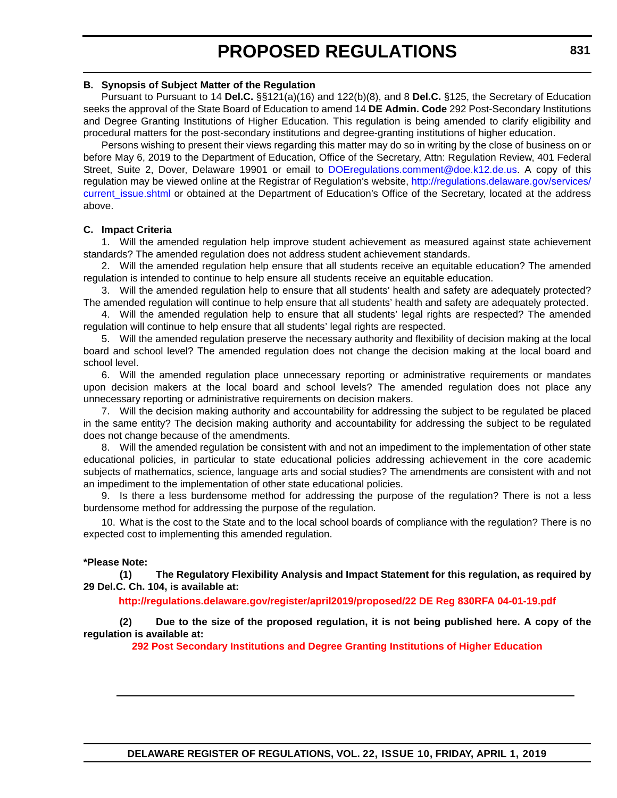#### **B. Synopsis of Subject Matter of the Regulation**

Pursuant to Pursuant to 14 **Del.C.** §§121(a)(16) and 122(b)(8), and 8 **Del.C.** §125, the Secretary of Education seeks the approval of the State Board of Education to amend 14 **DE Admin. Code** 292 Post-Secondary Institutions and Degree Granting Institutions of Higher Education. This regulation is being amended to clarify eligibility and procedural matters for the post-secondary institutions and degree-granting institutions of higher education.

Persons wishing to present their views regarding this matter may do so in writing by the close of business on or before May 6, 2019 to the Department of Education, Office of the Secretary, Attn: Regulation Review, 401 Federal Street, Suite 2, Dover, Delaware 19901 or email to [DOEregulations.comment@doe.k12.de.us](mailto:DOEregulations.comment@doe.k12.de.us). A copy of this regulation may be viewed online at the Registrar of Regulation's website, [http://regulations.delaware.gov/services/](http://regulations.delaware.gov/services/current_issue.shtml) current issue.shtml or obtained at the Department of Education's Office of the Secretary, located at the address above.

#### **C. Impact Criteria**

1. Will the amended regulation help improve student achievement as measured against state achievement standards? The amended regulation does not address student achievement standards.

2. Will the amended regulation help ensure that all students receive an equitable education? The amended regulation is intended to continue to help ensure all students receive an equitable education.

3. Will the amended regulation help to ensure that all students' health and safety are adequately protected? The amended regulation will continue to help ensure that all students' health and safety are adequately protected.

4. Will the amended regulation help to ensure that all students' legal rights are respected? The amended regulation will continue to help ensure that all students' legal rights are respected.

5. Will the amended regulation preserve the necessary authority and flexibility of decision making at the local board and school level? The amended regulation does not change the decision making at the local board and school level.

6. Will the amended regulation place unnecessary reporting or administrative requirements or mandates upon decision makers at the local board and school levels? The amended regulation does not place any unnecessary reporting or administrative requirements on decision makers.

7. Will the decision making authority and accountability for addressing the subject to be regulated be placed in the same entity? The decision making authority and accountability for addressing the subject to be regulated does not change because of the amendments.

8. Will the amended regulation be consistent with and not an impediment to the implementation of other state educational policies, in particular to state educational policies addressing achievement in the core academic subjects of mathematics, science, language arts and social studies? The amendments are consistent with and not an impediment to the implementation of other state educational policies.

9. Is there a less burdensome method for addressing the purpose of the regulation? There is not a less burdensome method for addressing the purpose of the regulation.

10. What is the cost to the State and to the local school boards of compliance with the regulation? There is no expected cost to implementing this amended regulation.

#### **\*Please Note:**

**(1) The Regulatory Flexibility Analysis and Impact Statement for this regulation, as required by 29 Del.C. Ch. 104, is available at:**

**<http://regulations.delaware.gov/register/april2019/proposed/22 DE Reg 830RFA 04-01-19.pdf>**

**(2) Due to the size of the proposed regulation, it is not being published here. A copy of the regulation is available at:**

**[292 Post Secondary Institutions and Degree Granting Institutions of Higher Education](http://regulations.delaware.gov/register/april2019/proposed/22 DE Reg 830 04-01-19.htm)**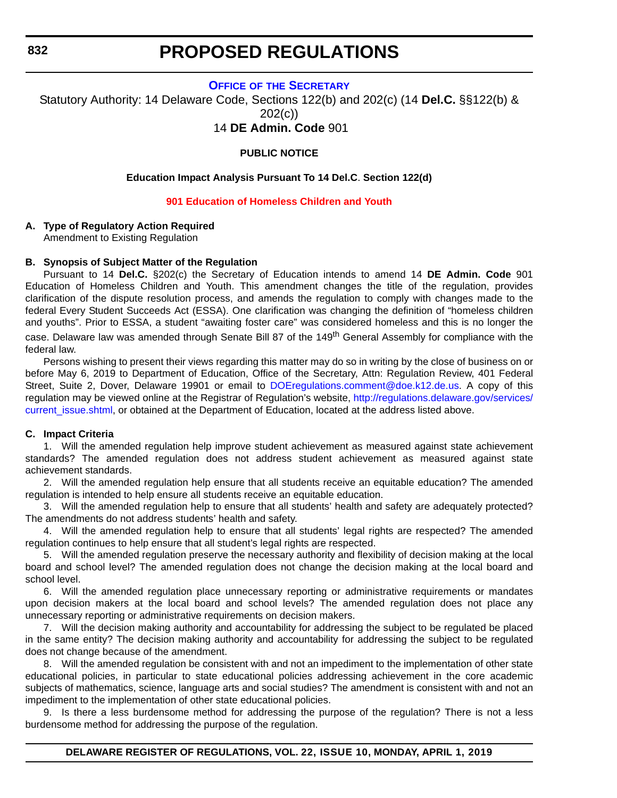#### **OFFICE OF [THE SECRETARY](https://www.doe.k12.de.us/)**

<span id="page-33-0"></span>Statutory Authority: 14 Delaware Code, Sections 122(b) and 202(c) (14 **Del.C.** §§122(b) & 202(c))

14 **DE Admin. Code** 901

#### **PUBLIC NOTICE**

#### **Education Impact Analysis Pursuant To 14 Del.C**. **Section 122(d)**

#### **[901 Education of Homeless Children and Youth](#page-3-0)**

#### **A. Type of Regulatory Action Required**

Amendment to Existing Regulation

#### **B. Synopsis of Subject Matter of the Regulation**

Pursuant to 14 **Del.C.** §202(c) the Secretary of Education intends to amend 14 **DE Admin. Code** 901 Education of Homeless Children and Youth. This amendment changes the title of the regulation, provides clarification of the dispute resolution process, and amends the regulation to comply with changes made to the federal Every Student Succeeds Act (ESSA). One clarification was changing the definition of "homeless children and youths". Prior to ESSA, a student "awaiting foster care" was considered homeless and this is no longer the case. Delaware law was amended through Senate Bill 87 of the 149<sup>th</sup> General Assembly for compliance with the federal law.

Persons wishing to present their views regarding this matter may do so in writing by the close of business on or before May 6, 2019 to Department of Education, Office of the Secretary, Attn: Regulation Review, 401 Federal Street, Suite 2, Dover, Delaware 19901 or email to [DOEregulations.comment@doe.k12.de.us.](mailto:DOEregulations.comment@doe.k12.de.us) A copy of this regulation may be viewed online at the Registrar of Regulation's website, [http://regulations.delaware.gov/services/](http://regulations.delaware.gov/services/current_issue.shtml) current issue.shtml, or obtained at the Department of Education, located at the address listed above.

#### **C. Impact Criteria**

1. Will the amended regulation help improve student achievement as measured against state achievement standards? The amended regulation does not address student achievement as measured against state achievement standards.

2. Will the amended regulation help ensure that all students receive an equitable education? The amended regulation is intended to help ensure all students receive an equitable education.

3. Will the amended regulation help to ensure that all students' health and safety are adequately protected? The amendments do not address students' health and safety.

4. Will the amended regulation help to ensure that all students' legal rights are respected? The amended regulation continues to help ensure that all student's legal rights are respected.

5. Will the amended regulation preserve the necessary authority and flexibility of decision making at the local board and school level? The amended regulation does not change the decision making at the local board and school level.

6. Will the amended regulation place unnecessary reporting or administrative requirements or mandates upon decision makers at the local board and school levels? The amended regulation does not place any unnecessary reporting or administrative requirements on decision makers.

7. Will the decision making authority and accountability for addressing the subject to be regulated be placed in the same entity? The decision making authority and accountability for addressing the subject to be regulated does not change because of the amendment.

8. Will the amended regulation be consistent with and not an impediment to the implementation of other state educational policies, in particular to state educational policies addressing achievement in the core academic subjects of mathematics, science, language arts and social studies? The amendment is consistent with and not an impediment to the implementation of other state educational policies.

9. Is there a less burdensome method for addressing the purpose of the regulation? There is not a less burdensome method for addressing the purpose of the regulation.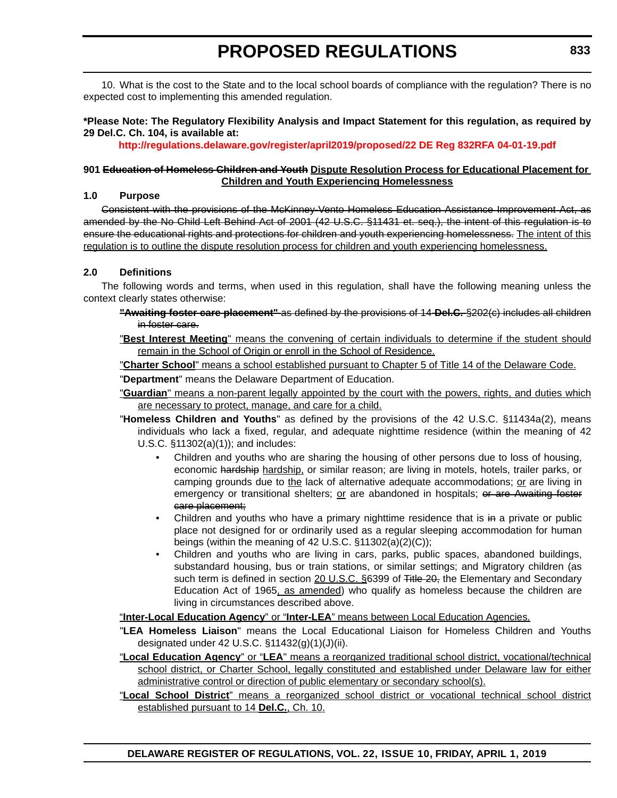10. What is the cost to the State and to the local school boards of compliance with the regulation? There is no expected cost to implementing this amended regulation.

#### **\*Please Note: The Regulatory Flexibility Analysis and Impact Statement for this regulation, as required by 29 Del.C. Ch. 104, is available at:**

**<http://regulations.delaware.gov/register/april2019/proposed/22 DE Reg 832RFA 04-01-19.pdf>**

#### **901 Education of Homeless Children and Youth Dispute Resolution Process for Educational Placement for Children and Youth Experiencing Homelessness**

#### **1.0 Purpose**

Consistent with the provisions of the McKinney-Vento Homeless Education Assistance Improvement Act, as amended by the No Child Left Behind Act of 2001 (42 U.S.C. §11431 et. seq.), the intent of this regulation is to ensure the educational rights and protections for children and youth experiencing homelessness. The intent of this regulation is to outline the dispute resolution process for children and youth experiencing homelessness.

#### **2.0 Definitions**

The following words and terms, when used in this regulation, shall have the following meaning unless the context clearly states otherwise:

- **"Awaiting foster care placement"** as defined by the provisions of 14 **Del.C.** §202(c) includes all children in foster care.
- "**Best Interest Meeting**" means the convening of certain individuals to determine if the student should remain in the School of Origin or enroll in the School of Residence.

"**Charter School**" means a school established pursuant to Chapter 5 of Title 14 of the Delaware Code. "**Department**" means the Delaware Department of Education.

- "**Guardian**" means a non-parent legally appointed by the court with the powers, rights, and duties which are necessary to protect, manage, and care for a child.
- "**Homeless Children and Youths**" as defined by the provisions of the 42 U.S.C. §11434a(2), means individuals who lack a fixed, regular, and adequate nighttime residence (within the meaning of 42 U.S.C. §11302(a)(1)); and includes:
	- Children and youths who are sharing the housing of other persons due to loss of housing, economic hardship hardship, or similar reason; are living in motels, hotels, trailer parks, or camping grounds due to the lack of alternative adequate accommodations; or are living in emergency or transitional shelters; or are abandoned in hospitals; or are Awaiting foster care placement;
	- Children and youths who have a primary nighttime residence that is in a private or public place not designed for or ordinarily used as a regular sleeping accommodation for human beings (within the meaning of 42 U.S.C. §11302(a)(2)(C));
	- Children and youths who are living in cars, parks, public spaces, abandoned buildings, substandard housing, bus or train stations, or similar settings; and Migratory children (as such term is defined in section 20 U.S.C. §6399 of Title 20, the Elementary and Secondary Education Act of 1965, as amended) who qualify as homeless because the children are living in circumstances described above.

"**Inter-Local Education Agency**" or "**Inter-LEA**" means between Local Education Agencies.

- "**LEA Homeless Liaison**" means the Local Educational Liaison for Homeless Children and Youths designated under 42 U.S.C. §11432(g)(1)(J)(ii).
- "**Local Education Agency**" or "**LEA**" means a reorganized traditional school district, vocational/technical school district, or Charter School, legally constituted and established under Delaware law for either administrative control or direction of public elementary or secondary school(s).
- "**Local School District**" means a reorganized school district or vocational technical school district established pursuant to 14 **Del.C.**, Ch. 10.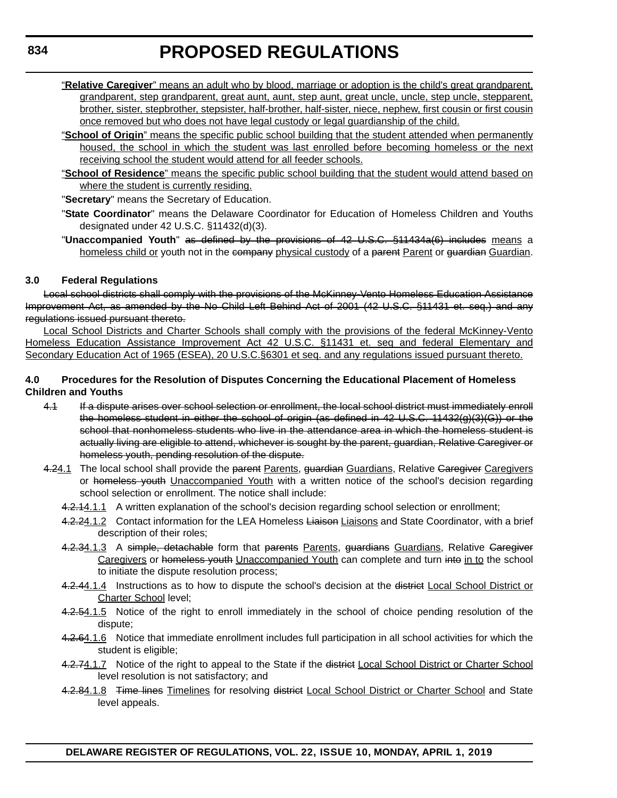- "**Relative Caregiver**" means an adult who by blood, marriage or adoption is the child's great grandparent, grandparent, step grandparent, great aunt, aunt, step aunt, great uncle, uncle, step uncle, stepparent, brother, sister, stepbrother, stepsister, half-brother, half-sister, niece, nephew, first cousin or first cousin once removed but who does not have legal custody or legal guardianship of the child.
- "**School of Origin**" means the specific public school building that the student attended when permanently housed, the school in which the student was last enrolled before becoming homeless or the next receiving school the student would attend for all feeder schools.
- "**School of Residence**" means the specific public school building that the student would attend based on where the student is currently residing.
- "**Secretary**" means the Secretary of Education.
- "**State Coordinator**" means the Delaware Coordinator for Education of Homeless Children and Youths designated under 42 U.S.C. §11432(d)(3).
- "**Unaccompanied Youth**" as defined by the provisions of 42 U.S.C. §11434a(6) includes means a homeless child or youth not in the company physical custody of a parent Parent or guardian Guardian.

#### **3.0 Federal Regulations**

Local school districts shall comply with the provisions of the McKinney-Vento Homeless Education Assistance Improvement Act, as amended by the No Child Left Behind Act of 2001 (42 U.S.C. §11431 et. seq.) and any regulations issued pursuant thereto.

Local School Districts and Charter Schools shall comply with the provisions of the federal McKinney-Vento Homeless Education Assistance Improvement Act 42 U.S.C. §11431 et. seq and federal Elementary and Secondary Education Act of 1965 (ESEA), 20 U.S.C.§6301 et seq. and any regulations issued pursuant thereto.

#### **4.0 Procedures for the Resolution of Disputes Concerning the Educational Placement of Homeless Children and Youths**

- 4.1 If a dispute arises over school selection or enrollment, the local school district must immediately enroll the homeless student in either the school of origin (as defined in 42 U.S.C. 11432(g)(3)(G)) or the school that nonhomeless students who live in the attendance area in which the homeless student is actually living are eligible to attend, whichever is sought by the parent, guardian, Relative Caregiver or homeless youth, pending resolution of the dispute.
- 4.24.1 The local school shall provide the parent Parents, guardian Guardians, Relative Garegiver Caregivers or homeless youth Unaccompanied Youth with a written notice of the school's decision regarding school selection or enrollment. The notice shall include:
	- 4.2.14.1.1 A written explanation of the school's decision regarding school selection or enrollment;
	- 4.2.24.1.2 Contact information for the LEA Homeless Liaison Liaisons and State Coordinator, with a brief description of their roles;
	- 4.2.34.1.3 A simple, detachable form that parents Parents, guardians Guardians, Relative Garegiver Caregivers or homeless youth Unaccompanied Youth can complete and turn into in to the school to initiate the dispute resolution process;
	- 4.2.44.1.4 Instructions as to how to dispute the school's decision at the district Local School District or Charter School level;
	- 4.2.54.1.5 Notice of the right to enroll immediately in the school of choice pending resolution of the dispute;
	- 4.2.64.1.6 Notice that immediate enrollment includes full participation in all school activities for which the student is eligible;
	- 4.2.74.1.7 Notice of the right to appeal to the State if the district Local School District or Charter School level resolution is not satisfactory; and
	- 4.2.84.1.8 Time lines Timelines for resolving district Local School District or Charter School and State level appeals.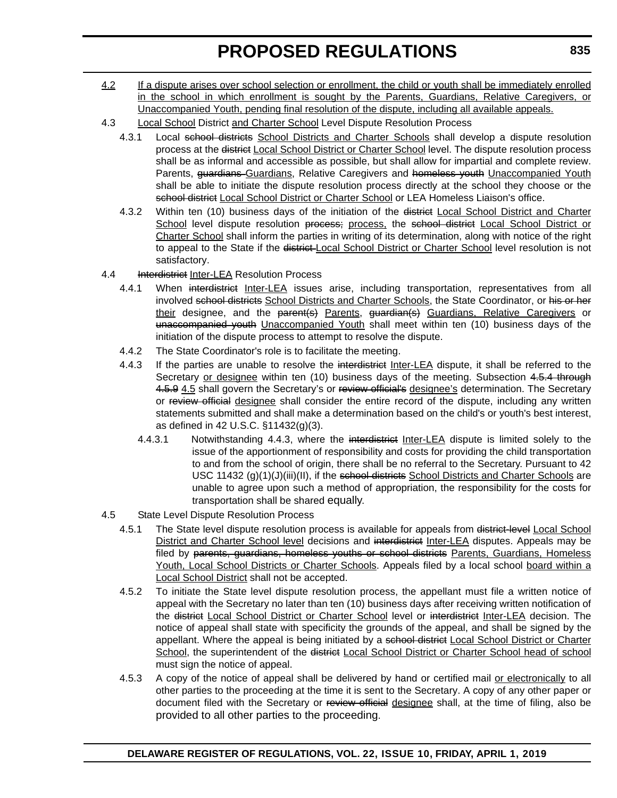- 4.2 If a dispute arises over school selection or enrollment, the child or youth shall be immediately enrolled in the school in which enrollment is sought by the Parents, Guardians, Relative Caregivers, or Unaccompanied Youth, pending final resolution of the dispute, including all available appeals.
- 4.3 Local School District and Charter School Level Dispute Resolution Process
	- 4.3.1 Local school districts School Districts and Charter Schools shall develop a dispute resolution process at the district Local School District or Charter School level. The dispute resolution process shall be as informal and accessible as possible, but shall allow for impartial and complete review. Parents, *guardians* Guardians, Relative Caregivers and homeless youth Unaccompanied Youth shall be able to initiate the dispute resolution process directly at the school they choose or the school district Local School District or Charter School or LEA Homeless Liaison's office.
	- 4.3.2 Within ten (10) business days of the initiation of the district Local School District and Charter School level dispute resolution process; process, the school district Local School District or Charter School shall inform the parties in writing of its determination, along with notice of the right to appeal to the State if the district-Local School District or Charter School level resolution is not satisfactory.
- 4.4 **Interdistrict Inter-LEA Resolution Process** 
	- 4.4.1 When interdistrict Inter-LEA issues arise, including transportation, representatives from all involved school districts School Districts and Charter Schools, the State Coordinator, or his or her their designee, and the parent(s) Parents, guardian(s) Guardians, Relative Caregivers or unaccompanied youth Unaccompanied Youth shall meet within ten (10) business days of the initiation of the dispute process to attempt to resolve the dispute.
	- 4.4.2 The State Coordinator's role is to facilitate the meeting.
	- 4.4.3 If the parties are unable to resolve the interdistrict Inter-LEA dispute, it shall be referred to the Secretary or designee within ten (10) business days of the meeting. Subsection 4.5.4 through 4.5.9 4.5 shall govern the Secretary's or review official's designee's determination. The Secretary or review official designee shall consider the entire record of the dispute, including any written statements submitted and shall make a determination based on the child's or youth's best interest, as defined in 42 U.S.C. §11432(g)(3).
		- 4.4.3.1 Notwithstanding 4.4.3, where the interdistrict Inter-LEA dispute is limited solely to the issue of the apportionment of responsibility and costs for providing the child transportation to and from the school of origin, there shall be no referral to the Secretary. Pursuant to 42 USC 11432  $(g)(1)(J)(iii)(II)$ , if the school districts School Districts and Charter Schools are unable to agree upon such a method of appropriation, the responsibility for the costs for transportation shall be shared equally.
- 4.5 State Level Dispute Resolution Process
	- 4.5.1 The State level dispute resolution process is available for appeals from district-level Local School District and Charter School level decisions and interdistrict Inter-LEA disputes. Appeals may be filed by parents, guardians, homeless youths or school districts Parents, Guardians, Homeless Youth, Local School Districts or Charter Schools. Appeals filed by a local school board within a Local School District shall not be accepted.
	- 4.5.2 To initiate the State level dispute resolution process, the appellant must file a written notice of appeal with the Secretary no later than ten (10) business days after receiving written notification of the district Local School District or Charter School level or interdistrict Inter-LEA decision. The notice of appeal shall state with specificity the grounds of the appeal, and shall be signed by the appellant. Where the appeal is being initiated by a school district Local School District or Charter School, the superintendent of the district Local School District or Charter School head of school must sign the notice of appeal.
	- 4.5.3 A copy of the notice of appeal shall be delivered by hand or certified mail or electronically to all other parties to the proceeding at the time it is sent to the Secretary. A copy of any other paper or document filed with the Secretary or review official designee shall, at the time of filing, also be provided to all other parties to the proceeding.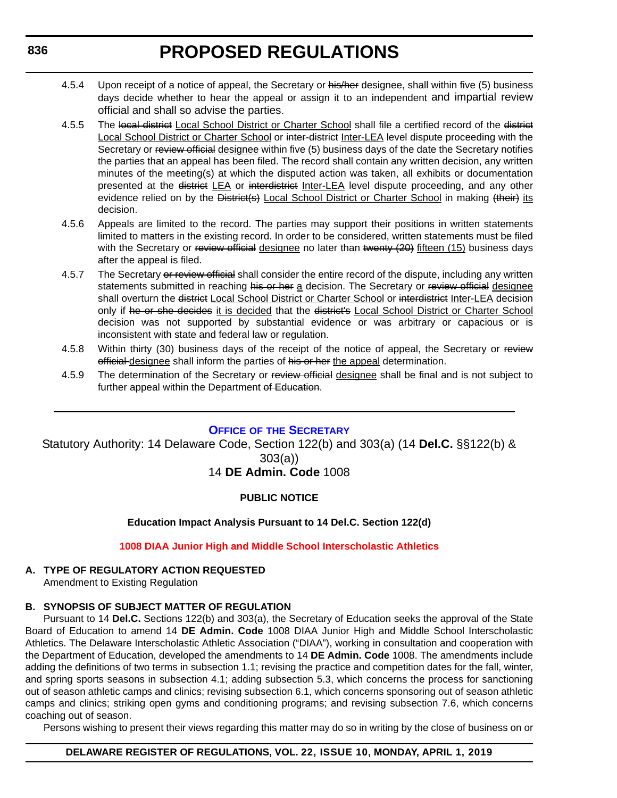- 4.5.4 Upon receipt of a notice of appeal, the Secretary or his/her designee, shall within five (5) business days decide whether to hear the appeal or assign it to an independent and impartial review official and shall so advise the parties.
- 4.5.5 The local district Local School District or Charter School shall file a certified record of the district Local School District or Charter School or inter-district Inter-LEA level dispute proceeding with the Secretary or review official designee within five (5) business days of the date the Secretary notifies the parties that an appeal has been filed. The record shall contain any written decision, any written minutes of the meeting(s) at which the disputed action was taken, all exhibits or documentation presented at the district LEA or interdistrict Inter-LEA level dispute proceeding, and any other evidence relied on by the District(s) Local School District or Charter School in making (their) its decision.
- 4.5.6 Appeals are limited to the record. The parties may support their positions in written statements limited to matters in the existing record. In order to be considered, written statements must be filed with the Secretary or review official designee no later than twenty (20) fifteen (15) business days after the appeal is filed.
- 4.5.7 The Secretary or review official shall consider the entire record of the dispute, including any written statements submitted in reaching his or her a decision. The Secretary or review official designee shall overturn the district Local School District or Charter School or interdistrict Inter-LEA decision only if he or she decides it is decided that the district's Local School District or Charter School decision was not supported by substantial evidence or was arbitrary or capacious or is inconsistent with state and federal law or regulation.
- 4.5.8 Within thirty (30) business days of the receipt of the notice of appeal, the Secretary or review official designee shall inform the parties of his or her the appeal determination.
- 4.5.9 The determination of the Secretary or review official designee shall be final and is not subject to further appeal within the Department of Education.

# **OFFICE OF [THE SECRETARY](https://www.doe.k12.de.us/)**

Statutory Authority: 14 Delaware Code, Section 122(b) and 303(a) (14 **Del.C.** §§122(b) & 303(a))

# 14 **DE Admin. Code** 1008

# **PUBLIC NOTICE**

# **Education Impact Analysis Pursuant to 14 Del.C. Section 122(d)**

## **[1008 DIAA Junior High and Middle School Interscholastic Athletics](#page-3-0)**

# **A. TYPE OF REGULATORY ACTION REQUESTED**

Amendment to Existing Regulation

# **B. SYNOPSIS OF SUBJECT MATTER OF REGULATION**

Pursuant to 14 **Del.C.** Sections 122(b) and 303(a), the Secretary of Education seeks the approval of the State Board of Education to amend 14 **DE Admin. Code** 1008 DIAA Junior High and Middle School Interscholastic Athletics. The Delaware Interscholastic Athletic Association ("DIAA"), working in consultation and cooperation with the Department of Education, developed the amendments to 14 **DE Admin. Code** 1008. The amendments include adding the definitions of two terms in subsection 1.1; revising the practice and competition dates for the fall, winter, and spring sports seasons in subsection 4.1; adding subsection 5.3, which concerns the process for sanctioning out of season athletic camps and clinics; revising subsection 6.1, which concerns sponsoring out of season athletic camps and clinics; striking open gyms and conditioning programs; and revising subsection 7.6, which concerns coaching out of season.

Persons wishing to present their views regarding this matter may do so in writing by the close of business on or

# **DELAWARE REGISTER OF REGULATIONS, VOL. 22, ISSUE 10, MONDAY, APRIL 1, 2019**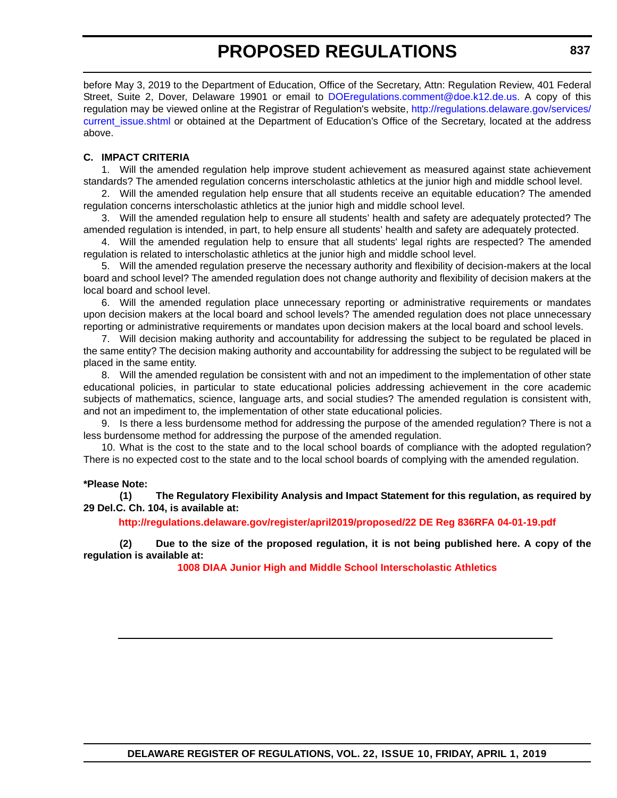before May 3, 2019 to the Department of Education, Office of the Secretary, Attn: Regulation Review, 401 Federal Street, Suite 2, Dover, Delaware 19901 or email to [DOEregulations.comment@doe.k12.de.us](mailto:DOEregulations.comment@doe.k12.de.us). A copy of this regulation may be viewed online at the Registrar of Regulation's website, [http://regulations.delaware.gov/services/](http://regulations.delaware.gov/services/current_issue.shtml) current issue.shtml or obtained at the Department of Education's Office of the Secretary, located at the address above.

#### **C. IMPACT CRITERIA**

1. Will the amended regulation help improve student achievement as measured against state achievement standards? The amended regulation concerns interscholastic athletics at the junior high and middle school level.

2. Will the amended regulation help ensure that all students receive an equitable education? The amended regulation concerns interscholastic athletics at the junior high and middle school level.

3. Will the amended regulation help to ensure all students' health and safety are adequately protected? The amended regulation is intended, in part, to help ensure all students' health and safety are adequately protected.

4. Will the amended regulation help to ensure that all students' legal rights are respected? The amended regulation is related to interscholastic athletics at the junior high and middle school level.

5. Will the amended regulation preserve the necessary authority and flexibility of decision-makers at the local board and school level? The amended regulation does not change authority and flexibility of decision makers at the local board and school level.

6. Will the amended regulation place unnecessary reporting or administrative requirements or mandates upon decision makers at the local board and school levels? The amended regulation does not place unnecessary reporting or administrative requirements or mandates upon decision makers at the local board and school levels.

7. Will decision making authority and accountability for addressing the subject to be regulated be placed in the same entity? The decision making authority and accountability for addressing the subject to be regulated will be placed in the same entity.

8. Will the amended regulation be consistent with and not an impediment to the implementation of other state educational policies, in particular to state educational policies addressing achievement in the core academic subjects of mathematics, science, language arts, and social studies? The amended regulation is consistent with, and not an impediment to, the implementation of other state educational policies.

9. Is there a less burdensome method for addressing the purpose of the amended regulation? There is not a less burdensome method for addressing the purpose of the amended regulation.

10. What is the cost to the state and to the local school boards of compliance with the adopted regulation? There is no expected cost to the state and to the local school boards of complying with the amended regulation.

#### **\*Please Note:**

**(1) The Regulatory Flexibility Analysis and Impact Statement for this regulation, as required by 29 Del.C. Ch. 104, is available at:**

**<http://regulations.delaware.gov/register/april2019/proposed/22 DE Reg 836RFA 04-01-19.pdf>**

**(2) Due to the size of the proposed regulation, it is not being published here. A copy of the regulation is available at:**

**[1008 DIAA Junior High and Middle School Interscholastic Athletics](http://regulations.delaware.gov/register/april2019/proposed/22 DE Reg 836 04-01-19.htm)**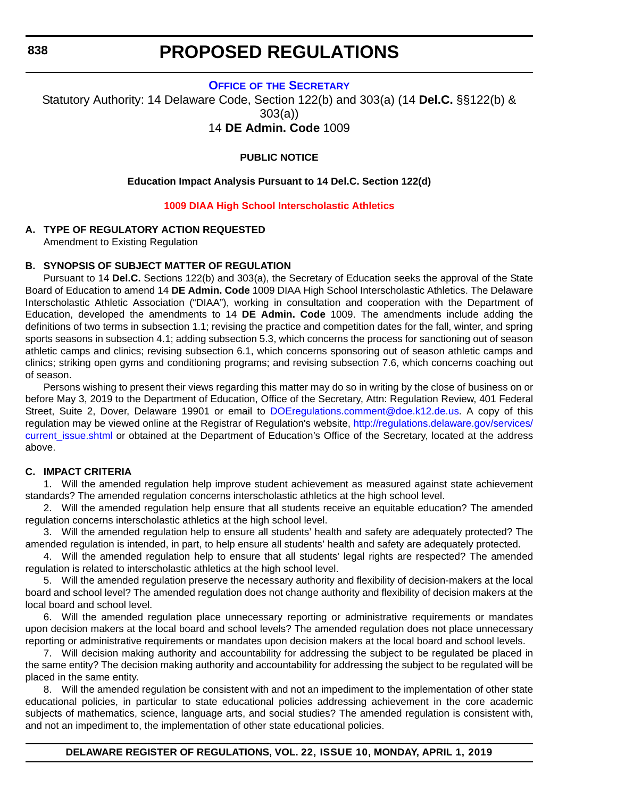#### **OFFICE OF [THE SECRETARY](https://www.doe.k12.de.us/)**

Statutory Authority: 14 Delaware Code, Section 122(b) and 303(a) (14 **Del.C.** §§122(b) & 303(a))

14 **DE Admin. Code** 1009

#### **PUBLIC NOTICE**

#### **Education Impact Analysis Pursuant to 14 Del.C. Section 122(d)**

#### **[1009 DIAA High School Interscholastic Athletics](#page-3-0)**

#### **A. TYPE OF REGULATORY ACTION REQUESTED**

Amendment to Existing Regulation

#### **B. SYNOPSIS OF SUBJECT MATTER OF REGULATION**

Pursuant to 14 **Del.C.** Sections 122(b) and 303(a), the Secretary of Education seeks the approval of the State Board of Education to amend 14 **DE Admin. Code** 1009 DIAA High School Interscholastic Athletics. The Delaware Interscholastic Athletic Association ("DIAA"), working in consultation and cooperation with the Department of Education, developed the amendments to 14 **DE Admin. Code** 1009. The amendments include adding the definitions of two terms in subsection 1.1; revising the practice and competition dates for the fall, winter, and spring sports seasons in subsection 4.1; adding subsection 5.3, which concerns the process for sanctioning out of season athletic camps and clinics; revising subsection 6.1, which concerns sponsoring out of season athletic camps and clinics; striking open gyms and conditioning programs; and revising subsection 7.6, which concerns coaching out of season.

Persons wishing to present their views regarding this matter may do so in writing by the close of business on or before May 3, 2019 to the Department of Education, Office of the Secretary, Attn: Regulation Review, 401 Federal Street, Suite 2, Dover, Delaware 19901 or email to [DOEregulations.comment@doe.k12.de.us.](mailto:DOEregulations.comment@doe.k12.de.us) A copy of this regulation may be viewed online at the Registrar of Regulation's website, [http://regulations.delaware.gov/services/](http://regulations.delaware.gov/services/current_issue.shtml) current issue.shtml or obtained at the Department of Education's Office of the Secretary, located at the address above.

#### **C. IMPACT CRITERIA**

1. Will the amended regulation help improve student achievement as measured against state achievement standards? The amended regulation concerns interscholastic athletics at the high school level.

2. Will the amended regulation help ensure that all students receive an equitable education? The amended regulation concerns interscholastic athletics at the high school level.

3. Will the amended regulation help to ensure all students' health and safety are adequately protected? The amended regulation is intended, in part, to help ensure all students' health and safety are adequately protected.

4. Will the amended regulation help to ensure that all students' legal rights are respected? The amended regulation is related to interscholastic athletics at the high school level.

5. Will the amended regulation preserve the necessary authority and flexibility of decision-makers at the local board and school level? The amended regulation does not change authority and flexibility of decision makers at the local board and school level.

6. Will the amended regulation place unnecessary reporting or administrative requirements or mandates upon decision makers at the local board and school levels? The amended regulation does not place unnecessary reporting or administrative requirements or mandates upon decision makers at the local board and school levels.

7. Will decision making authority and accountability for addressing the subject to be regulated be placed in the same entity? The decision making authority and accountability for addressing the subject to be regulated will be placed in the same entity.

8. Will the amended regulation be consistent with and not an impediment to the implementation of other state educational policies, in particular to state educational policies addressing achievement in the core academic subjects of mathematics, science, language arts, and social studies? The amended regulation is consistent with, and not an impediment to, the implementation of other state educational policies.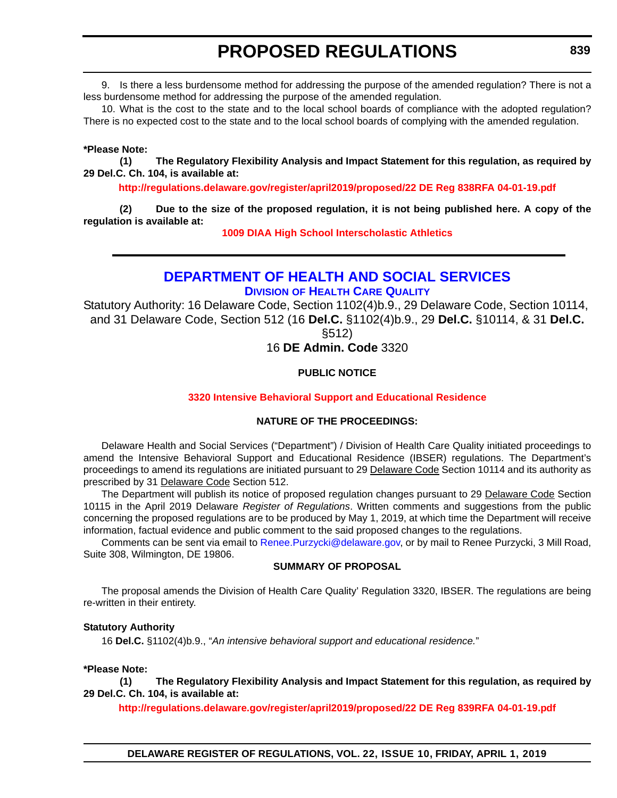9. Is there a less burdensome method for addressing the purpose of the amended regulation? There is not a less burdensome method for addressing the purpose of the amended regulation.

10. What is the cost to the state and to the local school boards of compliance with the adopted regulation? There is no expected cost to the state and to the local school boards of complying with the amended regulation.

#### **\*Please Note:**

**(1) The Regulatory Flexibility Analysis and Impact Statement for this regulation, as required by 29 Del.C. Ch. 104, is available at:**

**<http://regulations.delaware.gov/register/april2019/proposed/22 DE Reg 838RFA 04-01-19.pdf>**

**(2) Due to the size of the proposed regulation, it is not being published here. A copy of the regulation is available at:**

**[1009 DIAA High School Interscholastic Athletics](http://regulations.delaware.gov/register/april2019/proposed/22 DE Reg 838 04-01-19.htm)**

# **[DEPARTMENT OF HEALTH AND SOCIAL SERVICES](https://www.dhss.delaware.gov/dhss/dltcrp/index.html) DIVISION OF HEALTH CARE QUALITY**

Statutory Authority: 16 Delaware Code, Section 1102(4)b.9., 29 Delaware Code, Section 10114, and 31 Delaware Code, Section 512 (16 **Del.C.** §1102(4)b.9., 29 **Del.C.** §10114, & 31 **Del.C.**

§512)

16 **DE Admin. Code** 3320

# **PUBLIC NOTICE**

## **[3320 Intensive Behavioral Support and Educational Residence](#page-3-0)**

## **NATURE OF THE PROCEEDINGS:**

Delaware Health and Social Services ("Department") / Division of Health Care Quality initiated proceedings to amend the Intensive Behavioral Support and Educational Residence (IBSER) regulations. The Department's proceedings to amend its regulations are initiated pursuant to 29 Delaware Code Section 10114 and its authority as prescribed by 31 Delaware Code Section 512.

The Department will publish its notice of proposed regulation changes pursuant to 29 Delaware Code Section 10115 in the April 2019 Delaware *Register of Regulations*. Written comments and suggestions from the public concerning the proposed regulations are to be produced by May 1, 2019, at which time the Department will receive information, factual evidence and public comment to the said proposed changes to the regulations.

Comments can be sent via email to Renee. Purzycki@delaware.gov, or by mail to Renee Purzycki, 3 Mill Road, Suite 308, Wilmington, DE 19806.

## **SUMMARY OF PROPOSAL**

The proposal amends the Division of Health Care Quality' Regulation 3320, IBSER. The regulations are being re-written in their entirety.

## **Statutory Authority**

16 **Del.C.** §1102(4)b.9., "*An intensive behavioral support and educational residence.*"

## **\*Please Note:**

**(1) The Regulatory Flexibility Analysis and Impact Statement for this regulation, as required by 29 Del.C. Ch. 104, is available at:**

**<http://regulations.delaware.gov/register/april2019/proposed/22 DE Reg 839RFA 04-01-19.pdf>**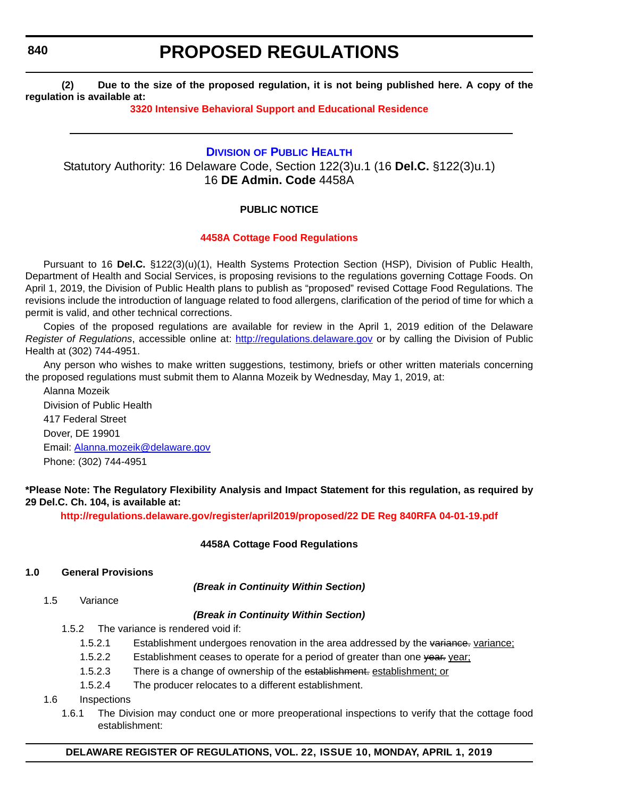**840**

# **PROPOSED REGULATIONS**

**(2) Due to the size of the proposed regulation, it is not being published here. A copy of the regulation is available at:**

# **[3320 Intensive Behavioral Support and Educational Residence](http://regulations.delaware.gov/register/april2019/proposed/22 DE Reg 839 04-01-19.htm)**

# **DIVISION [OF PUBLIC HEALTH](https://www.dhss.delaware.gov/dhss/dph/index.html)** Statutory Authority: 16 Delaware Code, Section 122(3)u.1 (16 **Del.C.** §122(3)u.1) 16 **DE Admin. Code** 4458A

# **PUBLIC NOTICE**

# **[4458A Cottage Food Regulations](#page-3-0)**

Pursuant to 16 **Del.C.** §122(3)(u)(1), Health Systems Protection Section (HSP), Division of Public Health, Department of Health and Social Services, is proposing revisions to the regulations governing Cottage Foods. On April 1, 2019, the Division of Public Health plans to publish as "proposed" revised Cottage Food Regulations. The revisions include the introduction of language related to food allergens, clarification of the period of time for which a permit is valid, and other technical corrections.

Copies of the proposed regulations are available for review in the April 1, 2019 edition of the Delaware *Register of Regulations*, accessible online at: <http://regulations.delaware.gov> or by calling the Division of Public Health at (302) 744-4951.

Any person who wishes to make written suggestions, testimony, briefs or other written materials concerning the proposed regulations must submit them to Alanna Mozeik by Wednesday, May 1, 2019, at:

Alanna Mozeik Division of Public Health 417 Federal Street Dover, DE 19901 Email: [Alanna.mozeik@delaware.gov](mailto:Alanna.mozeik@delaware.gov) Phone: (302) 744-4951

## **\*Please Note: The Regulatory Flexibility Analysis and Impact Statement for this regulation, as required by 29 Del.C. Ch. 104, is available at:**

**<http://regulations.delaware.gov/register/april2019/proposed/22 DE Reg 840RFA 04-01-19.pdf>**

## **4458A Cottage Food Regulations**

## **1.0 General Provisions**

*(Break in Continuity Within Section)*

1.5 Variance

## *(Break in Continuity Within Section)*

- 1.5.2 The variance is rendered void if:
	- 1.5.2.1 Establishment undergoes renovation in the area addressed by the variance: variance:
	- 1.5.2.2 Establishment ceases to operate for a period of greater than one year. year;
	- 1.5.2.3 There is a change of ownership of the establishment. establishment; or
	- 1.5.2.4 The producer relocates to a different establishment.
- 1.6 Inspections
	- 1.6.1 The Division may conduct one or more preoperational inspections to verify that the cottage food establishment:

## **DELAWARE REGISTER OF REGULATIONS, VOL. 22, ISSUE 10, MONDAY, APRIL 1, 2019**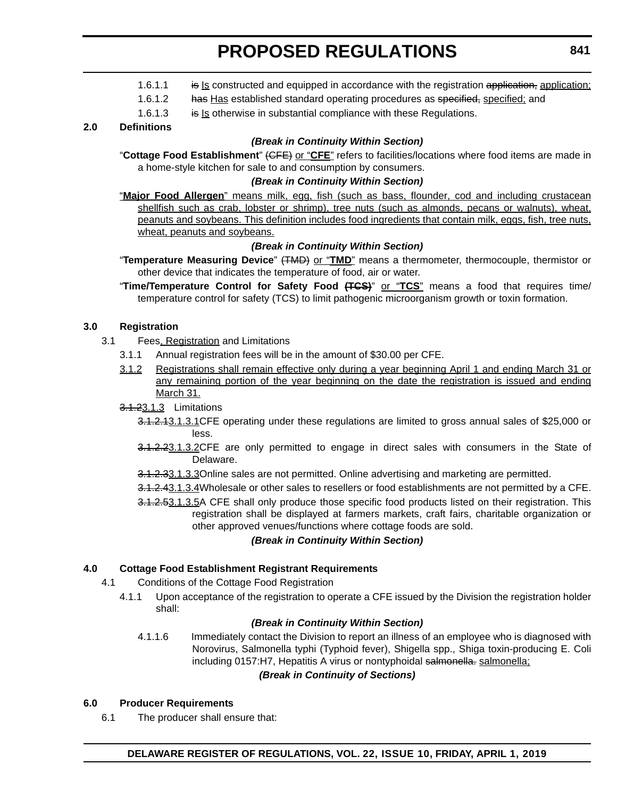- 1.6.1.1 is Is constructed and equipped in accordance with the registration application, application;
- 1.6.1.2 has Has established standard operating procedures as specified, specified; and
- 1.6.1.3 is Is otherwise in substantial compliance with these Regulations.

## **2.0 Definitions**

## *(Break in Continuity Within Section)*

"**Cottage Food Establishment**" (CFE) or "**CFE**" refers to facilities/locations where food items are made in a home-style kitchen for sale to and consumption by consumers.

#### *(Break in Continuity Within Section)*

"**Major Food Allergen**" means milk, egg, fish (such as bass, flounder, cod and including crustacean shellfish such as crab, lobster or shrimp), tree nuts (such as almonds, pecans or walnuts), wheat, peanuts and soybeans. This definition includes food ingredients that contain milk, eggs, fish, tree nuts, wheat, peanuts and soybeans.

# *(Break in Continuity Within Section)*

- "**Temperature Measuring Device**" (TMD) or "**TMD**" means a thermometer, thermocouple, thermistor or other device that indicates the temperature of food, air or water.
- "**Time/Temperature Control for Safety Food (TCS)**" or "**TCS**" means a food that requires time/ temperature control for safety (TCS) to limit pathogenic microorganism growth or toxin formation.

# **3.0 Registration**

- 3.1 Fees, Registration and Limitations
	- 3.1.1 Annual registration fees will be in the amount of \$30.00 per CFE.
	- 3.1.2 Registrations shall remain effective only during a year beginning April 1 and ending March 31 or any remaining portion of the year beginning on the date the registration is issued and ending March 31.

## 3.1.23.1.3 Limitations

- 3.1.2.13.1.3.1CFE operating under these regulations are limited to gross annual sales of \$25,000 or less.
- 3.1.2.23.1.3.2CFE are only permitted to engage in direct sales with consumers in the State of Delaware.
- 3.1.2.33.1.3.3Online sales are not permitted. Online advertising and marketing are permitted.
- 3.1.2.43.1.3.4Wholesale or other sales to resellers or food establishments are not permitted by a CFE.
- 3.1.2.53.1.3.5A CFE shall only produce those specific food products listed on their registration. This registration shall be displayed at farmers markets, craft fairs, charitable organization or other approved venues/functions where cottage foods are sold.

## *(Break in Continuity Within Section)*

## **4.0 Cottage Food Establishment Registrant Requirements**

- 4.1 Conditions of the Cottage Food Registration
	- 4.1.1 Upon acceptance of the registration to operate a CFE issued by the Division the registration holder shall:

## *(Break in Continuity Within Section)*

4.1.1.6 Immediately contact the Division to report an illness of an employee who is diagnosed with Norovirus, Salmonella typhi (Typhoid fever), Shigella spp., Shiga toxin-producing E. Coli including 0157:H7, Hepatitis A virus or nontyphoidal salmonella. salmonella;

## *(Break in Continuity of Sections)*

## **6.0 Producer Requirements**

6.1 The producer shall ensure that: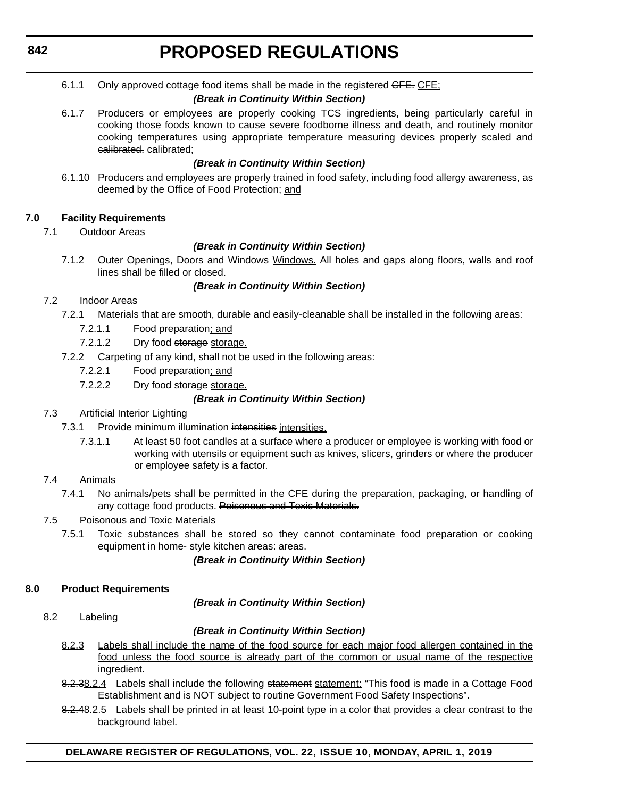6.1.1 Only approved cottage food items shall be made in the registered GFE. CFE;

# *(Break in Continuity Within Section)*

6.1.7 Producers or employees are properly cooking TCS ingredients, being particularly careful in cooking those foods known to cause severe foodborne illness and death, and routinely monitor cooking temperatures using appropriate temperature measuring devices properly scaled and calibrated. calibrated;

# *(Break in Continuity Within Section)*

6.1.10 Producers and employees are properly trained in food safety, including food allergy awareness, as deemed by the Office of Food Protection; and

# **7.0 Facility Requirements**

7.1 Outdoor Areas

# *(Break in Continuity Within Section)*

7.1.2 Outer Openings, Doors and Windows Windows. All holes and gaps along floors, walls and roof lines shall be filled or closed.

# *(Break in Continuity Within Section)*

- 7.2 Indoor Areas
	- 7.2.1 Materials that are smooth, durable and easily-cleanable shall be installed in the following areas:
		- 7.2.1.1 Food preparation; and
		- 7.2.1.2 Dry food storage storage.
	- 7.2.2 Carpeting of any kind, shall not be used in the following areas:
		- 7.2.2.1 Food preparation; and
		- 7.2.2.2 Dry food storage storage.

# *(Break in Continuity Within Section)*

- 7.3 Artificial Interior Lighting
	- 7.3.1 Provide minimum illumination intensities intensities.
		- 7.3.1.1 At least 50 foot candles at a surface where a producer or employee is working with food or working with utensils or equipment such as knives, slicers, grinders or where the producer or employee safety is a factor.

# 7.4 Animals

- 7.4.1 No animals/pets shall be permitted in the CFE during the preparation, packaging, or handling of any cottage food products. Poisonous and Toxic Materials.
- 7.5 Poisonous and Toxic Materials
	- 7.5.1 Toxic substances shall be stored so they cannot contaminate food preparation or cooking equipment in home- style kitchen areas: areas.

# *(Break in Continuity Within Section)*

# **8.0 Product Requirements**

*(Break in Continuity Within Section)*

8.2 Labeling

# *(Break in Continuity Within Section)*

- 8.2.3 Labels shall include the name of the food source for each major food allergen contained in the food unless the food source is already part of the common or usual name of the respective ingredient.
- 8.2.38.2.4 Labels shall include the following statement statement: "This food is made in a Cottage Food Establishment and is NOT subject to routine Government Food Safety Inspections".
- 8.2.48.2.5 Labels shall be printed in at least 10-point type in a color that provides a clear contrast to the background label.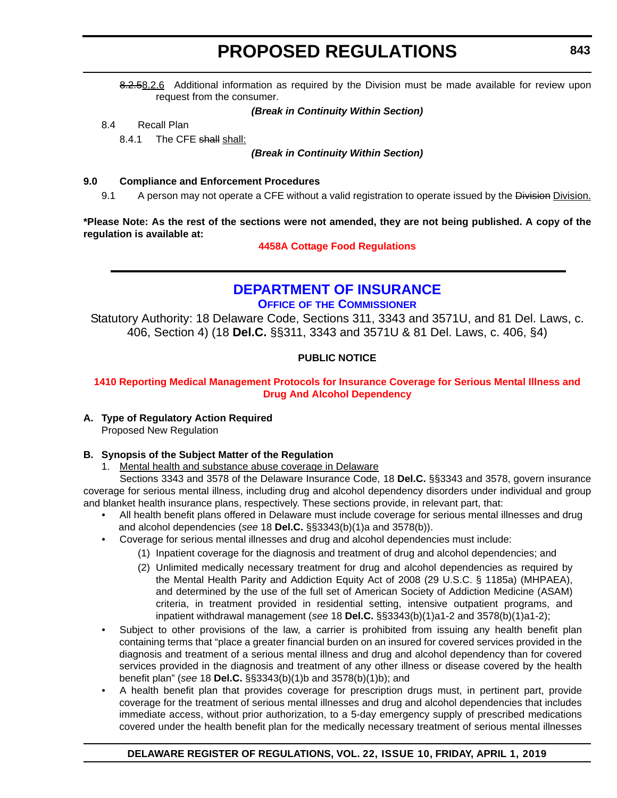8.2.58.2.6 Additional information as required by the Division must be made available for review upon request from the consumer.

#### *(Break in Continuity Within Section)*

8.4 Recall Plan

8.4.1 The CFE shall shall:

*(Break in Continuity Within Section)*

#### **9.0 Compliance and Enforcement Procedures**

9.1 A person may not operate a CFE without a valid registration to operate issued by the Division Division.

**\*Please Note: As the rest of the sections were not amended, they are not being published. A copy of the regulation is available at:**

## **[4458A Cottage Food Regulations](http://regulations.delaware.gov/register/april2019/proposed/22 DE Reg 840 04-01-19.htm)**

# **[DEPARTMENT OF INSURANCE](https://insurance.delaware.gov/) OFFICE OF THE COMMISSIONER**

Statutory Authority: 18 Delaware Code, Sections 311, 3343 and 3571U, and 81 Del. Laws, c. 406, Section 4) (18 **Del.C.** §§311, 3343 and 3571U & 81 Del. Laws, c. 406, §4)

# **PUBLIC NOTICE**

## **[1410 Reporting Medical Management Protocols for Insurance Coverage for Serious Mental Illness and](#page-3-0)  Drug And Alcohol Dependency**

## **A. Type of Regulatory Action Required**

Proposed New Regulation

## **B. Synopsis of the Subject Matter of the Regulation**

1. Mental health and substance abuse coverage in Delaware

Sections 3343 and 3578 of the Delaware Insurance Code, 18 **Del.C.** §§3343 and 3578, govern insurance coverage for serious mental illness, including drug and alcohol dependency disorders under individual and group and blanket health insurance plans, respectively. These sections provide, in relevant part, that:

- All health benefit plans offered in Delaware must include coverage for serious mental illnesses and drug and alcohol dependencies (*see* 18 **Del.C.** §§3343(b)(1)a and 3578(b)).
- Coverage for serious mental illnesses and drug and alcohol dependencies must include:
	- (1) Inpatient coverage for the diagnosis and treatment of drug and alcohol dependencies; and
	- (2) Unlimited medically necessary treatment for drug and alcohol dependencies as required by the Mental Health Parity and Addiction Equity Act of 2008 (29 U.S.C. § 1185a) (MHPAEA), and determined by the use of the full set of American Society of Addiction Medicine (ASAM) criteria, in treatment provided in residential setting, intensive outpatient programs, and inpatient withdrawal management (*see* 18 **Del.C.** §§3343(b)(1)a1-2 and 3578(b)(1)a1-2);
- Subject to other provisions of the law, a carrier is prohibited from issuing any health benefit plan containing terms that "place a greater financial burden on an insured for covered services provided in the diagnosis and treatment of a serious mental illness and drug and alcohol dependency than for covered services provided in the diagnosis and treatment of any other illness or disease covered by the health benefit plan" (*see* 18 **Del.C.** §§3343(b)(1)b and 3578(b)(1)b); and
- A health benefit plan that provides coverage for prescription drugs must, in pertinent part, provide coverage for the treatment of serious mental illnesses and drug and alcohol dependencies that includes immediate access, without prior authorization, to a 5-day emergency supply of prescribed medications covered under the health benefit plan for the medically necessary treatment of serious mental illnesses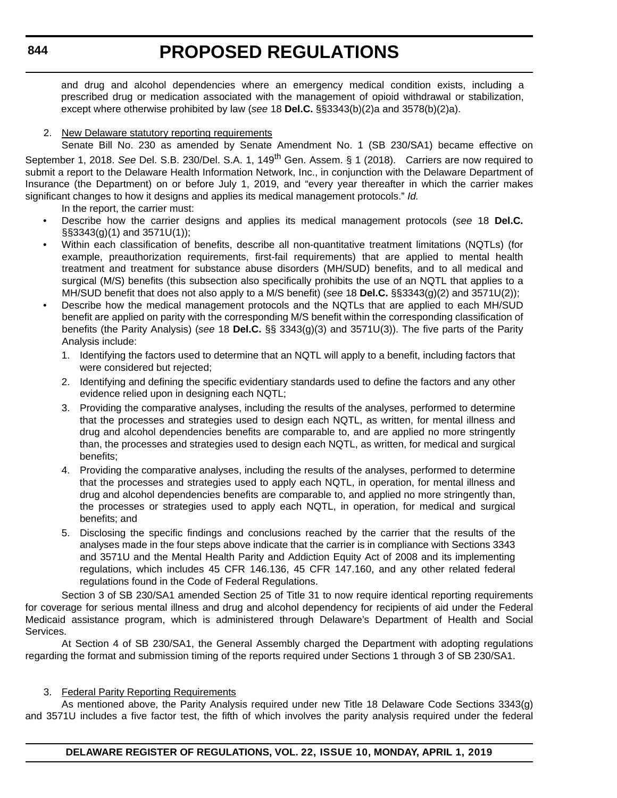and drug and alcohol dependencies where an emergency medical condition exists, including a prescribed drug or medication associated with the management of opioid withdrawal or stabilization, except where otherwise prohibited by law (*see* 18 **Del.C.** §§3343(b)(2)a and 3578(b)(2)a).

# 2. New Delaware statutory reporting requirements

Senate Bill No. 230 as amended by Senate Amendment No. 1 (SB 230/SA1) became effective on September 1, 2018. *See* Del. S.B. 230/Del. S.A. 1, 149th Gen. Assem. § 1 (2018). Carriers are now required to submit a report to the Delaware Health Information Network, Inc., in conjunction with the Delaware Department of Insurance (the Department) on or before July 1, 2019, and "every year thereafter in which the carrier makes significant changes to how it designs and applies its medical management protocols." *Id.*

In the report, the carrier must:

- Describe how the carrier designs and applies its medical management protocols (*see* 18 **Del.C.** §§3343(g)(1) and 3571U(1));
- Within each classification of benefits, describe all non-quantitative treatment limitations (NQTLs) (for example, preauthorization requirements, first-fail requirements) that are applied to mental health treatment and treatment for substance abuse disorders (MH/SUD) benefits, and to all medical and surgical (M/S) benefits (this subsection also specifically prohibits the use of an NQTL that applies to a MH/SUD benefit that does not also apply to a M/S benefit) (*see* 18 **Del.C.** §§3343(g)(2) and 3571U(2));
- Describe how the medical management protocols and the NQTLs that are applied to each MH/SUD benefit are applied on parity with the corresponding M/S benefit within the corresponding classification of benefits (the Parity Analysis) (*see* 18 **Del.C.** §§ 3343(g)(3) and 3571U(3)). The five parts of the Parity Analysis include:
	- 1. Identifying the factors used to determine that an NQTL will apply to a benefit, including factors that were considered but rejected;
	- 2. Identifying and defining the specific evidentiary standards used to define the factors and any other evidence relied upon in designing each NQTL;
	- 3. Providing the comparative analyses, including the results of the analyses, performed to determine that the processes and strategies used to design each NQTL, as written, for mental illness and drug and alcohol dependencies benefits are comparable to, and are applied no more stringently than, the processes and strategies used to design each NQTL, as written, for medical and surgical benefits;
	- 4. Providing the comparative analyses, including the results of the analyses, performed to determine that the processes and strategies used to apply each NQTL, in operation, for mental illness and drug and alcohol dependencies benefits are comparable to, and applied no more stringently than, the processes or strategies used to apply each NQTL, in operation, for medical and surgical benefits; and
	- 5. Disclosing the specific findings and conclusions reached by the carrier that the results of the analyses made in the four steps above indicate that the carrier is in compliance with Sections 3343 and 3571U and the Mental Health Parity and Addiction Equity Act of 2008 and its implementing regulations, which includes 45 CFR 146.136, 45 CFR 147.160, and any other related federal regulations found in the Code of Federal Regulations.

Section 3 of SB 230/SA1 amended Section 25 of Title 31 to now require identical reporting requirements for coverage for serious mental illness and drug and alcohol dependency for recipients of aid under the Federal Medicaid assistance program, which is administered through Delaware's Department of Health and Social Services.

At Section 4 of SB 230/SA1, the General Assembly charged the Department with adopting regulations regarding the format and submission timing of the reports required under Sections 1 through 3 of SB 230/SA1.

## 3. Federal Parity Reporting Requirements

As mentioned above, the Parity Analysis required under new Title 18 Delaware Code Sections 3343(g) and 3571U includes a five factor test, the fifth of which involves the parity analysis required under the federal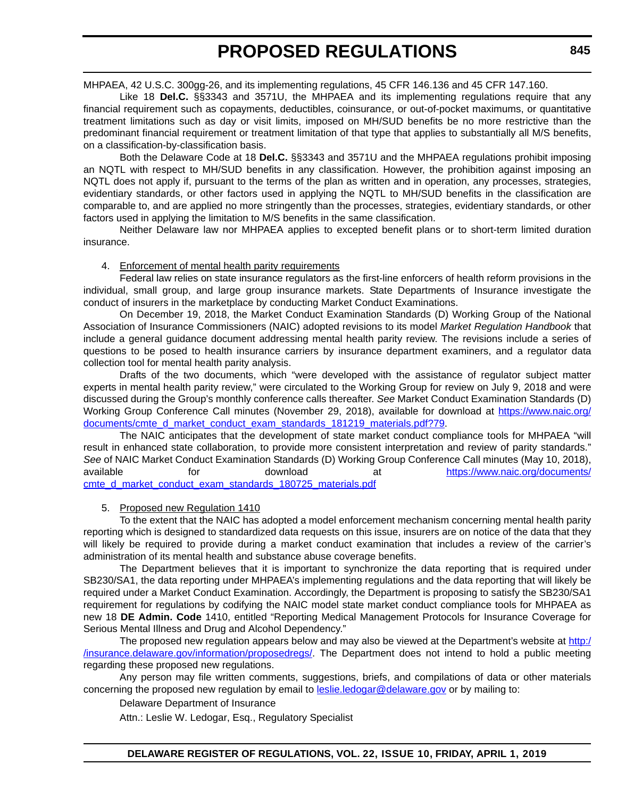MHPAEA, 42 U.S.C. 300gg-26, and its implementing regulations, 45 CFR 146.136 and 45 CFR 147.160.

Like 18 **Del.C.** §§3343 and 3571U, the MHPAEA and its implementing regulations require that any financial requirement such as copayments, deductibles, coinsurance, or out-of-pocket maximums, or quantitative treatment limitations such as day or visit limits, imposed on MH/SUD benefits be no more restrictive than the predominant financial requirement or treatment limitation of that type that applies to substantially all M/S benefits, on a classification-by-classification basis.

Both the Delaware Code at 18 **Del.C.** §§3343 and 3571U and the MHPAEA regulations prohibit imposing an NQTL with respect to MH/SUD benefits in any classification. However, the prohibition against imposing an NQTL does not apply if, pursuant to the terms of the plan as written and in operation, any processes, strategies, evidentiary standards, or other factors used in applying the NQTL to MH/SUD benefits in the classification are comparable to, and are applied no more stringently than the processes, strategies, evidentiary standards, or other factors used in applying the limitation to M/S benefits in the same classification.

Neither Delaware law nor MHPAEA applies to excepted benefit plans or to short-term limited duration insurance.

## 4. Enforcement of mental health parity requirements

Federal law relies on state insurance regulators as the first-line enforcers of health reform provisions in the individual, small group, and large group insurance markets. State Departments of Insurance investigate the conduct of insurers in the marketplace by conducting Market Conduct Examinations.

On December 19, 2018, the Market Conduct Examination Standards (D) Working Group of the National Association of Insurance Commissioners (NAIC) adopted revisions to its model *Market Regulation Handbook* that include a general guidance document addressing mental health parity review. The revisions include a series of questions to be posed to health insurance carriers by insurance department examiners, and a regulator data collection tool for mental health parity analysis.

Drafts of the two documents, which "were developed with the assistance of regulator subject matter experts in mental health parity review," were circulated to the Working Group for review on July 9, 2018 and were discussed during the Group's monthly conference calls thereafter. *See* Market Conduct Examination Standards (D) Working Group Conference Call minutes (November 29, 2018), available for download at [https://www.naic.org/](https://www.naic.org/documents/cmte_d_market_conduct_exam_standards_181219_materials.pdf?79) [documents/cmte\\_d\\_market\\_conduct\\_exam\\_standards\\_181219\\_materials.pdf?79](https://www.naic.org/documents/cmte_d_market_conduct_exam_standards_181219_materials.pdf?79).

The NAIC anticipates that the development of state market conduct compliance tools for MHPAEA "will result in enhanced state collaboration, to provide more consistent interpretation and review of parity standards." *See* of NAIC Market Conduct Examination Standards (D) Working Group Conference Call minutes (May 10, 2018), available for download at [https://www.naic.org/documents/](https://www.naic.org/documents/cmte_d_market_conduct_exam_standards_180725_materials.pdf) cmte d market conduct exam\_standards\_180725\_materials.pdf

## 5. Proposed new Regulation 1410

To the extent that the NAIC has adopted a model enforcement mechanism concerning mental health parity reporting which is designed to standardized data requests on this issue, insurers are on notice of the data that they will likely be required to provide during a market conduct examination that includes a review of the carrier's administration of its mental health and substance abuse coverage benefits.

The Department believes that it is important to synchronize the data reporting that is required under SB230/SA1, the data reporting under MHPAEA's implementing regulations and the data reporting that will likely be required under a Market Conduct Examination. Accordingly, the Department is proposing to satisfy the SB230/SA1 requirement for regulations by codifying the NAIC model state market conduct compliance tools for MHPAEA as new 18 **DE Admin. Code** 1410, entitled "Reporting Medical Management Protocols for Insurance Coverage for Serious Mental Illness and Drug and Alcohol Dependency."

The proposed new regulation appears below and may also be viewed at the Department's website at [http:/](http://insurance.delaware.gov/information/proposedregs/) [/insurance.delaware.gov/information/proposedregs/](http://insurance.delaware.gov/information/proposedregs/). The Department does not intend to hold a public meeting regarding these proposed new regulations.

Any person may file written comments, suggestions, briefs, and compilations of data or other materials concerning the proposed new regulation by email to [l](mailto:leslie.ledogar@delaware.gov)eslie.ledogar@delaware.gov or by mailing to:

Delaware Department of Insurance

Attn.: Leslie W. Ledogar, Esq., Regulatory Specialist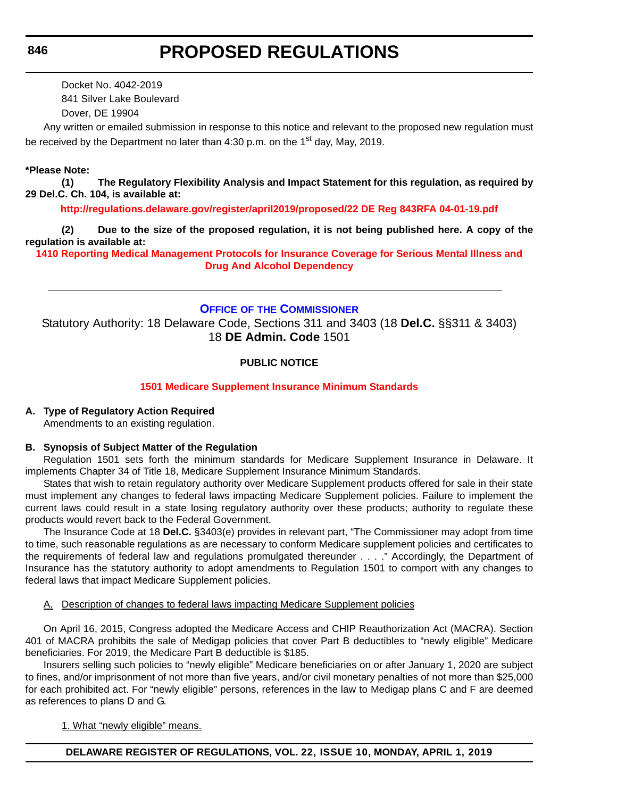Docket No. 4042-2019 841 Silver Lake Boulevard Dover, DE 19904

Any written or emailed submission in response to this notice and relevant to the proposed new regulation must be received by the Department no later than  $4:30$  p.m. on the 1<sup>st</sup> day, May, 2019.

## **\*Please Note:**

**(1) The Regulatory Flexibility Analysis and Impact Statement for this regulation, as required by 29 Del.C. Ch. 104, is available at:**

**<http://regulations.delaware.gov/register/april2019/proposed/22 DE Reg 843RFA 04-01-19.pdf>**

**(2) Due to the size of the proposed regulation, it is not being published here. A copy of the regulation is available at:**

**[1410 Reporting Medical Management Protocols for Insurance Coverage for Serious Mental Illness and](http://regulations.delaware.gov/register/april2019/proposed/22 DE Reg 843 04-01-19.htm)  Drug And Alcohol Dependency**

## **OFFICE OF [THE COMMISSIONER](https://insurance.delaware.gov/)**

Statutory Authority: 18 Delaware Code, Sections 311 and 3403 (18 **Del.C.** §§311 & 3403) 18 **DE Admin. Code** 1501

# **PUBLIC NOTICE**

## **[1501 Medicare Supplement Insurance Minimum Standards](#page-3-0)**

## **A. Type of Regulatory Action Required**

Amendments to an existing regulation.

#### **B. Synopsis of Subject Matter of the Regulation**

Regulation 1501 sets forth the minimum standards for Medicare Supplement Insurance in Delaware. It implements Chapter 34 of Title 18, Medicare Supplement Insurance Minimum Standards.

States that wish to retain regulatory authority over Medicare Supplement products offered for sale in their state must implement any changes to federal laws impacting Medicare Supplement policies. Failure to implement the current laws could result in a state losing regulatory authority over these products; authority to regulate these products would revert back to the Federal Government.

The Insurance Code at 18 **Del.C.** §3403(e) provides in relevant part, "The Commissioner may adopt from time to time, such reasonable regulations as are necessary to conform Medicare supplement policies and certificates to the requirements of federal law and regulations promulgated thereunder . . . ." Accordingly, the Department of Insurance has the statutory authority to adopt amendments to Regulation 1501 to comport with any changes to federal laws that impact Medicare Supplement policies.

#### A. Description of changes to federal laws impacting Medicare Supplement policies

On April 16, 2015, Congress adopted the Medicare Access and CHIP Reauthorization Act (MACRA). Section 401 of MACRA prohibits the sale of Medigap policies that cover Part B deductibles to "newly eligible" Medicare beneficiaries. For 2019, the Medicare Part B deductible is \$185.

Insurers selling such policies to "newly eligible" Medicare beneficiaries on or after January 1, 2020 are subject to fines, and/or imprisonment of not more than five years, and/or civil monetary penalties of not more than \$25,000 for each prohibited act. For "newly eligible" persons, references in the law to Medigap plans C and F are deemed as references to plans D and G.

1. What "newly eligible" means.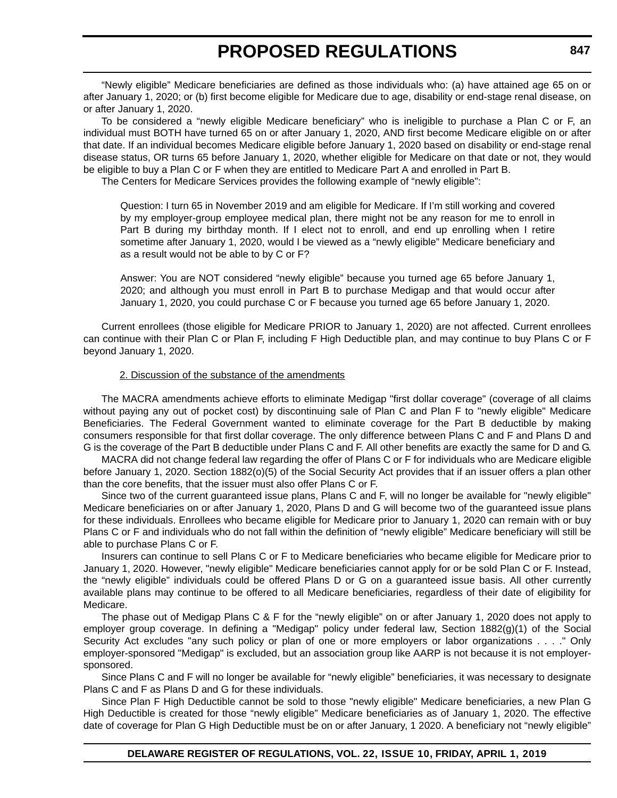"Newly eligible" Medicare beneficiaries are defined as those individuals who: (a) have attained age 65 on or after January 1, 2020; or (b) first become eligible for Medicare due to age, disability or end-stage renal disease, on or after January 1, 2020.

To be considered a "newly eligible Medicare beneficiary" who is ineligible to purchase a Plan C or F, an individual must BOTH have turned 65 on or after January 1, 2020, AND first become Medicare eligible on or after that date. If an individual becomes Medicare eligible before January 1, 2020 based on disability or end-stage renal disease status, OR turns 65 before January 1, 2020, whether eligible for Medicare on that date or not, they would be eligible to buy a Plan C or F when they are entitled to Medicare Part A and enrolled in Part B.

The Centers for Medicare Services provides the following example of "newly eligible":

Question: I turn 65 in November 2019 and am eligible for Medicare. If I'm still working and covered by my employer-group employee medical plan, there might not be any reason for me to enroll in Part B during my birthday month. If I elect not to enroll, and end up enrolling when I retire sometime after January 1, 2020, would I be viewed as a "newly eligible" Medicare beneficiary and as a result would not be able to by C or F?

Answer: You are NOT considered "newly eligible" because you turned age 65 before January 1, 2020; and although you must enroll in Part B to purchase Medigap and that would occur after January 1, 2020, you could purchase C or F because you turned age 65 before January 1, 2020.

Current enrollees (those eligible for Medicare PRIOR to January 1, 2020) are not affected. Current enrollees can continue with their Plan C or Plan F, including F High Deductible plan, and may continue to buy Plans C or F beyond January 1, 2020.

#### 2. Discussion of the substance of the amendments

The MACRA amendments achieve efforts to eliminate Medigap "first dollar coverage" (coverage of all claims without paying any out of pocket cost) by discontinuing sale of Plan C and Plan F to "newly eligible" Medicare Beneficiaries. The Federal Government wanted to eliminate coverage for the Part B deductible by making consumers responsible for that first dollar coverage. The only difference between Plans C and F and Plans D and G is the coverage of the Part B deductible under Plans C and F. All other benefits are exactly the same for D and G.

MACRA did not change federal law regarding the offer of Plans C or F for individuals who are Medicare eligible before January 1, 2020. Section 1882(o)(5) of the Social Security Act provides that if an issuer offers a plan other than the core benefits, that the issuer must also offer Plans C or F.

Since two of the current guaranteed issue plans, Plans C and F, will no longer be available for "newly eligible" Medicare beneficiaries on or after January 1, 2020, Plans D and G will become two of the guaranteed issue plans for these individuals. Enrollees who became eligible for Medicare prior to January 1, 2020 can remain with or buy Plans C or F and individuals who do not fall within the definition of "newly eligible" Medicare beneficiary will still be able to purchase Plans C or F.

Insurers can continue to sell Plans C or F to Medicare beneficiaries who became eligible for Medicare prior to January 1, 2020. However, "newly eligible" Medicare beneficiaries cannot apply for or be sold Plan C or F. Instead, the "newly eligible" individuals could be offered Plans D or G on a guaranteed issue basis. All other currently available plans may continue to be offered to all Medicare beneficiaries, regardless of their date of eligibility for Medicare.

The phase out of Medigap Plans C & F for the "newly eligible" on or after January 1, 2020 does not apply to employer group coverage. In defining a "Medigap" policy under federal law, Section 1882(g)(1) of the Social Security Act excludes "any such policy or plan of one or more employers or labor organizations . . . ." Only employer-sponsored "Medigap" is excluded, but an association group like AARP is not because it is not employersponsored.

Since Plans C and F will no longer be available for "newly eligible" beneficiaries, it was necessary to designate Plans C and F as Plans D and G for these individuals.

Since Plan F High Deductible cannot be sold to those "newly eligible" Medicare beneficiaries, a new Plan G High Deductible is created for those "newly eligible" Medicare beneficiaries as of January 1, 2020. The effective date of coverage for Plan G High Deductible must be on or after January, 1 2020. A beneficiary not "newly eligible"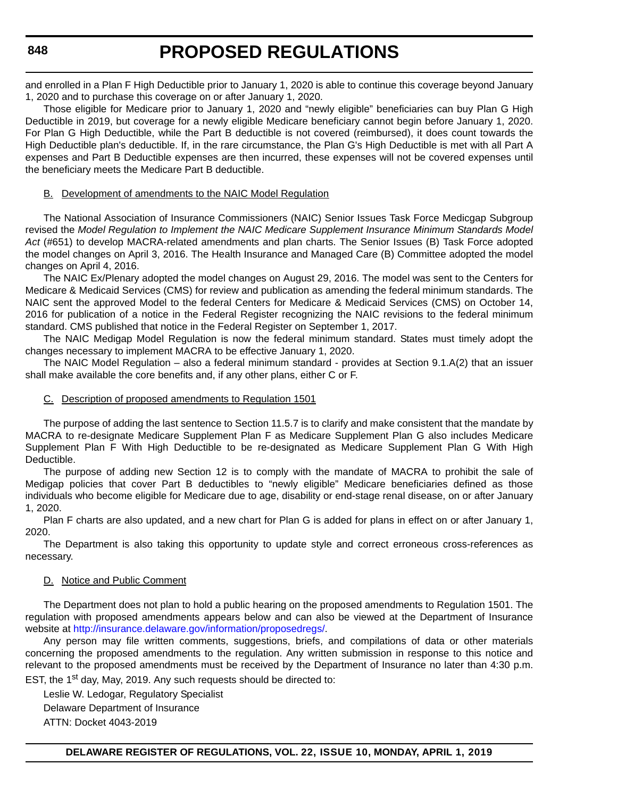and enrolled in a Plan F High Deductible prior to January 1, 2020 is able to continue this coverage beyond January 1, 2020 and to purchase this coverage on or after January 1, 2020.

Those eligible for Medicare prior to January 1, 2020 and "newly eligible" beneficiaries can buy Plan G High Deductible in 2019, but coverage for a newly eligible Medicare beneficiary cannot begin before January 1, 2020. For Plan G High Deductible, while the Part B deductible is not covered (reimbursed), it does count towards the High Deductible plan's deductible. If, in the rare circumstance, the Plan G's High Deductible is met with all Part A expenses and Part B Deductible expenses are then incurred, these expenses will not be covered expenses until the beneficiary meets the Medicare Part B deductible.

## B. Development of amendments to the NAIC Model Regulation

The National Association of Insurance Commissioners (NAIC) Senior Issues Task Force Medicgap Subgroup revised the *Model Regulation to Implement the NAIC Medicare Supplement Insurance Minimum Standards Model Act* (#651) to develop MACRA-related amendments and plan charts. The Senior Issues (B) Task Force adopted the model changes on April 3, 2016. The Health Insurance and Managed Care (B) Committee adopted the model changes on April 4, 2016.

The NAIC Ex/Plenary adopted the model changes on August 29, 2016. The model was sent to the Centers for Medicare & Medicaid Services (CMS) for review and publication as amending the federal minimum standards. The NAIC sent the approved Model to the federal Centers for Medicare & Medicaid Services (CMS) on October 14, 2016 for publication of a notice in the Federal Register recognizing the NAIC revisions to the federal minimum standard. CMS published that notice in the Federal Register on September 1, 2017.

The NAIC Medigap Model Regulation is now the federal minimum standard. States must timely adopt the changes necessary to implement MACRA to be effective January 1, 2020.

The NAIC Model Regulation – also a federal minimum standard - provides at Section 9.1.A(2) that an issuer shall make available the core benefits and, if any other plans, either C or F.

## C. Description of proposed amendments to Regulation 1501

The purpose of adding the last sentence to Section 11.5.7 is to clarify and make consistent that the mandate by MACRA to re-designate Medicare Supplement Plan F as Medicare Supplement Plan G also includes Medicare Supplement Plan F With High Deductible to be re-designated as Medicare Supplement Plan G With High Deductible.

The purpose of adding new Section 12 is to comply with the mandate of MACRA to prohibit the sale of Medigap policies that cover Part B deductibles to "newly eligible" Medicare beneficiaries defined as those individuals who become eligible for Medicare due to age, disability or end-stage renal disease, on or after January 1, 2020.

Plan F charts are also updated, and a new chart for Plan G is added for plans in effect on or after January 1, 2020.

The Department is also taking this opportunity to update style and correct erroneous cross-references as necessary.

## D. Notice and Public Comment

The Department does not plan to hold a public hearing on the proposed amendments to Regulation 1501. The regulation with proposed amendments appears below and can also be viewed at the Department of Insurance website at <http://insurance.delaware.gov/information/proposedregs/>.

Any person may file written comments, suggestions, briefs, and compilations of data or other materials concerning the proposed amendments to the regulation. Any written submission in response to this notice and relevant to the proposed amendments must be received by the Department of Insurance no later than 4:30 p.m. EST, the 1<sup>st</sup> day, May, 2019. Any such requests should be directed to:

Leslie W. Ledogar, Regulatory Specialist Delaware Department of Insurance ATTN: Docket 4043-2019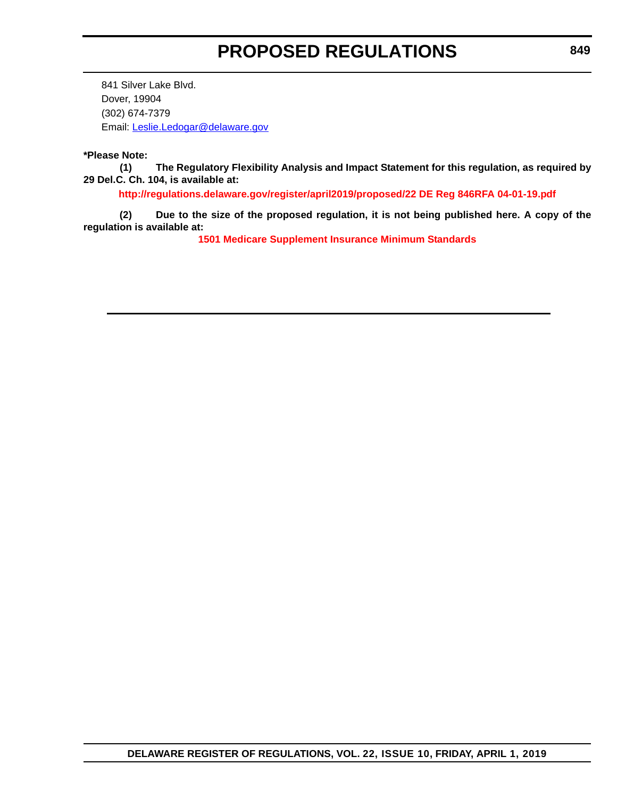841 Silver Lake Blvd. Dover, 19904 (302) 674-7379 Email: [Leslie.Ledogar@delaware.gov](mailto:Leslie.Ledogar@delaware.gov)

#### **\*Please Note:**

**(1) The Regulatory Flexibility Analysis and Impact Statement for this regulation, as required by 29 Del.C. Ch. 104, is available at:**

**<http://regulations.delaware.gov/register/april2019/proposed/22 DE Reg 846RFA 04-01-19.pdf>**

**(2) Due to the size of the proposed regulation, it is not being published here. A copy of the regulation is available at:**

**[1501 Medicare Supplement Insurance Minimum Standards](http://regulations.delaware.gov/register/april2019/proposed/22 DE Reg 846 04-01-19.htm)**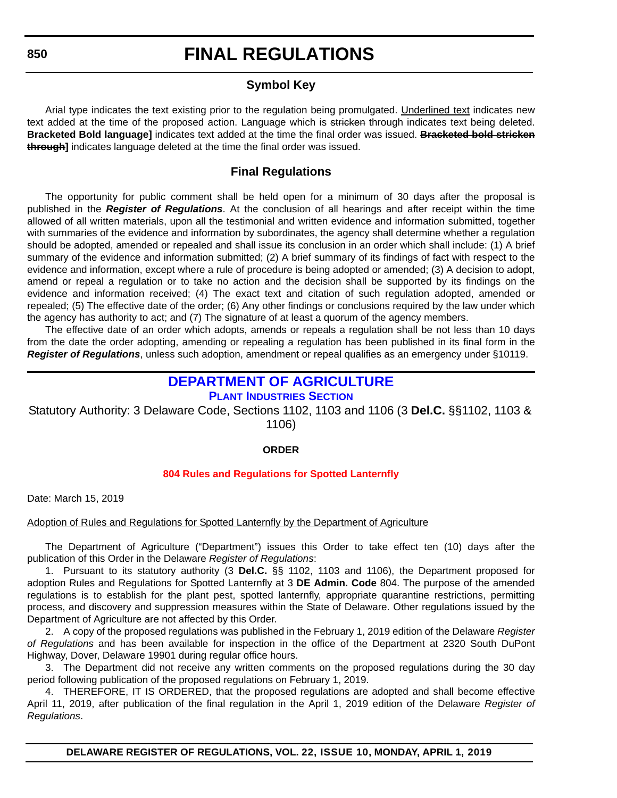# **Symbol Key**

Arial type indicates the text existing prior to the regulation being promulgated. Underlined text indicates new text added at the time of the proposed action. Language which is stricken through indicates text being deleted. **Bracketed Bold language]** indicates text added at the time the final order was issued. **Bracketed bold stricken through]** indicates language deleted at the time the final order was issued.

# **Final Regulations**

The opportunity for public comment shall be held open for a minimum of 30 days after the proposal is published in the *Register of Regulations*. At the conclusion of all hearings and after receipt within the time allowed of all written materials, upon all the testimonial and written evidence and information submitted, together with summaries of the evidence and information by subordinates, the agency shall determine whether a regulation should be adopted, amended or repealed and shall issue its conclusion in an order which shall include: (1) A brief summary of the evidence and information submitted; (2) A brief summary of its findings of fact with respect to the evidence and information, except where a rule of procedure is being adopted or amended; (3) A decision to adopt, amend or repeal a regulation or to take no action and the decision shall be supported by its findings on the evidence and information received; (4) The exact text and citation of such regulation adopted, amended or repealed; (5) The effective date of the order; (6) Any other findings or conclusions required by the law under which the agency has authority to act; and (7) The signature of at least a quorum of the agency members.

The effective date of an order which adopts, amends or repeals a regulation shall be not less than 10 days from the date the order adopting, amending or repealing a regulation has been published in its final form in the *Register of Regulations*, unless such adoption, amendment or repeal qualifies as an emergency under §10119.

# **[DEPARTMENT OF AGRICULTURE](https://agriculture.delaware.gov/plant-industries/) PLANT INDUSTRIES SECTION**

Statutory Authority: 3 Delaware Code, Sections 1102, 1103 and 1106 (3 **Del.C.** §§1102, 1103 & 1106)

## **ORDER**

# **[804 Rules and Regulations for Spotted Lanternfly](#page-3-0)**

Date: March 15, 2019

# Adoption of Rules and Regulations for Spotted Lanternfly by the Department of Agriculture

The Department of Agriculture ("Department") issues this Order to take effect ten (10) days after the publication of this Order in the Delaware *Register of Regulations*:

1. Pursuant to its statutory authority (3 **Del.C.** §§ 1102, 1103 and 1106), the Department proposed for adoption Rules and Regulations for Spotted Lanternfly at 3 **DE Admin. Code** 804. The purpose of the amended regulations is to establish for the plant pest, spotted lanternfly, appropriate quarantine restrictions, permitting process, and discovery and suppression measures within the State of Delaware. Other regulations issued by the Department of Agriculture are not affected by this Order.

2. A copy of the proposed regulations was published in the February 1, 2019 edition of the Delaware *Register of Regulations* and has been available for inspection in the office of the Department at 2320 South DuPont Highway, Dover, Delaware 19901 during regular office hours.

3. The Department did not receive any written comments on the proposed regulations during the 30 day period following publication of the proposed regulations on February 1, 2019.

4. THEREFORE, IT IS ORDERED, that the proposed regulations are adopted and shall become effective April 11, 2019, after publication of the final regulation in the April 1, 2019 edition of the Delaware *Register of Regulations*.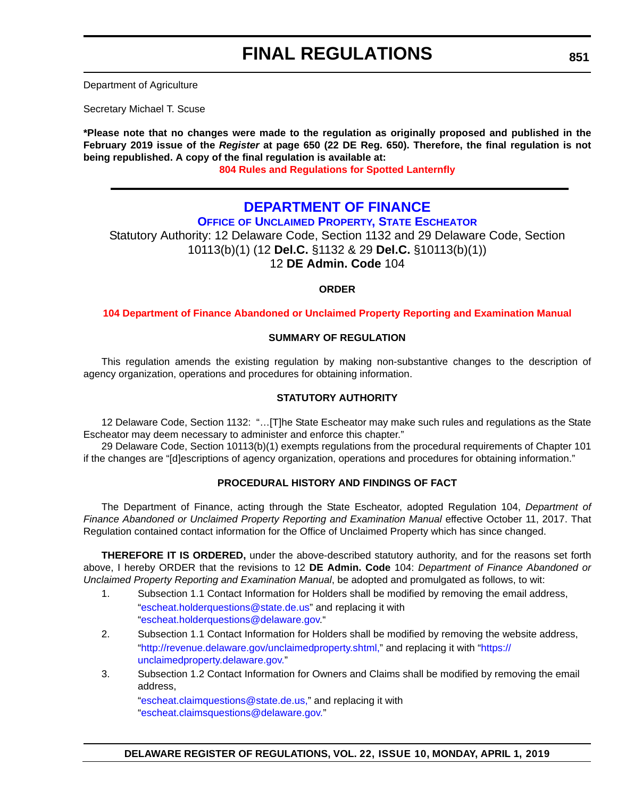Department of Agriculture

Secretary Michael T. Scuse

**\*Please note that no changes were made to the regulation as originally proposed and published in the February 2019 issue of the** *Register* **at page 650 (22 DE Reg. 650). Therefore, the final regulation is not being republished. A copy of the final regulation is available at: [804 Rules and Regulations for Spotted Lanternfly](http://regulations.delaware.gov/register/april2019/final/22 DE Reg 850 04-01-19.htm)**

# **DEPARTMENT OF FINANCE**

**OFFICE [OF UNCLAIMED PROPERTY, STATE ESCHEATOR](https://unclaimedproperty.delaware.gov/)**

Statutory Authority: 12 Delaware Code, Section 1132 and 29 Delaware Code, Section 10113(b)(1) (12 **Del.C.** §1132 & 29 **Del.C.** §10113(b)(1)) 12 **DE Admin. Code** 104

# **ORDER**

**[104 Department of Finance Abandoned or Unclaimed Property Reporting and Examination Manual](#page-3-0)**

#### **SUMMARY OF REGULATION**

This regulation amends the existing regulation by making non-substantive changes to the description of agency organization, operations and procedures for obtaining information.

#### **STATUTORY AUTHORITY**

12 Delaware Code, Section 1132: "…[T]he State Escheator may make such rules and regulations as the State Escheator may deem necessary to administer and enforce this chapter."

29 Delaware Code, Section 10113(b)(1) exempts regulations from the procedural requirements of Chapter 101 if the changes are "[d]escriptions of agency organization, operations and procedures for obtaining information."

# **PROCEDURAL HISTORY AND FINDINGS OF FACT**

The Department of Finance, acting through the State Escheator, adopted Regulation 104, *Department of Finance Abandoned or Unclaimed Property Reporting and Examination Manual* effective October 11, 2017. That Regulation contained contact information for the Office of Unclaimed Property which has since changed.

**THEREFORE IT IS ORDERED,** under the above-described statutory authority, and for the reasons set forth above, I hereby ORDER that the revisions to 12 **DE Admin. Code** 104: *Department of Finance Abandoned or Unclaimed Property Reporting and Examination Manual*, be adopted and promulgated as follows, to wit:

- 1. Subsection 1.1 Contact Information for Holders shall be modified by removing the email address,
	- ["escheat.holderquestions@state.de.us](escheat.holderquestions@state.de.us)" and replacing it with ["escheat.holderquestions@delaware.gov.](escheat.holderquestions@delaware.gov)"
- 2. Subsection 1.1 Contact Information for Holders shall be modified by removing the website address, ["http://revenue.delaware.gov/unclaimedproperty.shtml](http://revenue.delaware.gov/unclaimedproperty.shtml)," and replacing it with "[https://](https://unclaimedproperty.delaware.gov) [unclaimedproperty.delaware.gov.](https://unclaimedproperty.delaware.gov)"
- 3. Subsection 1.2 Contact Information for Owners and Claims shall be modified by removing the email address,

["escheat.claimquestions@state.de.us,](escheat.claimquestions@state.de.us)" and replacing it with ["escheat.claimsquestions@delaware.gov."](escheat.claimsquestions@delaware.gov)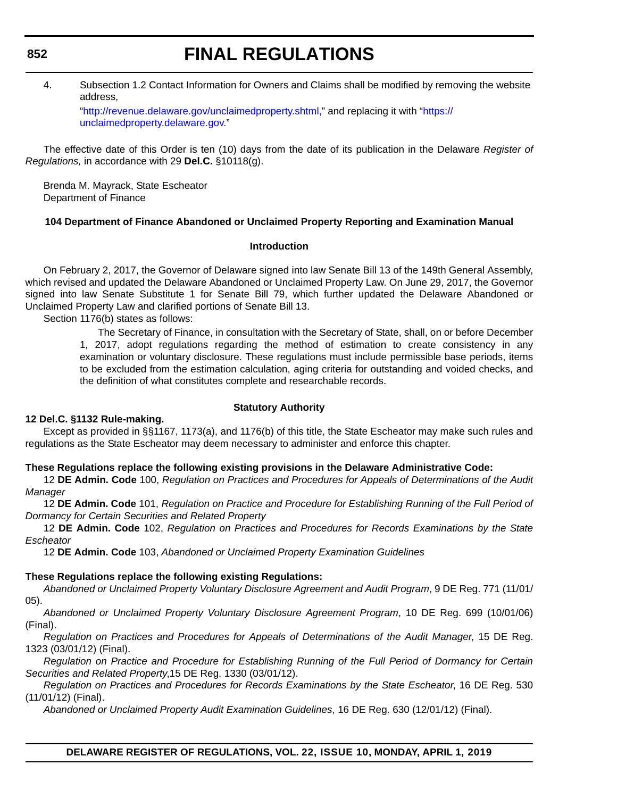# 4. Subsection 1.2 Contact Information for Owners and Claims shall be modified by removing the website address,

["http://revenue.delaware.gov/unclaimedproperty.shtml,](http://revenue.delaware.gov/unclaimedproperty.shtml)" and replacing it with "[https://](https://unclaimedproperty.delaware.gov) [unclaimedproperty.delaware.gov."](https://unclaimedproperty.delaware.gov)

The effective date of this Order is ten (10) days from the date of its publication in the Delaware *Register of Regulations,* in accordance with 29 **Del.C.** §10118(g).

Brenda M. Mayrack, State Escheator Department of Finance

## **104 Department of Finance Abandoned or Unclaimed Property Reporting and Examination Manual**

#### **Introduction**

On February 2, 2017, the Governor of Delaware signed into law Senate Bill 13 of the 149th General Assembly, which revised and updated the Delaware Abandoned or Unclaimed Property Law. On June 29, 2017, the Governor signed into law Senate Substitute 1 for Senate Bill 79, which further updated the Delaware Abandoned or Unclaimed Property Law and clarified portions of Senate Bill 13.

Section 1176(b) states as follows:

The Secretary of Finance, in consultation with the Secretary of State, shall, on or before December 1, 2017, adopt regulations regarding the method of estimation to create consistency in any examination or voluntary disclosure. These regulations must include permissible base periods, items to be excluded from the estimation calculation, aging criteria for outstanding and voided checks, and the definition of what constitutes complete and researchable records.

#### **Statutory Authority**

#### **12 Del.C. §1132 Rule-making.**

Except as provided in §§1167, 1173(a), and 1176(b) of this title, the State Escheator may make such rules and regulations as the State Escheator may deem necessary to administer and enforce this chapter.

#### **These Regulations replace the following existing provisions in the Delaware Administrative Code:**

12 **DE Admin. Code** 100, *Regulation on Practices and Procedures for Appeals of Determinations of the Audit Manager*

12 **DE Admin. Code** 101, *Regulation on Practice and Procedure for Establishing Running of the Full Period of Dormancy for Certain Securities and Related Property*

12 **DE Admin. Code** 102, *Regulation on Practices and Procedures for Records Examinations by the State Escheator*

12 **DE Admin. Code** 103, *Abandoned or Unclaimed Property Examination Guidelines*

#### **These Regulations replace the following existing Regulations:**

*Abandoned or Unclaimed Property Voluntary Disclosure Agreement and Audit Program*, 9 DE Reg. 771 (11/01/ 05).

*Abandoned or Unclaimed Property Voluntary Disclosure Agreement Program*, 10 DE Reg. 699 (10/01/06) (Final).

*Regulation on Practices and Procedures for Appeals of Determinations of the Audit Manager*, 15 DE Reg. 1323 (03/01/12) (Final).

*Regulation on Practice and Procedure for Establishing Running of the Full Period of Dormancy for Certain Securities and Related Property*,15 DE Reg. 1330 (03/01/12).

*Regulation on Practices and Procedures for Records Examinations by the State Escheator*, 16 DE Reg. 530 (11/01/12) (Final).

*Abandoned or Unclaimed Property Audit Examination Guidelines*, 16 DE Reg. 630 (12/01/12) (Final).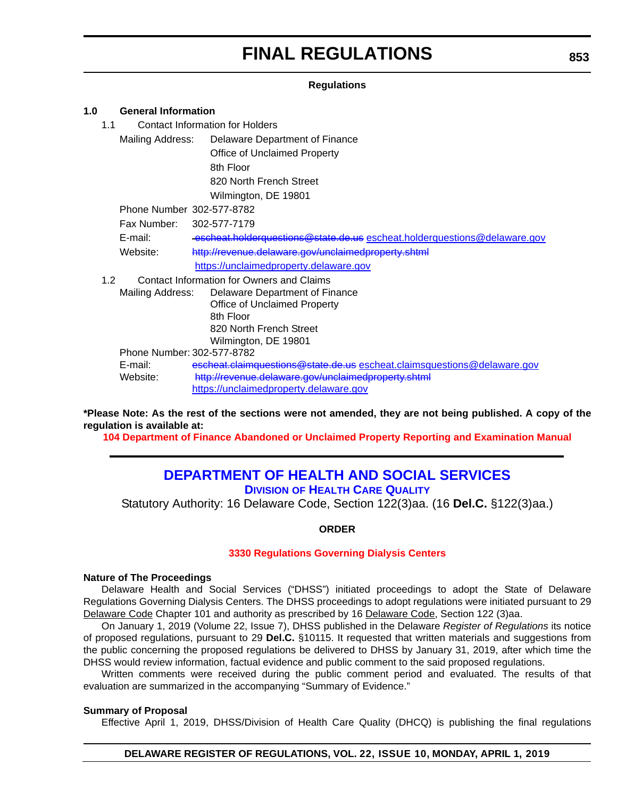#### **Regulations**

#### **1.0 General Information**

1.1 Contact Information for Holders

Mailing Address: Delaware Department of Finance Office of Unclaimed Property 8th Floor 820 North French Street Wilmington, DE 19801

Phone Number 302-577-8782

Fax Number: 302-577-7179

E-mail: [escheat.holderquestions@state.de.us](mailto:escheat.holderquestions@state.de.us) <escheat.holderquestions@delaware.gov> Website: <http://revenue.delaware.gov/unclaimedproperty.shtml>

<https://unclaimedproperty.delaware.gov>

1.2 Contact Information for Owners and Claims Mailing Address: Delaware Department of Finance Office of Unclaimed Property 8th Floor

820 North French Street Wilmington, DE 19801

Phone Number: 302-577-8782

E-mail: escheat.claimquestions@state.de.us<escheat.claimsquestions@delaware.gov> Website: http://revenue.delaware.gov/unclaimedproperty.shtml <https://unclaimedproperty.delaware.gov>

**\*Please Note: As the rest of the sections were not amended, they are not being published. A copy of the regulation is available at:**

**[104 Department of Finance Abandoned or Unclaimed Property Reporting and Examination Manual](http://regulations.delaware.gov/register/april2019/final/22 DE Reg 851 04-01-19.htm)**

# **[DEPARTMENT OF HEALTH AND SOCIAL SERVICES](https://www.dhss.delaware.gov/dhss/dltcrp/index.html) DIVISION OF HEALTH CARE QUALITY**

Statutory Authority: 16 Delaware Code, Section 122(3)aa. (16 **Del.C.** §122(3)aa.)

**ORDER**

## **[3330 Regulations Governing Dialysis Centers](#page-3-0)**

#### **Nature of The Proceedings**

Delaware Health and Social Services ("DHSS") initiated proceedings to adopt the State of Delaware Regulations Governing Dialysis Centers. The DHSS proceedings to adopt regulations were initiated pursuant to 29 Delaware Code Chapter 101 and authority as prescribed by 16 Delaware Code, Section 122 (3)aa.

On January 1, 2019 (Volume 22, Issue 7), DHSS published in the Delaware *Register of Regulations* its notice of proposed regulations, pursuant to 29 **Del.C.** §10115. It requested that written materials and suggestions from the public concerning the proposed regulations be delivered to DHSS by January 31, 2019, after which time the DHSS would review information, factual evidence and public comment to the said proposed regulations.

Written comments were received during the public comment period and evaluated. The results of that evaluation are summarized in the accompanying "Summary of Evidence."

#### **Summary of Proposal**

Effective April 1, 2019, DHSS/Division of Health Care Quality (DHCQ) is publishing the final regulations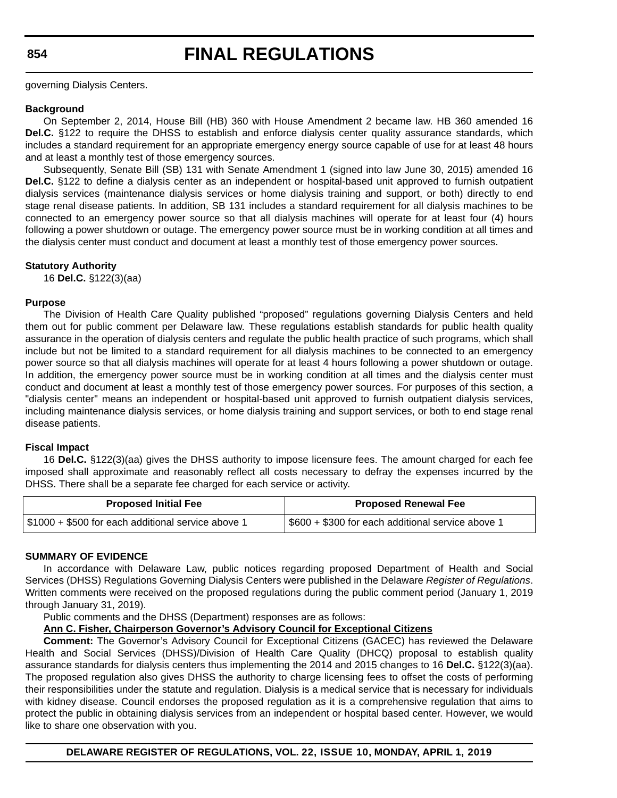#### **854**

# **FINAL REGULATIONS**

governing Dialysis Centers.

#### **Background**

On September 2, 2014, House Bill (HB) 360 with House Amendment 2 became law. HB 360 amended 16 **Del.C.** §122 to require the DHSS to establish and enforce dialysis center quality assurance standards, which includes a standard requirement for an appropriate emergency energy source capable of use for at least 48 hours and at least a monthly test of those emergency sources.

Subsequently, Senate Bill (SB) 131 with Senate Amendment 1 (signed into law June 30, 2015) amended 16 **Del.C.** §122 to define a dialysis center as an independent or hospital-based unit approved to furnish outpatient dialysis services (maintenance dialysis services or home dialysis training and support, or both) directly to end stage renal disease patients. In addition, SB 131 includes a standard requirement for all dialysis machines to be connected to an emergency power source so that all dialysis machines will operate for at least four (4) hours following a power shutdown or outage. The emergency power source must be in working condition at all times and the dialysis center must conduct and document at least a monthly test of those emergency power sources.

#### **Statutory Authority**

16 **Del.C.** §122(3)(aa)

#### **Purpose**

The Division of Health Care Quality published "proposed" regulations governing Dialysis Centers and held them out for public comment per Delaware law. These regulations establish standards for public health quality assurance in the operation of dialysis centers and regulate the public health practice of such programs, which shall include but not be limited to a standard requirement for all dialysis machines to be connected to an emergency power source so that all dialysis machines will operate for at least 4 hours following a power shutdown or outage. In addition, the emergency power source must be in working condition at all times and the dialysis center must conduct and document at least a monthly test of those emergency power sources. For purposes of this section, a "dialysis center" means an independent or hospital-based unit approved to furnish outpatient dialysis services, including maintenance dialysis services, or home dialysis training and support services, or both to end stage renal disease patients.

#### **Fiscal Impact**

16 **Del.C.** §122(3)(aa) gives the DHSS authority to impose licensure fees. The amount charged for each fee imposed shall approximate and reasonably reflect all costs necessary to defray the expenses incurred by the DHSS. There shall be a separate fee charged for each service or activity.

| <b>Proposed Initial Fee</b>                        | <b>Proposed Renewal Fee</b>                       |
|----------------------------------------------------|---------------------------------------------------|
| \$1000 + \$500 for each additional service above 1 | \$600 + \$300 for each additional service above 1 |

#### **SUMMARY OF EVIDENCE**

In accordance with Delaware Law, public notices regarding proposed Department of Health and Social Services (DHSS) Regulations Governing Dialysis Centers were published in the Delaware *Register of Regulations*. Written comments were received on the proposed regulations during the public comment period (January 1, 2019 through January 31, 2019).

Public comments and the DHSS (Department) responses are as follows:

#### **Ann C. Fisher, Chairperson Governor's Advisory Council for Exceptional Citizens**

**Comment:** The Governor's Advisory Council for Exceptional Citizens (GACEC) has reviewed the Delaware Health and Social Services (DHSS)/Division of Health Care Quality (DHCQ) proposal to establish quality assurance standards for dialysis centers thus implementing the 2014 and 2015 changes to 16 **Del.C.** §122(3)(aa). The proposed regulation also gives DHSS the authority to charge licensing fees to offset the costs of performing their responsibilities under the statute and regulation. Dialysis is a medical service that is necessary for individuals with kidney disease. Council endorses the proposed regulation as it is a comprehensive regulation that aims to protect the public in obtaining dialysis services from an independent or hospital based center. However, we would like to share one observation with you.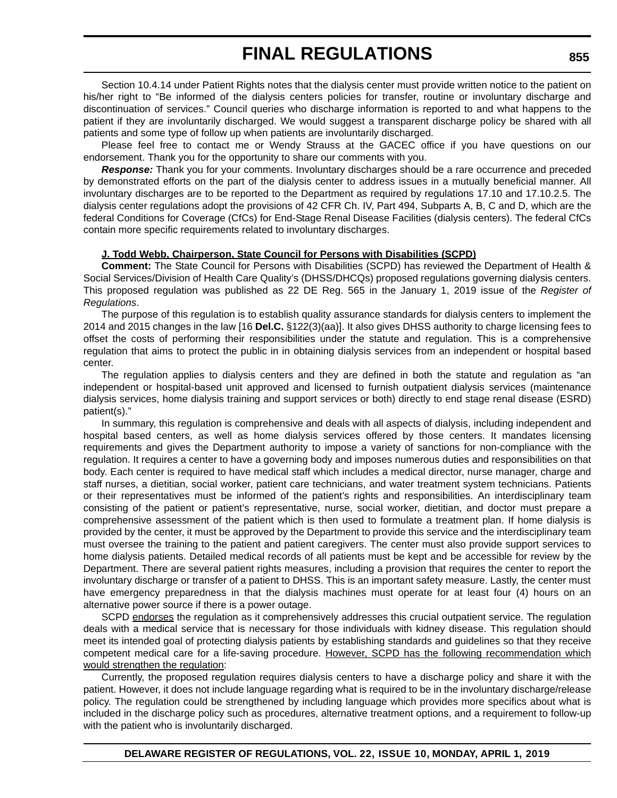Section 10.4.14 under Patient Rights notes that the dialysis center must provide written notice to the patient on his/her right to "Be informed of the dialysis centers policies for transfer, routine or involuntary discharge and discontinuation of services." Council queries who discharge information is reported to and what happens to the patient if they are involuntarily discharged. We would suggest a transparent discharge policy be shared with all patients and some type of follow up when patients are involuntarily discharged.

Please feel free to contact me or Wendy Strauss at the GACEC office if you have questions on our endorsement. Thank you for the opportunity to share our comments with you.

**Response:** Thank you for your comments. Involuntary discharges should be a rare occurrence and preceded by demonstrated efforts on the part of the dialysis center to address issues in a mutually beneficial manner. All involuntary discharges are to be reported to the Department as required by regulations 17.10 and 17.10.2.5. The dialysis center regulations adopt the provisions of 42 CFR Ch. IV, Part 494, Subparts A, B, C and D, which are the federal Conditions for Coverage (CfCs) for End-Stage Renal Disease Facilities (dialysis centers). The federal CfCs contain more specific requirements related to involuntary discharges.

#### **J. Todd Webb, Chairperson, State Council for Persons with Disabilities (SCPD)**

**Comment:** The State Council for Persons with Disabilities (SCPD) has reviewed the Department of Health & Social Services/Division of Health Care Quality's (DHSS/DHCQs) proposed regulations governing dialysis centers. This proposed regulation was published as 22 DE Reg. 565 in the January 1, 2019 issue of the *Register of Regulations*.

The purpose of this regulation is to establish quality assurance standards for dialysis centers to implement the 2014 and 2015 changes in the law [16 **Del.C.** §122(3)(aa)]. It also gives DHSS authority to charge licensing fees to offset the costs of performing their responsibilities under the statute and regulation. This is a comprehensive regulation that aims to protect the public in in obtaining dialysis services from an independent or hospital based center.

The regulation applies to dialysis centers and they are defined in both the statute and regulation as "an independent or hospital-based unit approved and licensed to furnish outpatient dialysis services (maintenance dialysis services, home dialysis training and support services or both) directly to end stage renal disease (ESRD) patient(s)."

In summary, this regulation is comprehensive and deals with all aspects of dialysis, including independent and hospital based centers, as well as home dialysis services offered by those centers. It mandates licensing requirements and gives the Department authority to impose a variety of sanctions for non-compliance with the regulation. It requires a center to have a governing body and imposes numerous duties and responsibilities on that body. Each center is required to have medical staff which includes a medical director, nurse manager, charge and staff nurses, a dietitian, social worker, patient care technicians, and water treatment system technicians. Patients or their representatives must be informed of the patient's rights and responsibilities. An interdisciplinary team consisting of the patient or patient's representative, nurse, social worker, dietitian, and doctor must prepare a comprehensive assessment of the patient which is then used to formulate a treatment plan. If home dialysis is provided by the center, it must be approved by the Department to provide this service and the interdisciplinary team must oversee the training to the patient and patient caregivers. The center must also provide support services to home dialysis patients. Detailed medical records of all patients must be kept and be accessible for review by the Department. There are several patient rights measures, including a provision that requires the center to report the involuntary discharge or transfer of a patient to DHSS. This is an important safety measure. Lastly, the center must have emergency preparedness in that the dialysis machines must operate for at least four (4) hours on an alternative power source if there is a power outage.

SCPD endorses the regulation as it comprehensively addresses this crucial outpatient service. The regulation deals with a medical service that is necessary for those individuals with kidney disease. This regulation should meet its intended goal of protecting dialysis patients by establishing standards and guidelines so that they receive competent medical care for a life-saving procedure. However, SCPD has the following recommendation which would strengthen the regulation:

Currently, the proposed regulation requires dialysis centers to have a discharge policy and share it with the patient. However, it does not include language regarding what is required to be in the involuntary discharge/release policy. The regulation could be strengthened by including language which provides more specifics about what is included in the discharge policy such as procedures, alternative treatment options, and a requirement to follow-up with the patient who is involuntarily discharged.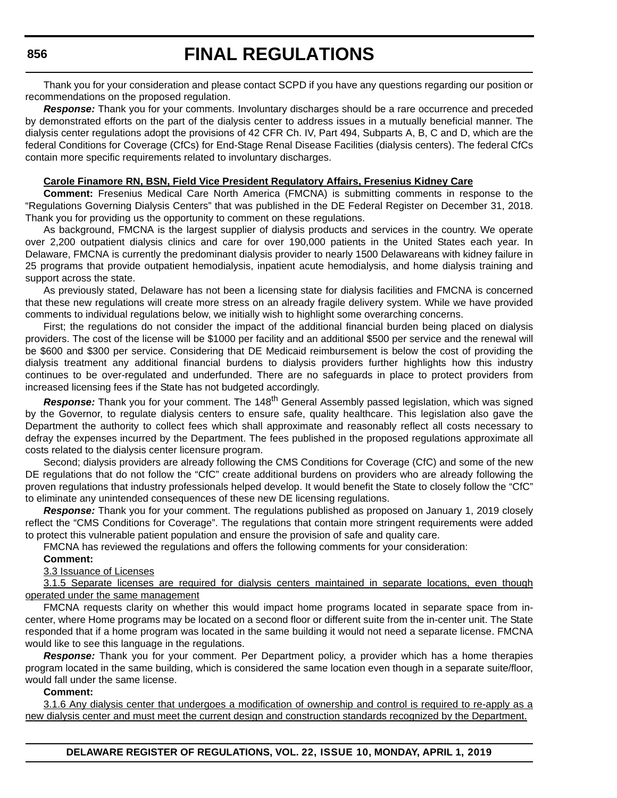Thank you for your consideration and please contact SCPD if you have any questions regarding our position or recommendations on the proposed regulation.

*Response:* Thank you for your comments. Involuntary discharges should be a rare occurrence and preceded by demonstrated efforts on the part of the dialysis center to address issues in a mutually beneficial manner. The dialysis center regulations adopt the provisions of 42 CFR Ch. IV, Part 494, Subparts A, B, C and D, which are the federal Conditions for Coverage (CfCs) for End-Stage Renal Disease Facilities (dialysis centers). The federal CfCs contain more specific requirements related to involuntary discharges.

#### **Carole Finamore RN, BSN, Field Vice President Regulatory Affairs, Fresenius Kidney Care**

**Comment:** Fresenius Medical Care North America (FMCNA) is submitting comments in response to the "Regulations Governing Dialysis Centers" that was published in the DE Federal Register on December 31, 2018. Thank you for providing us the opportunity to comment on these regulations.

As background, FMCNA is the largest supplier of dialysis products and services in the country. We operate over 2,200 outpatient dialysis clinics and care for over 190,000 patients in the United States each year. In Delaware, FMCNA is currently the predominant dialysis provider to nearly 1500 Delawareans with kidney failure in 25 programs that provide outpatient hemodialysis, inpatient acute hemodialysis, and home dialysis training and support across the state.

As previously stated, Delaware has not been a licensing state for dialysis facilities and FMCNA is concerned that these new regulations will create more stress on an already fragile delivery system. While we have provided comments to individual regulations below, we initially wish to highlight some overarching concerns.

First; the regulations do not consider the impact of the additional financial burden being placed on dialysis providers. The cost of the license will be \$1000 per facility and an additional \$500 per service and the renewal will be \$600 and \$300 per service. Considering that DE Medicaid reimbursement is below the cost of providing the dialysis treatment any additional financial burdens to dialysis providers further highlights how this industry continues to be over-regulated and underfunded. There are no safeguards in place to protect providers from increased licensing fees if the State has not budgeted accordingly.

**Response:** Thank you for your comment. The 148<sup>th</sup> General Assembly passed legislation, which was signed by the Governor, to regulate dialysis centers to ensure safe, quality healthcare. This legislation also gave the Department the authority to collect fees which shall approximate and reasonably reflect all costs necessary to defray the expenses incurred by the Department. The fees published in the proposed regulations approximate all costs related to the dialysis center licensure program.

Second; dialysis providers are already following the CMS Conditions for Coverage (CfC) and some of the new DE regulations that do not follow the "CfC" create additional burdens on providers who are already following the proven regulations that industry professionals helped develop. It would benefit the State to closely follow the "CfC" to eliminate any unintended consequences of these new DE licensing regulations.

*Response:* Thank you for your comment. The regulations published as proposed on January 1, 2019 closely reflect the "CMS Conditions for Coverage". The regulations that contain more stringent requirements were added to protect this vulnerable patient population and ensure the provision of safe and quality care.

FMCNA has reviewed the regulations and offers the following comments for your consideration:

#### **Comment:**

3.3 Issuance of Licenses

3.1.5 Separate licenses are required for dialysis centers maintained in separate locations, even though operated under the same management

FMCNA requests clarity on whether this would impact home programs located in separate space from incenter, where Home programs may be located on a second floor or different suite from the in-center unit. The State responded that if a home program was located in the same building it would not need a separate license. FMCNA would like to see this language in the regulations.

*Response:* Thank you for your comment. Per Department policy, a provider which has a home therapies program located in the same building, which is considered the same location even though in a separate suite/floor, would fall under the same license.

#### **Comment:**

3.1.6 Any dialysis center that undergoes a modification of ownership and control is required to re-apply as a new dialysis center and must meet the current design and construction standards recognized by the Department.

**DELAWARE REGISTER OF REGULATIONS, VOL. 22, ISSUE 10, MONDAY, APRIL 1, 2019**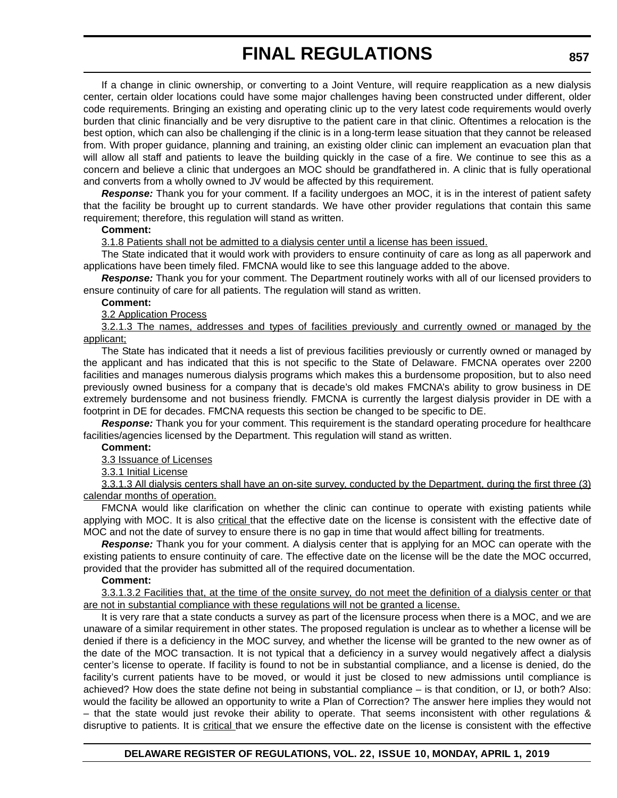If a change in clinic ownership, or converting to a Joint Venture, will require reapplication as a new dialysis center, certain older locations could have some major challenges having been constructed under different, older code requirements. Bringing an existing and operating clinic up to the very latest code requirements would overly burden that clinic financially and be very disruptive to the patient care in that clinic. Oftentimes a relocation is the best option, which can also be challenging if the clinic is in a long-term lease situation that they cannot be released from. With proper guidance, planning and training, an existing older clinic can implement an evacuation plan that will allow all staff and patients to leave the building quickly in the case of a fire. We continue to see this as a concern and believe a clinic that undergoes an MOC should be grandfathered in. A clinic that is fully operational and converts from a wholly owned to JV would be affected by this requirement.

*Response:* Thank you for your comment. If a facility undergoes an MOC, it is in the interest of patient safety that the facility be brought up to current standards. We have other provider regulations that contain this same requirement; therefore, this regulation will stand as written.

#### **Comment:**

3.1.8 Patients shall not be admitted to a dialysis center until a license has been issued.

The State indicated that it would work with providers to ensure continuity of care as long as all paperwork and applications have been timely filed. FMCNA would like to see this language added to the above.

*Response:* Thank you for your comment. The Department routinely works with all of our licensed providers to ensure continuity of care for all patients. The regulation will stand as written.

#### **Comment:**

3.2 Application Process

3.2.1.3 The names, addresses and types of facilities previously and currently owned or managed by the applicant;

The State has indicated that it needs a list of previous facilities previously or currently owned or managed by the applicant and has indicated that this is not specific to the State of Delaware. FMCNA operates over 2200 facilities and manages numerous dialysis programs which makes this a burdensome proposition, but to also need previously owned business for a company that is decade's old makes FMCNA's ability to grow business in DE extremely burdensome and not business friendly. FMCNA is currently the largest dialysis provider in DE with a footprint in DE for decades. FMCNA requests this section be changed to be specific to DE.

*Response:* Thank you for your comment. This requirement is the standard operating procedure for healthcare facilities/agencies licensed by the Department. This regulation will stand as written.

#### **Comment:**

3.3 Issuance of Licenses

3.3.1 Initial License

3.3.1.3 All dialysis centers shall have an on-site survey, conducted by the Department, during the first three (3) calendar months of operation.

FMCNA would like clarification on whether the clinic can continue to operate with existing patients while applying with MOC. It is also critical that the effective date on the license is consistent with the effective date of MOC and not the date of survey to ensure there is no gap in time that would affect billing for treatments.

*Response:* Thank you for your comment. A dialysis center that is applying for an MOC can operate with the existing patients to ensure continuity of care. The effective date on the license will be the date the MOC occurred, provided that the provider has submitted all of the required documentation.

#### **Comment:**

3.3.1.3.2 Facilities that, at the time of the onsite survey, do not meet the definition of a dialysis center or that are not in substantial compliance with these regulations will not be granted a license.

It is very rare that a state conducts a survey as part of the licensure process when there is a MOC, and we are unaware of a similar requirement in other states. The proposed regulation is unclear as to whether a license will be denied if there is a deficiency in the MOC survey, and whether the license will be granted to the new owner as of the date of the MOC transaction. It is not typical that a deficiency in a survey would negatively affect a dialysis center's license to operate. If facility is found to not be in substantial compliance, and a license is denied, do the facility's current patients have to be moved, or would it just be closed to new admissions until compliance is achieved? How does the state define not being in substantial compliance – is that condition, or IJ, or both? Also: would the facility be allowed an opportunity to write a Plan of Correction? The answer here implies they would not – that the state would just revoke their ability to operate. That seems inconsistent with other regulations & disruptive to patients. It is critical that we ensure the effective date on the license is consistent with the effective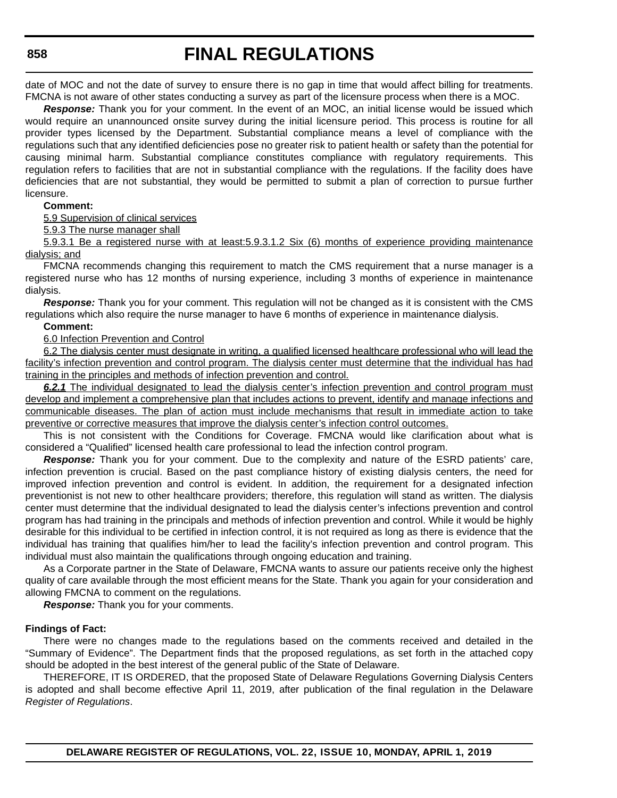date of MOC and not the date of survey to ensure there is no gap in time that would affect billing for treatments. FMCNA is not aware of other states conducting a survey as part of the licensure process when there is a MOC.

*Response:* Thank you for your comment. In the event of an MOC, an initial license would be issued which would require an unannounced onsite survey during the initial licensure period. This process is routine for all provider types licensed by the Department. Substantial compliance means a level of compliance with the regulations such that any identified deficiencies pose no greater risk to patient health or safety than the potential for causing minimal harm. Substantial compliance constitutes compliance with regulatory requirements. This regulation refers to facilities that are not in substantial compliance with the regulations. If the facility does have deficiencies that are not substantial, they would be permitted to submit a plan of correction to pursue further licensure.

#### **Comment:**

5.9 Supervision of clinical services

5.9.3 The nurse manager shall

5.9.3.1 Be a registered nurse with at least:5.9.3.1.2 Six (6) months of experience providing maintenance dialysis; and

FMCNA recommends changing this requirement to match the CMS requirement that a nurse manager is a registered nurse who has 12 months of nursing experience, including 3 months of experience in maintenance dialysis.

*Response:* Thank you for your comment. This regulation will not be changed as it is consistent with the CMS regulations which also require the nurse manager to have 6 months of experience in maintenance dialysis.

## **Comment:**

#### 6.0 Infection Prevention and Control

6.2 The dialysis center must designate in writing, a qualified licensed healthcare professional who will lead the facility's infection prevention and control program. The dialysis center must determine that the individual has had training in the principles and methods of infection prevention and control.

*6.2.1* The individual designated to lead the dialysis center's infection prevention and control program must develop and implement a comprehensive plan that includes actions to prevent, identify and manage infections and communicable diseases. The plan of action must include mechanisms that result in immediate action to take preventive or corrective measures that improve the dialysis center's infection control outcomes.

This is not consistent with the Conditions for Coverage. FMCNA would like clarification about what is considered a "Qualified" licensed health care professional to lead the infection control program.

*Response:* Thank you for your comment. Due to the complexity and nature of the ESRD patients' care, infection prevention is crucial. Based on the past compliance history of existing dialysis centers, the need for improved infection prevention and control is evident. In addition, the requirement for a designated infection preventionist is not new to other healthcare providers; therefore, this regulation will stand as written. The dialysis center must determine that the individual designated to lead the dialysis center's infections prevention and control program has had training in the principals and methods of infection prevention and control. While it would be highly desirable for this individual to be certified in infection control, it is not required as long as there is evidence that the individual has training that qualifies him/her to lead the facility's infection prevention and control program. This individual must also maintain the qualifications through ongoing education and training.

As a Corporate partner in the State of Delaware, FMCNA wants to assure our patients receive only the highest quality of care available through the most efficient means for the State. Thank you again for your consideration and allowing FMCNA to comment on the regulations.

*Response:* Thank you for your comments.

#### **Findings of Fact:**

There were no changes made to the regulations based on the comments received and detailed in the "Summary of Evidence". The Department finds that the proposed regulations, as set forth in the attached copy should be adopted in the best interest of the general public of the State of Delaware.

THEREFORE, IT IS ORDERED, that the proposed State of Delaware Regulations Governing Dialysis Centers is adopted and shall become effective April 11, 2019, after publication of the final regulation in the Delaware *Register of Regulations*.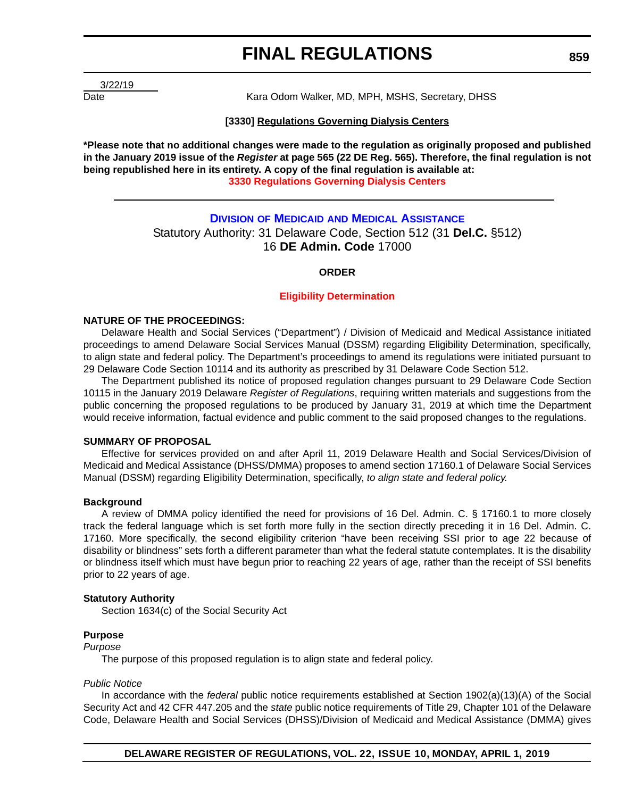3/22/19

Date **Example 20 Transfer Material Communist Control** Care Kara Odom Walker, MD, MPH, MSHS, Secretary, DHSS

#### **[3330] Regulations Governing Dialysis Centers**

**\*Please note that no additional changes were made to the regulation as originally proposed and published in the January 2019 issue of the** *Register* **at page 565 (22 DE Reg. 565). Therefore, the final regulation is not being republished here in its entirety. A copy of the final regulation is available at: [3330 Regulations Governing Dialysis Centers](http://regulations.delaware.gov/register/april2019/final/22 DE Reg 853 04-01-19.htm)**

# **DIVISION OF MEDICAID [AND MEDICAL ASSISTANCE](https://www.dhss.delaware.gov/dhss/dmma/)** Statutory Authority: 31 Delaware Code, Section 512 (31 **Del.C.** §512) 16 **DE Admin. Code** 17000

## **ORDER**

#### **[Eligibility Determination](#page-4-0)**

#### **NATURE OF THE PROCEEDINGS:**

Delaware Health and Social Services ("Department") / Division of Medicaid and Medical Assistance initiated proceedings to amend Delaware Social Services Manual (DSSM) regarding Eligibility Determination, specifically, to align state and federal policy. The Department's proceedings to amend its regulations were initiated pursuant to 29 Delaware Code Section 10114 and its authority as prescribed by 31 Delaware Code Section 512.

The Department published its notice of proposed regulation changes pursuant to 29 Delaware Code Section 10115 in the January 2019 Delaware *Register of Regulations*, requiring written materials and suggestions from the public concerning the proposed regulations to be produced by January 31, 2019 at which time the Department would receive information, factual evidence and public comment to the said proposed changes to the regulations.

#### **SUMMARY OF PROPOSAL**

Effective for services provided on and after April 11, 2019 Delaware Health and Social Services/Division of Medicaid and Medical Assistance (DHSS/DMMA) proposes to amend section 17160.1 of Delaware Social Services Manual (DSSM) regarding Eligibility Determination, specifically, *to align state and federal policy.*

#### **Background**

A review of DMMA policy identified the need for provisions of 16 Del. Admin. C. § 17160.1 to more closely track the federal language which is set forth more fully in the section directly preceding it in 16 Del. Admin. C. 17160. More specifically, the second eligibility criterion "have been receiving SSI prior to age 22 because of disability or blindness" sets forth a different parameter than what the federal statute contemplates. It is the disability or blindness itself which must have begun prior to reaching 22 years of age, rather than the receipt of SSI benefits prior to 22 years of age.

#### **Statutory Authority**

Section 1634(c) of the Social Security Act

# **Purpose**

*Purpose*

The purpose of this proposed regulation is to align state and federal policy.

#### *Public Notice*

In accordance with the *federal* public notice requirements established at Section 1902(a)(13)(A) of the Social Security Act and 42 CFR 447.205 and the *state* public notice requirements of Title 29, Chapter 101 of the Delaware Code, Delaware Health and Social Services (DHSS)/Division of Medicaid and Medical Assistance (DMMA) gives

**DELAWARE REGISTER OF REGULATIONS, VOL. 22, ISSUE 10, MONDAY, APRIL 1, 2019**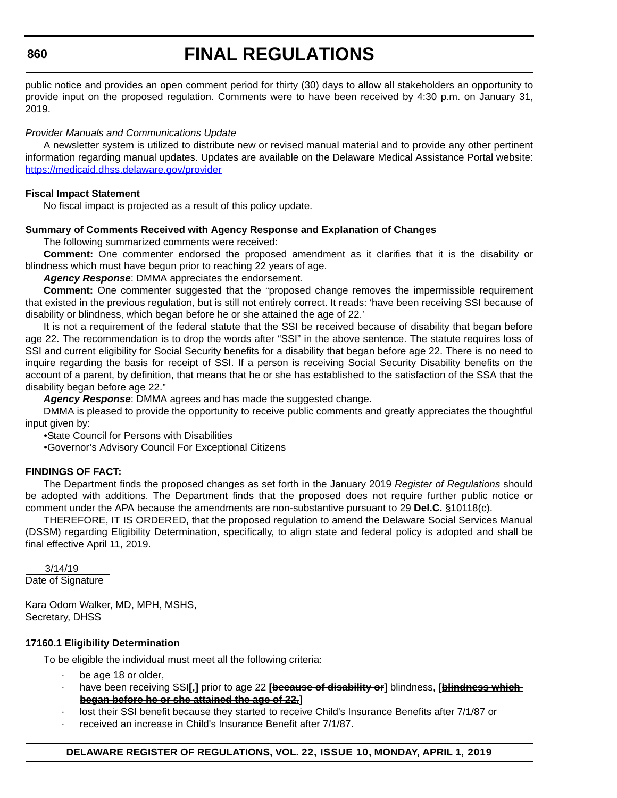## **860**

# **FINAL REGULATIONS**

public notice and provides an open comment period for thirty (30) days to allow all stakeholders an opportunity to provide input on the proposed regulation. Comments were to have been received by 4:30 p.m. on January 31, 2019.

## *Provider Manuals and Communications Update*

A newsletter system is utilized to distribute new or revised manual material and to provide any other pertinent information regarding manual updates. Updates are available on the Delaware Medical Assistance Portal website: <https://medicaid.dhss.delaware.gov/provider>

#### **Fiscal Impact Statement**

No fiscal impact is projected as a result of this policy update.

## **Summary of Comments Received with Agency Response and Explanation of Changes**

The following summarized comments were received:

**Comment:** One commenter endorsed the proposed amendment as it clarifies that it is the disability or blindness which must have begun prior to reaching 22 years of age.

#### *Agency Response*: DMMA appreciates the endorsement.

**Comment:** One commenter suggested that the "proposed change removes the impermissible requirement that existed in the previous regulation, but is still not entirely correct. It reads: 'have been receiving SSI because of disability or blindness, which began before he or she attained the age of 22.'

It is not a requirement of the federal statute that the SSI be received because of disability that began before age 22. The recommendation is to drop the words after "SSI" in the above sentence. The statute requires loss of SSI and current eligibility for Social Security benefits for a disability that began before age 22. There is no need to inquire regarding the basis for receipt of SSI. If a person is receiving Social Security Disability benefits on the account of a parent, by definition, that means that he or she has established to the satisfaction of the SSA that the disability began before age 22."

*Agency Response*: DMMA agrees and has made the suggested change.

DMMA is pleased to provide the opportunity to receive public comments and greatly appreciates the thoughtful input given by:

•State Council for Persons with Disabilities

•Governor's Advisory Council For Exceptional Citizens

## **FINDINGS OF FACT:**

The Department finds the proposed changes as set forth in the January 2019 *Register of Regulations* should be adopted with additions. The Department finds that the proposed does not require further public notice or comment under the APA because the amendments are non-substantive pursuant to 29 **Del.C.** §10118(c).

THEREFORE, IT IS ORDERED, that the proposed regulation to amend the Delaware Social Services Manual (DSSM) regarding Eligibility Determination, specifically, to align state and federal policy is adopted and shall be final effective April 11, 2019.

 3/14/19 Date of Signature

Kara Odom Walker, MD, MPH, MSHS, Secretary, DHSS

## **17160.1 Eligibility Determination**

To be eligible the individual must meet all the following criteria:

- be age 18 or older,
- · have been receiving SSI**[,]** prior to age 22 **[because of disability or]** blindness, **[blindness which began before he or she attained the age of 22,]**
- lost their SSI benefit because they started to receive Child's Insurance Benefits after 7/1/87 or
- received an increase in Child's Insurance Benefit after 7/1/87.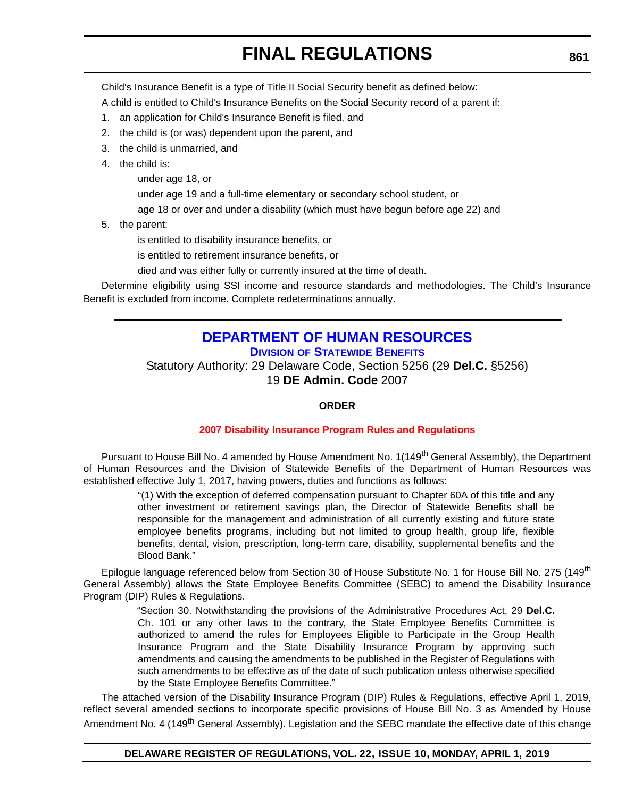Child's Insurance Benefit is a type of Title II Social Security benefit as defined below:

A child is entitled to Child's Insurance Benefits on the Social Security record of a parent if:

- 1. an application for Child's Insurance Benefit is filed, and
- 2. the child is (or was) dependent upon the parent, and
- 3. the child is unmarried, and
- 4. the child is:

under age 18, or

under age 19 and a full-time elementary or secondary school student, or

age 18 or over and under a disability (which must have begun before age 22) and

5. the parent:

is entitled to disability insurance benefits, or

is entitled to retirement insurance benefits, or

died and was either fully or currently insured at the time of death.

Determine eligibility using SSI income and resource standards and methodologies. The Child's Insurance Benefit is excluded from income. Complete redeterminations annually.

# **[DEPARTMENT OF HUMAN RESOURCES](https://dhr.delaware.gov/benefits/index.shtml) DIVISION OF STATEWIDE BENEFITS**

Statutory Authority: 29 Delaware Code, Section 5256 (29 **Del.C.** §5256) 19 **DE Admin. Code** 2007

# **ORDER**

## **[2007 Disability Insurance Program Rules and Regulations](#page-4-0)**

Pursuant to House Bill No. 4 amended by House Amendment No. 1(149<sup>th</sup> General Assembly), the Department of Human Resources and the Division of Statewide Benefits of the Department of Human Resources was established effective July 1, 2017, having powers, duties and functions as follows:

> "(1) With the exception of deferred compensation pursuant to Chapter 60A of this title and any other investment or retirement savings plan, the Director of Statewide Benefits shall be responsible for the management and administration of all currently existing and future state employee benefits programs, including but not limited to group health, group life, flexible benefits, dental, vision, prescription, long-term care, disability, supplemental benefits and the Blood Bank."

Epilogue language referenced below from Section 30 of House Substitute No. 1 for House Bill No. 275 (149<sup>th</sup> General Assembly) allows the State Employee Benefits Committee (SEBC) to amend the Disability Insurance Program (DIP) Rules & Regulations.

> "Section 30. Notwithstanding the provisions of the Administrative Procedures Act, 29 **Del.C.** Ch. 101 or any other laws to the contrary, the State Employee Benefits Committee is authorized to amend the rules for Employees Eligible to Participate in the Group Health Insurance Program and the State Disability Insurance Program by approving such amendments and causing the amendments to be published in the Register of Regulations with such amendments to be effective as of the date of such publication unless otherwise specified by the State Employee Benefits Committee."

The attached version of the Disability Insurance Program (DIP) Rules & Regulations, effective April 1, 2019, reflect several amended sections to incorporate specific provisions of House Bill No. 3 as Amended by House Amendment No. 4 (149<sup>th</sup> General Assembly). Legislation and the SEBC mandate the effective date of this change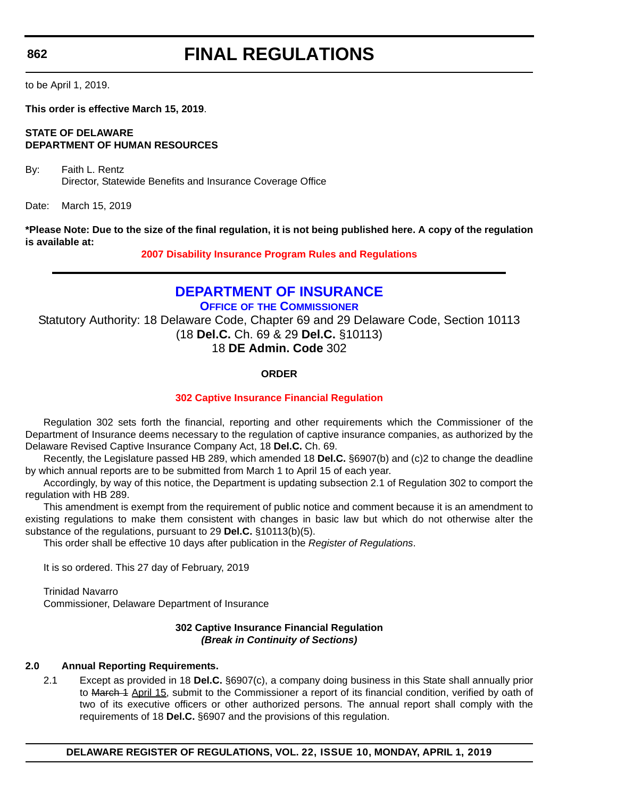**862**

# **FINAL REGULATIONS**

to be April 1, 2019.

**This order is effective March 15, 2019**.

# **STATE OF DELAWARE DEPARTMENT OF HUMAN RESOURCES**

By: Faith L. Rentz Director, Statewide Benefits and Insurance Coverage Office

Date: March 15, 2019

**\*Please Note: Due to the size of the final regulation, it is not being published here. A copy of the regulation is available at:**

**[2007 Disability Insurance Program Rules and Regulations](http://regulations.delaware.gov/register/april2019/final/22 DE Reg 861 04-01-19.htm)**

# **[DEPARTMENT OF INSURANCE](https://insurance.delaware.gov/)**

**OFFICE OF THE COMMISSIONER**

Statutory Authority: 18 Delaware Code, Chapter 69 and 29 Delaware Code, Section 10113 (18 **Del.C.** Ch. 69 & 29 **Del.C.** §10113) 18 **DE Admin. Code** 302

# **ORDER**

# **[302 Captive Insurance Financial Regulation](#page-4-0)**

Regulation 302 sets forth the financial, reporting and other requirements which the Commissioner of the Department of Insurance deems necessary to the regulation of captive insurance companies, as authorized by the Delaware Revised Captive Insurance Company Act, 18 **Del.C.** Ch. 69.

Recently, the Legislature passed HB 289, which amended 18 **Del.C.** §6907(b) and (c)2 to change the deadline by which annual reports are to be submitted from March 1 to April 15 of each year.

Accordingly, by way of this notice, the Department is updating subsection 2.1 of Regulation 302 to comport the regulation with HB 289.

This amendment is exempt from the requirement of public notice and comment because it is an amendment to existing regulations to make them consistent with changes in basic law but which do not otherwise alter the substance of the regulations, pursuant to 29 **Del.C.** §10113(b)(5).

This order shall be effective 10 days after publication in the *Register of Regulations*.

It is so ordered. This 27 day of February, 2019

Trinidad Navarro Commissioner, Delaware Department of Insurance

## **302 Captive Insurance Financial Regulation** *(Break in Continuity of Sections)*

# **2.0 Annual Reporting Requirements.**

2.1 Except as provided in 18 **Del.C.** §6907(c), a company doing business in this State shall annually prior to March 4 April 15, submit to the Commissioner a report of its financial condition, verified by oath of two of its executive officers or other authorized persons. The annual report shall comply with the requirements of 18 **Del.C.** §6907 and the provisions of this regulation.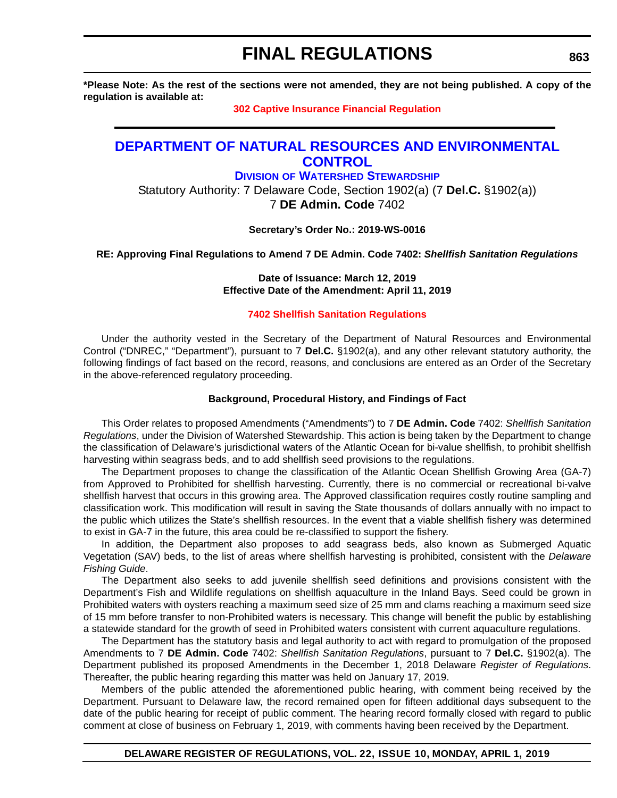**\*Please Note: As the rest of the sections were not amended, they are not being published. A copy of the regulation is available at:**

#### **[302 Captive Insurance Financial Regulation](http://regulations.delaware.gov/register/april2019/final/22 DE Reg 862 04-01-19.htm)**

# **[DEPARTMENT OF NATURAL RESOURCES AND ENVIRONMENTAL](http://www.dnrec.delaware.gov/swc/Pages/Portal-old.aspx)  CONTROL**

**DIVISION OF WATERSHED STEWARDSHIP**

Statutory Authority: 7 Delaware Code, Section 1902(a) (7 **Del.C.** §1902(a)) 7 **DE Admin. Code** 7402

**Secretary's Order No.: 2019-WS-0016**

**RE: Approving Final Regulations to Amend 7 DE Admin. Code 7402:** *Shellfish Sanitation Regulations*

**Date of Issuance: March 12, 2019 Effective Date of the Amendment: April 11, 2019**

#### **[7402 Shellfish Sanitation Regulations](#page-4-0)**

Under the authority vested in the Secretary of the Department of Natural Resources and Environmental Control ("DNREC," "Department"), pursuant to 7 **Del.C.** §1902(a), and any other relevant statutory authority, the following findings of fact based on the record, reasons, and conclusions are entered as an Order of the Secretary in the above-referenced regulatory proceeding.

#### **Background, Procedural History, and Findings of Fact**

This Order relates to proposed Amendments ("Amendments") to 7 **DE Admin. Code** 7402: *Shellfish Sanitation Regulations*, under the Division of Watershed Stewardship. This action is being taken by the Department to change the classification of Delaware's jurisdictional waters of the Atlantic Ocean for bi-value shellfish, to prohibit shellfish harvesting within seagrass beds, and to add shellfish seed provisions to the regulations.

The Department proposes to change the classification of the Atlantic Ocean Shellfish Growing Area (GA-7) from Approved to Prohibited for shellfish harvesting. Currently, there is no commercial or recreational bi-valve shellfish harvest that occurs in this growing area. The Approved classification requires costly routine sampling and classification work. This modification will result in saving the State thousands of dollars annually with no impact to the public which utilizes the State's shellfish resources. In the event that a viable shellfish fishery was determined to exist in GA-7 in the future, this area could be re-classified to support the fishery.

In addition, the Department also proposes to add seagrass beds, also known as Submerged Aquatic Vegetation (SAV) beds, to the list of areas where shellfish harvesting is prohibited, consistent with the *Delaware Fishing Guide*.

The Department also seeks to add juvenile shellfish seed definitions and provisions consistent with the Department's Fish and Wildlife regulations on shellfish aquaculture in the Inland Bays. Seed could be grown in Prohibited waters with oysters reaching a maximum seed size of 25 mm and clams reaching a maximum seed size of 15 mm before transfer to non-Prohibited waters is necessary. This change will benefit the public by establishing a statewide standard for the growth of seed in Prohibited waters consistent with current aquaculture regulations.

The Department has the statutory basis and legal authority to act with regard to promulgation of the proposed Amendments to 7 **DE Admin. Code** 7402: *Shellfish Sanitation Regulations*, pursuant to 7 **Del.C.** §1902(a). The Department published its proposed Amendments in the December 1, 2018 Delaware *Register of Regulations*. Thereafter, the public hearing regarding this matter was held on January 17, 2019.

Members of the public attended the aforementioned public hearing, with comment being received by the Department. Pursuant to Delaware law, the record remained open for fifteen additional days subsequent to the date of the public hearing for receipt of public comment. The hearing record formally closed with regard to public comment at close of business on February 1, 2019, with comments having been received by the Department.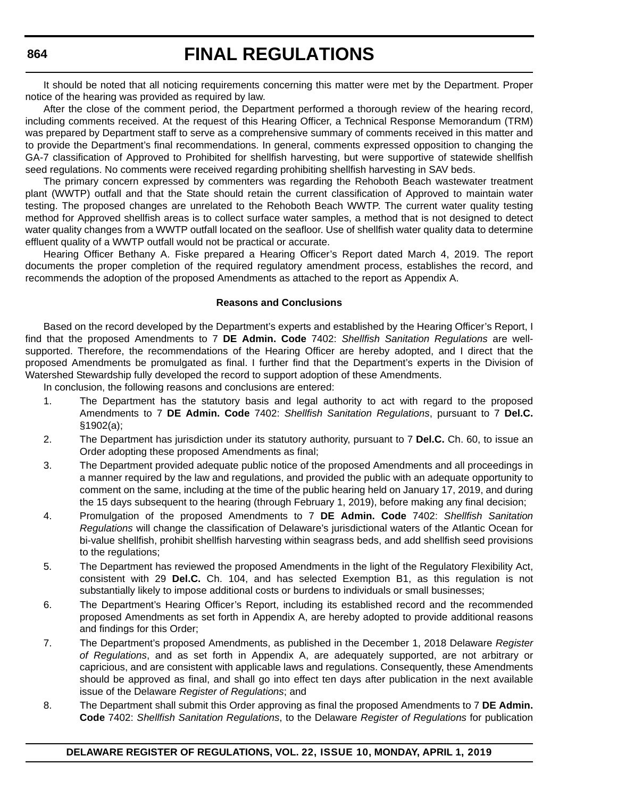It should be noted that all noticing requirements concerning this matter were met by the Department. Proper notice of the hearing was provided as required by law.

After the close of the comment period, the Department performed a thorough review of the hearing record, including comments received. At the request of this Hearing Officer, a Technical Response Memorandum (TRM) was prepared by Department staff to serve as a comprehensive summary of comments received in this matter and to provide the Department's final recommendations. In general, comments expressed opposition to changing the GA-7 classification of Approved to Prohibited for shellfish harvesting, but were supportive of statewide shellfish seed regulations. No comments were received regarding prohibiting shellfish harvesting in SAV beds.

The primary concern expressed by commenters was regarding the Rehoboth Beach wastewater treatment plant (WWTP) outfall and that the State should retain the current classification of Approved to maintain water testing. The proposed changes are unrelated to the Rehoboth Beach WWTP. The current water quality testing method for Approved shellfish areas is to collect surface water samples, a method that is not designed to detect water quality changes from a WWTP outfall located on the seafloor. Use of shellfish water quality data to determine effluent quality of a WWTP outfall would not be practical or accurate.

Hearing Officer Bethany A. Fiske prepared a Hearing Officer's Report dated March 4, 2019. The report documents the proper completion of the required regulatory amendment process, establishes the record, and recommends the adoption of the proposed Amendments as attached to the report as Appendix A.

#### **Reasons and Conclusions**

Based on the record developed by the Department's experts and established by the Hearing Officer's Report, I find that the proposed Amendments to 7 **DE Admin. Code** 7402: *Shellfish Sanitation Regulations* are wellsupported. Therefore, the recommendations of the Hearing Officer are hereby adopted, and I direct that the proposed Amendments be promulgated as final. I further find that the Department's experts in the Division of Watershed Stewardship fully developed the record to support adoption of these Amendments.

In conclusion, the following reasons and conclusions are entered:

- 1. The Department has the statutory basis and legal authority to act with regard to the proposed Amendments to 7 **DE Admin. Code** 7402: *Shellfish Sanitation Regulations*, pursuant to 7 **Del.C.** §1902(a);
- 2. The Department has jurisdiction under its statutory authority, pursuant to 7 **Del.C.** Ch. 60, to issue an Order adopting these proposed Amendments as final;
- 3. The Department provided adequate public notice of the proposed Amendments and all proceedings in a manner required by the law and regulations, and provided the public with an adequate opportunity to comment on the same, including at the time of the public hearing held on January 17, 2019, and during the 15 days subsequent to the hearing (through February 1, 2019), before making any final decision;
- 4. Promulgation of the proposed Amendments to 7 **DE Admin. Code** 7402: *Shellfish Sanitation Regulations* will change the classification of Delaware's jurisdictional waters of the Atlantic Ocean for bi-value shellfish, prohibit shellfish harvesting within seagrass beds, and add shellfish seed provisions to the regulations;
- 5. The Department has reviewed the proposed Amendments in the light of the Regulatory Flexibility Act, consistent with 29 **Del.C.** Ch. 104, and has selected Exemption B1, as this regulation is not substantially likely to impose additional costs or burdens to individuals or small businesses;
- 6. The Department's Hearing Officer's Report, including its established record and the recommended proposed Amendments as set forth in Appendix A, are hereby adopted to provide additional reasons and findings for this Order;
- 7. The Department's proposed Amendments, as published in the December 1, 2018 Delaware *Register of Regulations*, and as set forth in Appendix A, are adequately supported, are not arbitrary or capricious, and are consistent with applicable laws and regulations. Consequently, these Amendments should be approved as final, and shall go into effect ten days after publication in the next available issue of the Delaware *Register of Regulations*; and
- 8. The Department shall submit this Order approving as final the proposed Amendments to 7 **DE Admin. Code** 7402: *Shellfish Sanitation Regulations*, to the Delaware *Register of Regulations* for publication

**DELAWARE REGISTER OF REGULATIONS, VOL. 22, ISSUE 10, MONDAY, APRIL 1, 2019**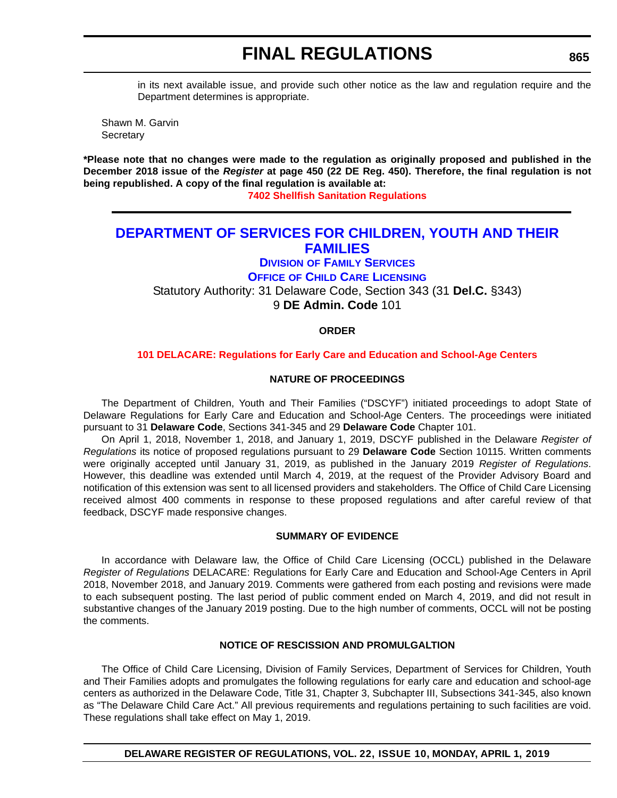in its next available issue, and provide such other notice as the law and regulation require and the Department determines is appropriate.

Shawn M. Garvin **Secretary** 

**\*Please note that no changes were made to the regulation as originally proposed and published in the December 2018 issue of the** *Register* **at page 450 (22 DE Reg. 450). Therefore, the final regulation is not being republished. A copy of the final regulation is available at:**

**[7402 Shellfish Sanitation Regulations](http://regulations.delaware.gov/register/april2019/final/22 DE Reg 863 04-01-19.htm)**

# **[DEPARTMENT OF SERVICES FOR CHILDREN, YOUTH AND THEIR](https://kids.delaware.gov/)  FAMILIES**

# **DIVISION OF FAMILY SERVICES**

**OFFICE OF CHILD CARE LICENSING**

Statutory Authority: 31 Delaware Code, Section 343 (31 **Del.C.** §343) 9 **DE Admin. Code** 101

#### **ORDER**

#### **[101 DELACARE: Regulations for Early Care and Education and School-Age Centers](#page-4-0)**

#### **NATURE OF PROCEEDINGS**

The Department of Children, Youth and Their Families ("DSCYF") initiated proceedings to adopt State of Delaware Regulations for Early Care and Education and School-Age Centers. The proceedings were initiated pursuant to 31 **Delaware Code**, Sections 341-345 and 29 **Delaware Code** Chapter 101.

On April 1, 2018, November 1, 2018, and January 1, 2019, DSCYF published in the Delaware *Register of Regulations* its notice of proposed regulations pursuant to 29 **Delaware Code** Section 10115. Written comments were originally accepted until January 31, 2019, as published in the January 2019 *Register of Regulations*. However, this deadline was extended until March 4, 2019, at the request of the Provider Advisory Board and notification of this extension was sent to all licensed providers and stakeholders. The Office of Child Care Licensing received almost 400 comments in response to these proposed regulations and after careful review of that feedback, DSCYF made responsive changes.

#### **SUMMARY OF EVIDENCE**

In accordance with Delaware law, the Office of Child Care Licensing (OCCL) published in the Delaware *Register of Regulations* DELACARE: Regulations for Early Care and Education and School-Age Centers in April 2018, November 2018, and January 2019. Comments were gathered from each posting and revisions were made to each subsequent posting. The last period of public comment ended on March 4, 2019, and did not result in substantive changes of the January 2019 posting. Due to the high number of comments, OCCL will not be posting the comments.

#### **NOTICE OF RESCISSION AND PROMULGALTION**

The Office of Child Care Licensing, Division of Family Services, Department of Services for Children, Youth and Their Families adopts and promulgates the following regulations for early care and education and school-age centers as authorized in the Delaware Code, Title 31, Chapter 3, Subchapter III, Subsections 341-345, also known as "The Delaware Child Care Act." All previous requirements and regulations pertaining to such facilities are void. These regulations shall take effect on May 1, 2019.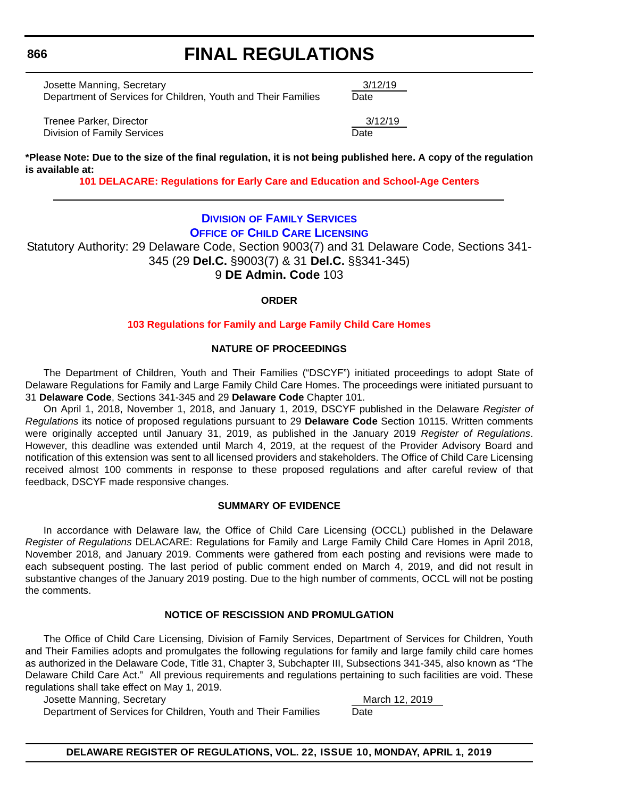Josette Manning, Secretary 3/12/19 Department of Services for Children, Youth and Their Families Date

Trenee Parker, Director 3/12/19 Division of Family Services **Date** 

**\*Please Note: Due to the size of the final regulation, it is not being published here. A copy of the regulation is available at:**

**[101 DELACARE: Regulations for Early Care and Education and School-Age Centers](http://regulations.delaware.gov/register/april2019/final/22 DE Reg 865 04-01-19.htm)**

# **DIVISION OF FAMILY SERVICES OFFICE [OF CHILD CARE LICENSING](https://kids.delaware.gov/)**

Statutory Authority: 29 Delaware Code, Section 9003(7) and 31 Delaware Code, Sections 341- 345 (29 **Del.C.** §9003(7) & 31 **Del.C.** §§341-345) 9 **DE Admin. Code** 103

# **ORDER**

# **[103 Regulations for Family and Large Family Child Care Homes](#page-4-0)**

## **NATURE OF PROCEEDINGS**

The Department of Children, Youth and Their Families ("DSCYF") initiated proceedings to adopt State of Delaware Regulations for Family and Large Family Child Care Homes. The proceedings were initiated pursuant to 31 **Delaware Code**, Sections 341-345 and 29 **Delaware Code** Chapter 101.

On April 1, 2018, November 1, 2018, and January 1, 2019, DSCYF published in the Delaware *Register of Regulations* its notice of proposed regulations pursuant to 29 **Delaware Code** Section 10115. Written comments were originally accepted until January 31, 2019, as published in the January 2019 *Register of Regulations*. However, this deadline was extended until March 4, 2019, at the request of the Provider Advisory Board and notification of this extension was sent to all licensed providers and stakeholders. The Office of Child Care Licensing received almost 100 comments in response to these proposed regulations and after careful review of that feedback, DSCYF made responsive changes.

#### **SUMMARY OF EVIDENCE**

In accordance with Delaware law, the Office of Child Care Licensing (OCCL) published in the Delaware *Register of Regulations* DELACARE: Regulations for Family and Large Family Child Care Homes in April 2018, November 2018, and January 2019. Comments were gathered from each posting and revisions were made to each subsequent posting. The last period of public comment ended on March 4, 2019, and did not result in substantive changes of the January 2019 posting. Due to the high number of comments, OCCL will not be posting the comments.

# **NOTICE OF RESCISSION AND PROMULGATION**

The Office of Child Care Licensing, Division of Family Services, Department of Services for Children, Youth and Their Families adopts and promulgates the following regulations for family and large family child care homes as authorized in the Delaware Code, Title 31, Chapter 3, Subchapter III, Subsections 341-345, also known as "The Delaware Child Care Act." All previous requirements and regulations pertaining to such facilities are void. These regulations shall take effect on May 1, 2019.

Josette Manning, Secretary March 12, 2019

Department of Services for Children, Youth and Their Families Date

**DELAWARE REGISTER OF REGULATIONS, VOL. 22, ISSUE 10, MONDAY, APRIL 1, 2019**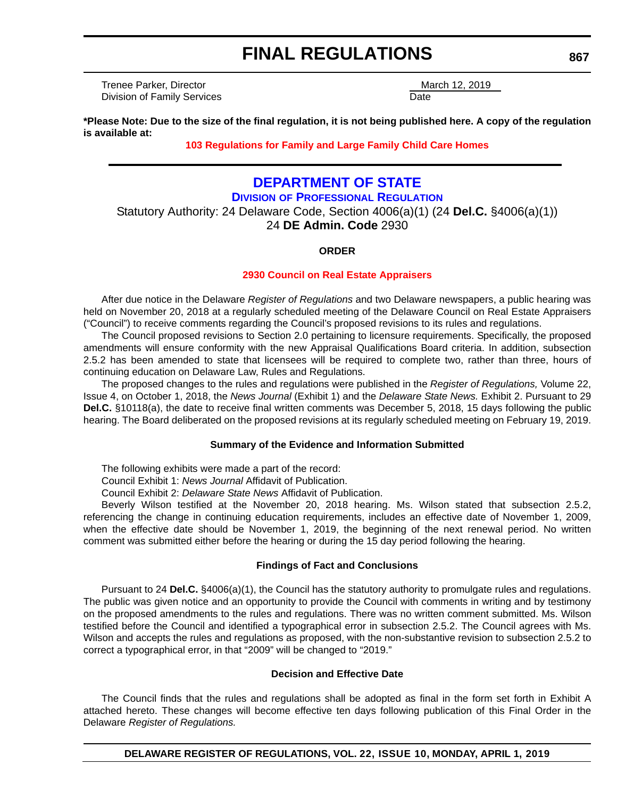Trenee Parker, Director March 12, 2019 **Division of Family Services** Date Date Date

**\*Please Note: Due to the size of the final regulation, it is not being published here. A copy of the regulation is available at:**

# **[103 Regulations for Family and Large Family Child Care Homes](http://regulations.delaware.gov/register/april2019/final/22 DE Reg 866 04-01-19.htm)**

# **[DEPARTMENT OF STATE](https://dpr.delaware.gov/)**

**DIVISION OF PROFESSIONAL REGULATION** Statutory Authority: 24 Delaware Code, Section 4006(a)(1) (24 **Del.C.** §4006(a)(1))

# 24 **DE Admin. Code** 2930

## **ORDER**

# **[2930 Council on Real Estate Appraisers](#page-4-0)**

After due notice in the Delaware *Register of Regulations* and two Delaware newspapers, a public hearing was held on November 20, 2018 at a regularly scheduled meeting of the Delaware Council on Real Estate Appraisers ("Council") to receive comments regarding the Council's proposed revisions to its rules and regulations.

The Council proposed revisions to Section 2.0 pertaining to licensure requirements. Specifically, the proposed amendments will ensure conformity with the new Appraisal Qualifications Board criteria. In addition, subsection 2.5.2 has been amended to state that licensees will be required to complete two, rather than three, hours of continuing education on Delaware Law, Rules and Regulations.

The proposed changes to the rules and regulations were published in the *Register of Regulations,* Volume 22, Issue 4, on October 1, 2018, the *News Journal* (Exhibit 1) and the *Delaware State News.* Exhibit 2. Pursuant to 29 **Del.C.** §10118(a), the date to receive final written comments was December 5, 2018, 15 days following the public hearing. The Board deliberated on the proposed revisions at its regularly scheduled meeting on February 19, 2019.

## **Summary of the Evidence and Information Submitted**

The following exhibits were made a part of the record:

Council Exhibit 1: *News Journal* Affidavit of Publication.

Council Exhibit 2: *Delaware State News* Affidavit of Publication.

Beverly Wilson testified at the November 20, 2018 hearing. Ms. Wilson stated that subsection 2.5.2, referencing the change in continuing education requirements, includes an effective date of November 1, 2009, when the effective date should be November 1, 2019, the beginning of the next renewal period. No written comment was submitted either before the hearing or during the 15 day period following the hearing.

## **Findings of Fact and Conclusions**

Pursuant to 24 **Del.C.** §4006(a)(1), the Council has the statutory authority to promulgate rules and regulations. The public was given notice and an opportunity to provide the Council with comments in writing and by testimony on the proposed amendments to the rules and regulations. There was no written comment submitted. Ms. Wilson testified before the Council and identified a typographical error in subsection 2.5.2. The Council agrees with Ms. Wilson and accepts the rules and regulations as proposed, with the non-substantive revision to subsection 2.5.2 to correct a typographical error, in that "2009" will be changed to "2019."

## **Decision and Effective Date**

The Council finds that the rules and regulations shall be adopted as final in the form set forth in Exhibit A attached hereto. These changes will become effective ten days following publication of this Final Order in the Delaware *Register of Regulations.*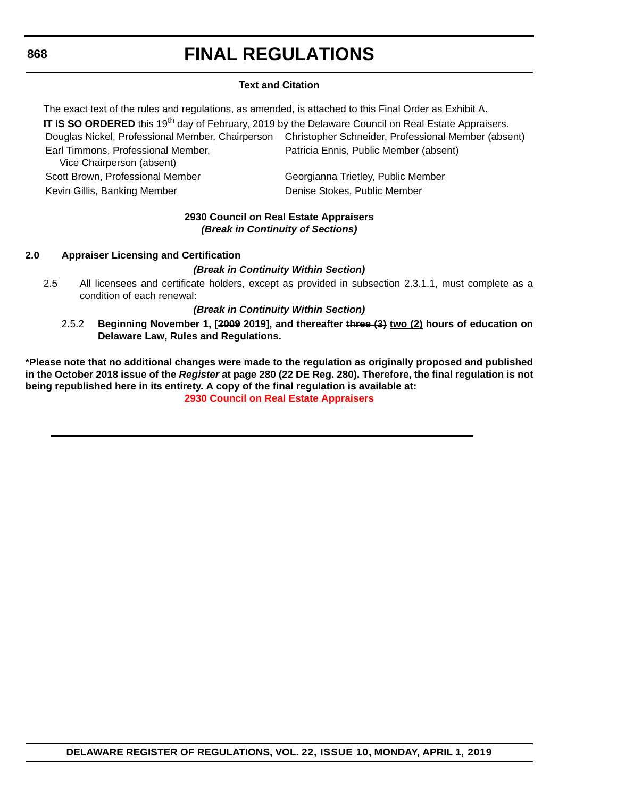# **Text and Citation**

The exact text of the rules and regulations, as amended, is attached to this Final Order as Exhibit A. **IT IS SO ORDERED** this 19<sup>th</sup> day of February, 2019 by the Delaware Council on Real Estate Appraisers. Douglas Nickel, Professional Member, Chairperson Christopher Schneider, Professional Member (absent) Earl Timmons, Professional Member, Vice Chairperson (absent) Patricia Ennis, Public Member (absent) Scott Brown, Professional Member Georgianna Trietley, Public Member Kevin Gillis, Banking Member **Denise Stokes, Public Member** Denise Stokes, Public Member

## **2930 Council on Real Estate Appraisers** *(Break in Continuity of Sections)*

## **2.0 Appraiser Licensing and Certification**

# *(Break in Continuity Within Section)*

2.5 All licensees and certificate holders, except as provided in subsection 2.3.1.1, must complete as a condition of each renewal:

## *(Break in Continuity Within Section)*

2.5.2 **Beginning November 1, [2009 2019], and thereafter three (3) two (2) hours of education on Delaware Law, Rules and Regulations.**

**\*Please note that no additional changes were made to the regulation as originally proposed and published in the October 2018 issue of the** *Register* **at page 280 (22 DE Reg. 280). Therefore, the final regulation is not being republished here in its entirety. A copy of the final regulation is available at: [2930 Council on Real Estate Appraisers](http://regulations.delaware.gov/register/april2019/final/22 DE Reg 867 04-01-19.htm)**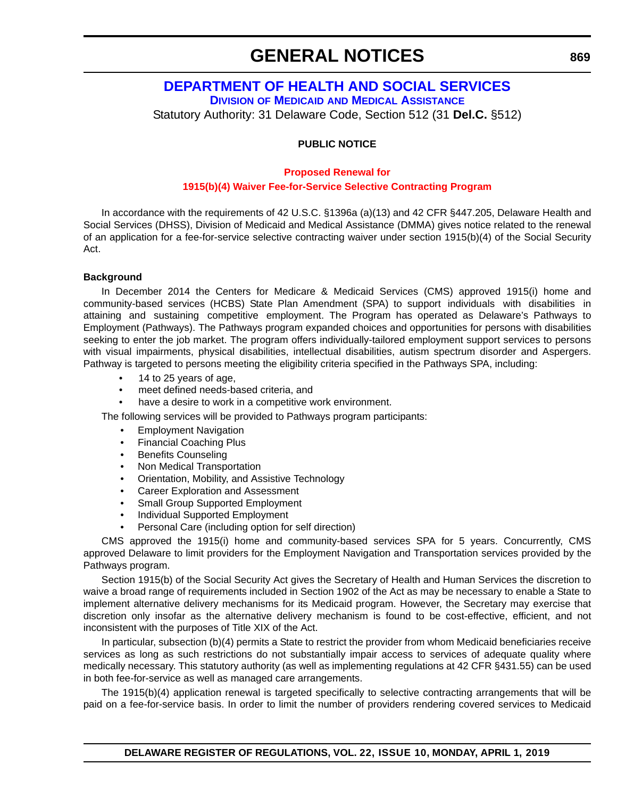# **GENERAL NOTICES**

**[DEPARTMENT OF HEALTH AND SOCIAL SERVICES](https://www.dhss.delaware.gov/dhss/dmma/)**

# **DIVISION OF MEDICAID AND MEDICAL ASSISTANCE** Statutory Authority: 31 Delaware Code, Section 512 (31 **Del.C.** §512)

# **PUBLIC NOTICE**

#### **Proposed Renewal for**

#### **[1915\(b\)\(4\) Waiver Fee-for-Service Selective Contracting Program](#page-4-0)**

In accordance with the requirements of 42 U.S.C. §1396a (a)(13) and 42 CFR §447.205, Delaware Health and Social Services (DHSS), Division of Medicaid and Medical Assistance (DMMA) gives notice related to the renewal of an application for a fee-for-service selective contracting waiver under section 1915(b)(4) of the Social Security Act.

#### **Background**

In December 2014 the Centers for Medicare & Medicaid Services (CMS) approved 1915(i) home and community-based services (HCBS) State Plan Amendment (SPA) to support individuals with disabilities in attaining and sustaining competitive employment. The Program has operated as Delaware's Pathways to Employment (Pathways). The Pathways program expanded choices and opportunities for persons with disabilities seeking to enter the job market. The program offers individually-tailored employment support services to persons with visual impairments, physical disabilities, intellectual disabilities, autism spectrum disorder and Aspergers. Pathway is targeted to persons meeting the eligibility criteria specified in the Pathways SPA, including:

- 14 to 25 years of age,
- meet defined needs-based criteria, and
- have a desire to work in a competitive work environment.

The following services will be provided to Pathways program participants:

- Employment Navigation
- Financial Coaching Plus
- Benefits Counseling
- Non Medical Transportation
- Orientation, Mobility, and Assistive Technology
- Career Exploration and Assessment
- Small Group Supported Employment
- Individual Supported Employment
- Personal Care (including option for self direction)

CMS approved the 1915(i) home and community-based services SPA for 5 years. Concurrently, CMS approved Delaware to limit providers for the Employment Navigation and Transportation services provided by the Pathways program.

Section 1915(b) of the Social Security Act gives the Secretary of Health and Human Services the discretion to waive a broad range of requirements included in Section 1902 of the Act as may be necessary to enable a State to implement alternative delivery mechanisms for its Medicaid program. However, the Secretary may exercise that discretion only insofar as the alternative delivery mechanism is found to be cost-effective, efficient, and not inconsistent with the purposes of Title XIX of the Act.

In particular, subsection (b)(4) permits a State to restrict the provider from whom Medicaid beneficiaries receive services as long as such restrictions do not substantially impair access to services of adequate quality where medically necessary. This statutory authority (as well as implementing regulations at 42 CFR §431.55) can be used in both fee-for-service as well as managed care arrangements.

The 1915(b)(4) application renewal is targeted specifically to selective contracting arrangements that will be paid on a fee-for-service basis. In order to limit the number of providers rendering covered services to Medicaid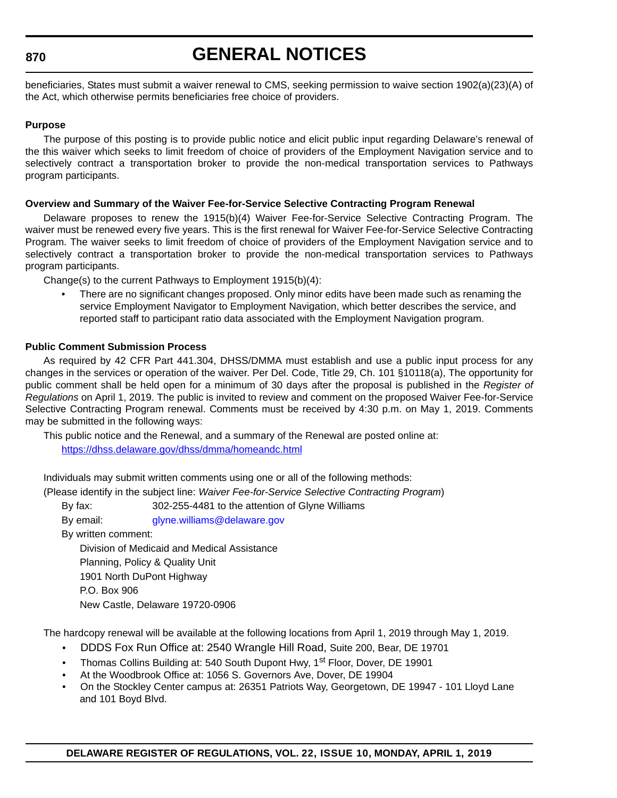# **870**

# **GENERAL NOTICES**

beneficiaries, States must submit a waiver renewal to CMS, seeking permission to waive section 1902(a)(23)(A) of the Act, which otherwise permits beneficiaries free choice of providers.

#### **Purpose**

The purpose of this posting is to provide public notice and elicit public input regarding Delaware's renewal of the this waiver which seeks to limit freedom of choice of providers of the Employment Navigation service and to selectively contract a transportation broker to provide the non-medical transportation services to Pathways program participants.

#### **Overview and Summary of the Waiver Fee-for-Service Selective Contracting Program Renewal**

Delaware proposes to renew the 1915(b)(4) Waiver Fee-for-Service Selective Contracting Program. The waiver must be renewed every five years. This is the first renewal for Waiver Fee-for-Service Selective Contracting Program. The waiver seeks to limit freedom of choice of providers of the Employment Navigation service and to selectively contract a transportation broker to provide the non-medical transportation services to Pathways program participants.

Change(s) to the current Pathways to Employment 1915(b)(4):

• There are no significant changes proposed. Only minor edits have been made such as renaming the service Employment Navigator to Employment Navigation, which better describes the service, and reported staff to participant ratio data associated with the Employment Navigation program.

## **Public Comment Submission Process**

As required by 42 CFR Part 441.304, DHSS/DMMA must establish and use a public input process for any changes in the services or operation of the waiver. Per Del. Code, Title 29, Ch. 101 §10118(a), The opportunity for public comment shall be held open for a minimum of 30 days after the proposal is published in the *Register of Regulations* on April 1, 2019. The public is invited to review and comment on the proposed Waiver Fee-for-Service Selective Contracting Program renewal. Comments must be received by 4:30 p.m. on May 1, 2019. Comments may be submitted in the following ways:

This public notice and the Renewal, and a summary of the Renewal are posted online at: <https://dhss.delaware.gov/dhss/dmma/homeandc.html>

Individuals may submit written comments using one or all of the following methods:

(Please identify in the subject line: *Waiver Fee-for-Service Selective Contracting Program*)

By fax: 302-255-4481 to the attention of Glyne Williams

By email: [glyne.williams@delaware.gov](mailto:glyne.williams@delaware.gov)

By written comment:

Division of Medicaid and Medical Assistance

Planning, Policy & Quality Unit

1901 North DuPont Highway

P.O. Box 906

New Castle, Delaware 19720-0906

The hardcopy renewal will be available at the following locations from April 1, 2019 through May 1, 2019.

- DDDS Fox Run Office at: 2540 Wrangle Hill Road, Suite 200, Bear, DE 19701
- Thomas Collins Building at: 540 South Dupont Hwy, 1<sup>st</sup> Floor, Dover, DE 19901
- At the Woodbrook Office at: 1056 S. Governors Ave, Dover, DE 19904
- On the Stockley Center campus at: 26351 Patriots Way, Georgetown, DE 19947 101 Lloyd Lane and 101 Boyd Blvd.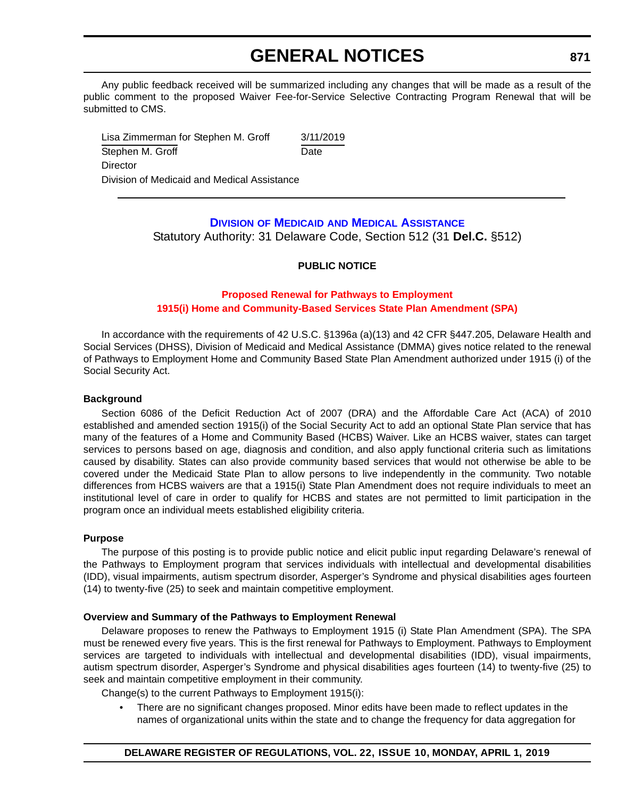# **GENERAL NOTICES**

Any public feedback received will be summarized including any changes that will be made as a result of the public comment to the proposed Waiver Fee-for-Service Selective Contracting Program Renewal that will be submitted to CMS.

Lisa Zimmerman for Stephen M. Groff 3/11/2019 Stephen M. Groff Date **Director** Division of Medicaid and Medical Assistance

## **DIVISION OF MEDICAID [AND MEDICAL ASSISTANCE](https://www.dhss.delaware.gov/dhss/dmma/)** Statutory Authority: 31 Delaware Code, Section 512 (31 **Del.C.** §512)

## **PUBLIC NOTICE**

## **Proposed Renewal for Pathways to Employment [1915\(i\) Home and Community-Based Services State Plan Amendment \(SPA\)](#page-4-0)**

In accordance with the requirements of 42 U.S.C. §1396a (a)(13) and 42 CFR §447.205, Delaware Health and Social Services (DHSS), Division of Medicaid and Medical Assistance (DMMA) gives notice related to the renewal of Pathways to Employment Home and Community Based State Plan Amendment authorized under 1915 (i) of the Social Security Act.

## **Background**

Section 6086 of the Deficit Reduction Act of 2007 (DRA) and the Affordable Care Act (ACA) of 2010 established and amended section 1915(i) of the Social Security Act to add an optional State Plan service that has many of the features of a Home and Community Based (HCBS) Waiver. Like an HCBS waiver, states can target services to persons based on age, diagnosis and condition, and also apply functional criteria such as limitations caused by disability. States can also provide community based services that would not otherwise be able to be covered under the Medicaid State Plan to allow persons to live independently in the community. Two notable differences from HCBS waivers are that a 1915(i) State Plan Amendment does not require individuals to meet an institutional level of care in order to qualify for HCBS and states are not permitted to limit participation in the program once an individual meets established eligibility criteria.

#### **Purpose**

The purpose of this posting is to provide public notice and elicit public input regarding Delaware's renewal of the Pathways to Employment program that services individuals with intellectual and developmental disabilities (IDD), visual impairments, autism spectrum disorder, Asperger's Syndrome and physical disabilities ages fourteen (14) to twenty-five (25) to seek and maintain competitive employment.

## **Overview and Summary of the Pathways to Employment Renewal**

Delaware proposes to renew the Pathways to Employment 1915 (i) State Plan Amendment (SPA). The SPA must be renewed every five years. This is the first renewal for Pathways to Employment. Pathways to Employment services are targeted to individuals with intellectual and developmental disabilities (IDD), visual impairments, autism spectrum disorder, Asperger's Syndrome and physical disabilities ages fourteen (14) to twenty-five (25) to seek and maintain competitive employment in their community.

Change(s) to the current Pathways to Employment 1915(i):

• There are no significant changes proposed. Minor edits have been made to reflect updates in the names of organizational units within the state and to change the frequency for data aggregation for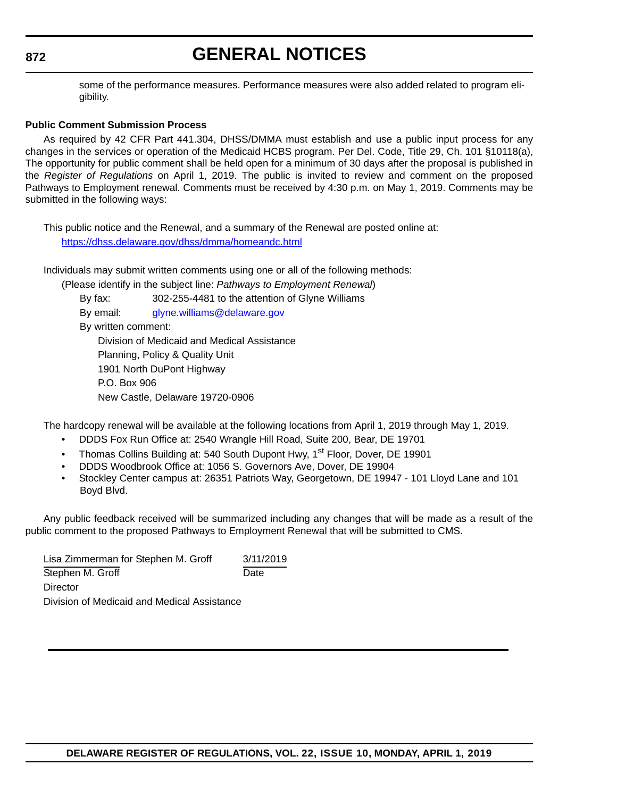## **872**

# **GENERAL NOTICES**

some of the performance measures. Performance measures were also added related to program eligibility.

#### **Public Comment Submission Process**

As required by 42 CFR Part 441.304, DHSS/DMMA must establish and use a public input process for any changes in the services or operation of the Medicaid HCBS program. Per Del. Code, Title 29, Ch. 101 §10118(a), The opportunity for public comment shall be held open for a minimum of 30 days after the proposal is published in the *Register of Regulations* on April 1, 2019. The public is invited to review and comment on the proposed Pathways to Employment renewal. Comments must be received by 4:30 p.m. on May 1, 2019. Comments may be submitted in the following ways:

This public notice and the Renewal, and a summary of the Renewal are posted online at: <https://dhss.delaware.gov/dhss/dmma/homeandc.html>

Individuals may submit written comments using one or all of the following methods:

(Please identify in the subject line: *Pathways to Employment Renewal*) By fax: 302-255-4481 to the attention of Glyne Williams By email: [glyne.williams@delaware.gov](mailto:glyne.williams@delaware.gov) By written comment: Division of Medicaid and Medical Assistance Planning, Policy & Quality Unit 1901 North DuPont Highway P.O. Box 906

New Castle, Delaware 19720-0906

The hardcopy renewal will be available at the following locations from April 1, 2019 through May 1, 2019.

- DDDS Fox Run Office at: 2540 Wrangle Hill Road, Suite 200, Bear, DE 19701
- Thomas Collins Building at: 540 South Dupont Hwy, 1<sup>st</sup> Floor, Dover, DE 19901
- DDDS Woodbrook Office at: 1056 S. Governors Ave, Dover, DE 19904
- Stockley Center campus at: 26351 Patriots Way, Georgetown, DE 19947 101 Lloyd Lane and 101 Boyd Blvd.

Any public feedback received will be summarized including any changes that will be made as a result of the public comment to the proposed Pathways to Employment Renewal that will be submitted to CMS.

Lisa Zimmerman for Stephen M. Groff 3/11/2019 Stephen M. Groff Date **Director** Division of Medicaid and Medical Assistance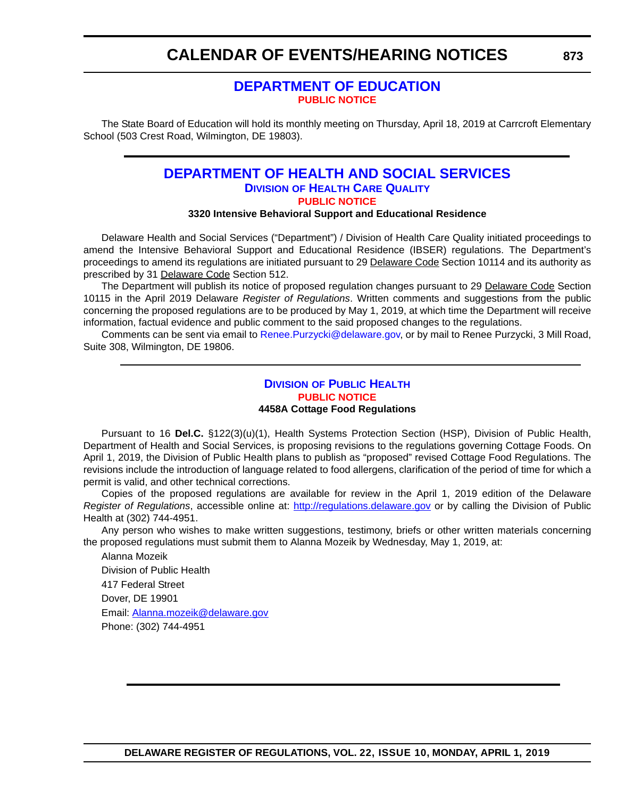## **CALENDAR OF EVENTS/HEARING NOTICES**

## **[DEPARTMENT OF EDUCATION](https://www.doe.k12.de.us/) [PUBLIC NOTICE](#page-4-0)**

The State Board of Education will hold its monthly meeting on Thursday, April 18, 2019 at Carrcroft Elementary School (503 Crest Road, Wilmington, DE 19803).

## **[DEPARTMENT OF HEALTH AND SOCIAL SERVICES](https://www.dhss.delaware.gov/dhss/dltcrp/index.html) DIVISION OF HEALTH CARE QUALITY [PUBLIC NOTICE](#page-4-0)**

## **3320 Intensive Behavioral Support and Educational Residence**

Delaware Health and Social Services ("Department") / Division of Health Care Quality initiated proceedings to amend the Intensive Behavioral Support and Educational Residence (IBSER) regulations. The Department's proceedings to amend its regulations are initiated pursuant to 29 Delaware Code Section 10114 and its authority as prescribed by 31 Delaware Code Section 512.

The Department will publish its notice of proposed regulation changes pursuant to 29 Delaware Code Section 10115 in the April 2019 Delaware *Register of Regulations*. Written comments and suggestions from the public concerning the proposed regulations are to be produced by May 1, 2019, at which time the Department will receive information, factual evidence and public comment to the said proposed changes to the regulations.

Comments can be sent via email to Renee. Purzycki@delaware.gov, or by mail to Renee Purzycki, 3 Mill Road, Suite 308, Wilmington, DE 19806.

### **DIVISION [OF PUBLIC HEALTH](https://www.dhss.delaware.gov/dhss/dph/index.html) [PUBLIC NOTICE](#page-4-0) 4458A Cottage Food Regulations**

Pursuant to 16 **Del.C.** §122(3)(u)(1), Health Systems Protection Section (HSP), Division of Public Health, Department of Health and Social Services, is proposing revisions to the regulations governing Cottage Foods. On April 1, 2019, the Division of Public Health plans to publish as "proposed" revised Cottage Food Regulations. The revisions include the introduction of language related to food allergens, clarification of the period of time for which a permit is valid, and other technical corrections.

Copies of the proposed regulations are available for review in the April 1, 2019 edition of the Delaware *Register of Regulations*, accessible online at: <http://regulations.delaware.gov>or by calling the Division of Public Health at (302) 744-4951.

Any person who wishes to make written suggestions, testimony, briefs or other written materials concerning the proposed regulations must submit them to Alanna Mozeik by Wednesday, May 1, 2019, at:

Alanna Mozeik Division of Public Health 417 Federal Street Dover, DE 19901 Email: [Alanna.mozeik@delaware.gov](mailto:Alanna.mozeik@delaware.gov) Phone: (302) 744-4951

**873**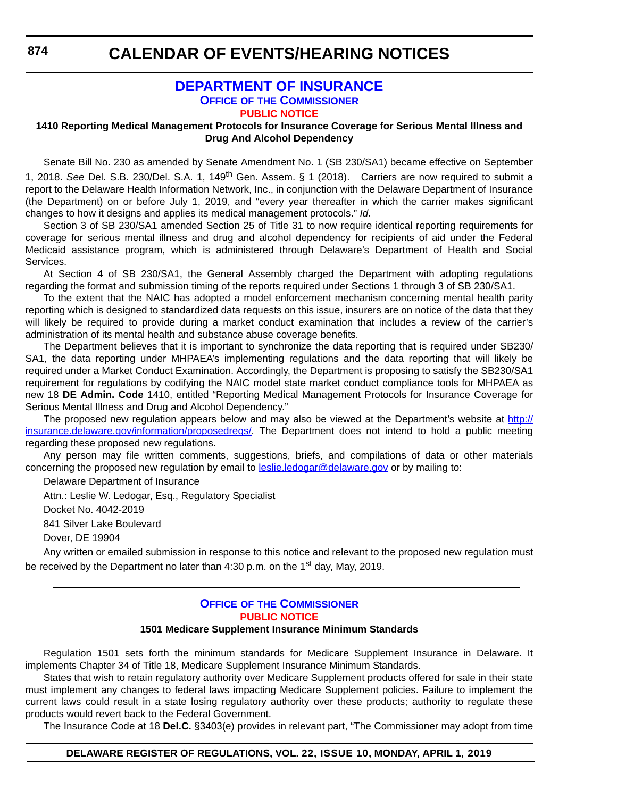**CALENDAR OF EVENTS/HEARING NOTICES**

## **[DEPARTMENT OF INSURANCE](https://insurance.delaware.gov/) OFFICE OF THE COMMISSIONER [PUBLIC NOTICE](#page-4-0)**

#### **1410 Reporting Medical Management Protocols for Insurance Coverage for Serious Mental Illness and Drug And Alcohol Dependency**

Senate Bill No. 230 as amended by Senate Amendment No. 1 (SB 230/SA1) became effective on September 1, 2018. *See* Del. S.B. 230/Del. S.A. 1, 149th Gen. Assem. § 1 (2018). Carriers are now required to submit a report to the Delaware Health Information Network, Inc., in conjunction with the Delaware Department of Insurance (the Department) on or before July 1, 2019, and "every year thereafter in which the carrier makes significant changes to how it designs and applies its medical management protocols." *Id.*

Section 3 of SB 230/SA1 amended Section 25 of Title 31 to now require identical reporting requirements for coverage for serious mental illness and drug and alcohol dependency for recipients of aid under the Federal Medicaid assistance program, which is administered through Delaware's Department of Health and Social Services.

At Section 4 of SB 230/SA1, the General Assembly charged the Department with adopting regulations regarding the format and submission timing of the reports required under Sections 1 through 3 of SB 230/SA1.

To the extent that the NAIC has adopted a model enforcement mechanism concerning mental health parity reporting which is designed to standardized data requests on this issue, insurers are on notice of the data that they will likely be required to provide during a market conduct examination that includes a review of the carrier's administration of its mental health and substance abuse coverage benefits.

The Department believes that it is important to synchronize the data reporting that is required under SB230/ SA1, the data reporting under MHPAEA's implementing regulations and the data reporting that will likely be required under a Market Conduct Examination. Accordingly, the Department is proposing to satisfy the SB230/SA1 requirement for regulations by codifying the NAIC model state market conduct compliance tools for MHPAEA as new 18 **DE Admin. Code** 1410, entitled "Reporting Medical Management Protocols for Insurance Coverage for Serious Mental Illness and Drug and Alcohol Dependency."

The proposed new regulation appears below and may also be viewed at the Department's website at [http://](http://insurance.delaware.gov/information/proposedregs/) [insurance.delaware.gov/information/proposedregs/.](http://insurance.delaware.gov/information/proposedregs/) The Department does not intend to hold a public meeting regarding these proposed new regulations.

Any person may file written comments, suggestions, briefs, and compilations of data or other materials concerning the proposed new regulation by email to leslie.ledogar@delaware.gov or by mailing to:

Delaware Department of Insurance

Attn.: Leslie W. Ledogar, Esq., Regulatory Specialist

Docket No. 4042-2019

841 Silver Lake Boulevard

Dover, DE 19904

Any written or emailed submission in response to this notice and relevant to the proposed new regulation must be received by the Department no later than 4:30 p.m. on the 1<sup>st</sup> day, May, 2019.

## **OFFICE OF [THE COMMISSIONER](https://insurance.delaware.gov/) [PUBLIC NOTICE](#page-4-0)**

## **1501 Medicare Supplement Insurance Minimum Standards**

Regulation 1501 sets forth the minimum standards for Medicare Supplement Insurance in Delaware. It implements Chapter 34 of Title 18, Medicare Supplement Insurance Minimum Standards.

States that wish to retain regulatory authority over Medicare Supplement products offered for sale in their state must implement any changes to federal laws impacting Medicare Supplement policies. Failure to implement the current laws could result in a state losing regulatory authority over these products; authority to regulate these products would revert back to the Federal Government.

The Insurance Code at 18 **Del.C.** §3403(e) provides in relevant part, "The Commissioner may adopt from time

## **DELAWARE REGISTER OF REGULATIONS, VOL. 22, ISSUE 10, MONDAY, APRIL 1, 2019**

**874**